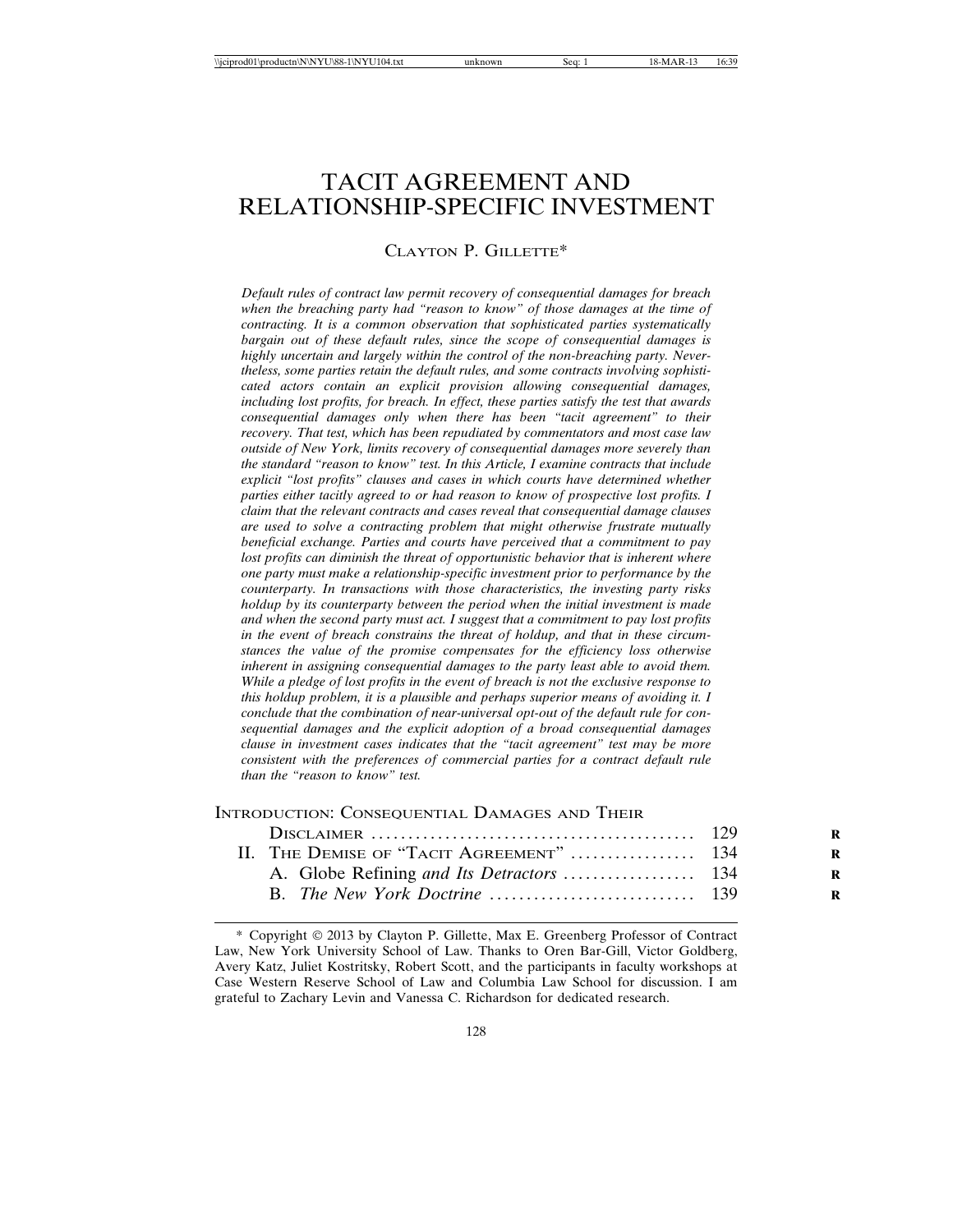# TACIT AGREEMENT AND RELATIONSHIP-SPECIFIC INVESTMENT

# CLAYTON P. GILLETTE\*

*Default rules of contract law permit recovery of consequential damages for breach when the breaching party had "reason to know" of those damages at the time of contracting. It is a common observation that sophisticated parties systematically bargain out of these default rules, since the scope of consequential damages is highly uncertain and largely within the control of the non-breaching party. Nevertheless, some parties retain the default rules, and some contracts involving sophisticated actors contain an explicit provision allowing consequential damages, including lost profits, for breach. In effect, these parties satisfy the test that awards consequential damages only when there has been "tacit agreement" to their recovery. That test, which has been repudiated by commentators and most case law outside of New York, limits recovery of consequential damages more severely than the standard "reason to know" test. In this Article, I examine contracts that include explicit "lost profits" clauses and cases in which courts have determined whether parties either tacitly agreed to or had reason to know of prospective lost profits. I claim that the relevant contracts and cases reveal that consequential damage clauses are used to solve a contracting problem that might otherwise frustrate mutually beneficial exchange. Parties and courts have perceived that a commitment to pay lost profits can diminish the threat of opportunistic behavior that is inherent where one party must make a relationship-specific investment prior to performance by the counterparty. In transactions with those characteristics, the investing party risks holdup by its counterparty between the period when the initial investment is made and when the second party must act. I suggest that a commitment to pay lost profits in the event of breach constrains the threat of holdup, and that in these circumstances the value of the promise compensates for the efficiency loss otherwise inherent in assigning consequential damages to the party least able to avoid them. While a pledge of lost profits in the event of breach is not the exclusive response to this holdup problem, it is a plausible and perhaps superior means of avoiding it. I conclude that the combination of near-universal opt-out of the default rule for consequential damages and the explicit adoption of a broad consequential damages clause in investment cases indicates that the "tacit agreement" test may be more consistent with the preferences of commercial parties for a contract default rule than the "reason to know" test.*

| INTRODUCTION: CONSEQUENTIAL DAMAGES AND THEIR |  |
|-----------------------------------------------|--|
|                                               |  |

| II. THE DEMISE OF "TACIT AGREEMENT"  134 |  |
|------------------------------------------|--|
|                                          |  |
|                                          |  |
|                                          |  |

<sup>\*</sup> Copyright 2013 by Clayton P. Gillette, Max E. Greenberg Professor of Contract Law, New York University School of Law. Thanks to Oren Bar-Gill, Victor Goldberg, Avery Katz, Juliet Kostritsky, Robert Scott, and the participants in faculty workshops at Case Western Reserve School of Law and Columbia Law School for discussion. I am grateful to Zachary Levin and Vanessa C. Richardson for dedicated research.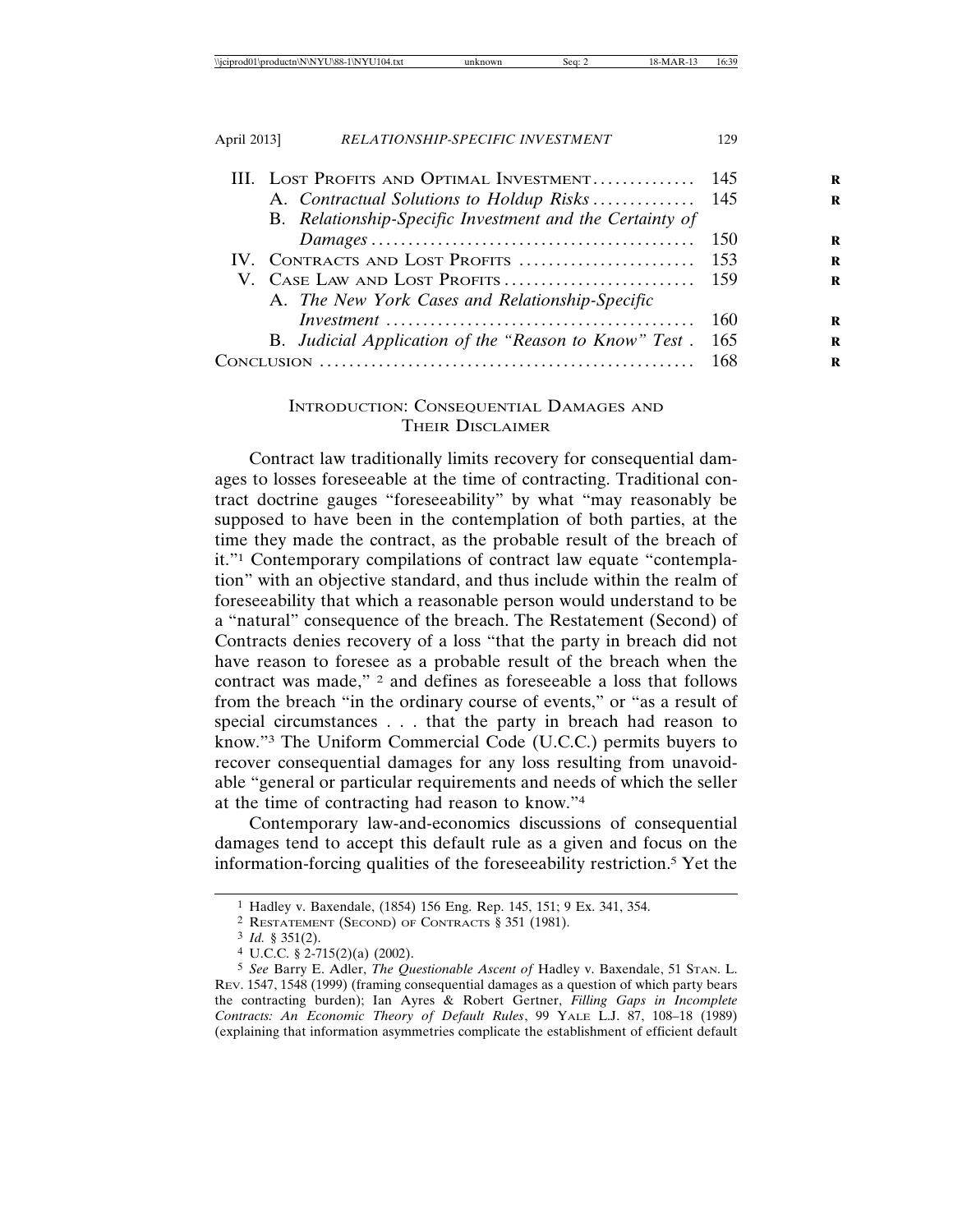| III. LOST PROFITS AND OPTIMAL INVESTMENT 145             |       |
|----------------------------------------------------------|-------|
| A. Contractual Solutions to Holdup Risks 145             |       |
| B. Relationship-Specific Investment and the Certainty of |       |
|                                                          |       |
| IV. CONTRACTS AND LOST PROFITS  153                      |       |
|                                                          |       |
| A. The New York Cases and Relationship-Specific          |       |
|                                                          |       |
| B. Judicial Application of the "Reason to Know" Test.    | - 165 |
| CONCL                                                    | -168  |

## INTRODUCTION: CONSEQUENTIAL DAMAGES AND THEIR DISCLAIMER

Contract law traditionally limits recovery for consequential damages to losses foreseeable at the time of contracting. Traditional contract doctrine gauges "foreseeability" by what "may reasonably be supposed to have been in the contemplation of both parties, at the time they made the contract, as the probable result of the breach of it."1 Contemporary compilations of contract law equate "contemplation" with an objective standard, and thus include within the realm of foreseeability that which a reasonable person would understand to be a "natural" consequence of the breach. The Restatement (Second) of Contracts denies recovery of a loss "that the party in breach did not have reason to foresee as a probable result of the breach when the contract was made," 2 and defines as foreseeable a loss that follows from the breach "in the ordinary course of events," or "as a result of special circumstances . . . that the party in breach had reason to know."3 The Uniform Commercial Code (U.C.C.) permits buyers to recover consequential damages for any loss resulting from unavoidable "general or particular requirements and needs of which the seller at the time of contracting had reason to know."4

Contemporary law-and-economics discussions of consequential damages tend to accept this default rule as a given and focus on the information-forcing qualities of the foreseeability restriction.5 Yet the

<sup>1</sup> Hadley v. Baxendale, (1854) 156 Eng. Rep. 145, 151; 9 Ex. 341, 354.

<sup>2</sup> RESTATEMENT (SECOND) OF CONTRACTS § 351 (1981).

<sup>3</sup> *Id.* § 351(2).

<sup>4</sup> U.C.C. § 2-715(2)(a) (2002).

<sup>5</sup> *See* Barry E. Adler, *The Questionable Ascent of* Hadley v. Baxendale, 51 STAN. L. REV. 1547, 1548 (1999) (framing consequential damages as a question of which party bears the contracting burden); Ian Ayres & Robert Gertner, *Filling Gaps in Incomplete Contracts: An Economic Theory of Default Rules*, 99 YALE L.J. 87, 108–18 (1989) (explaining that information asymmetries complicate the establishment of efficient default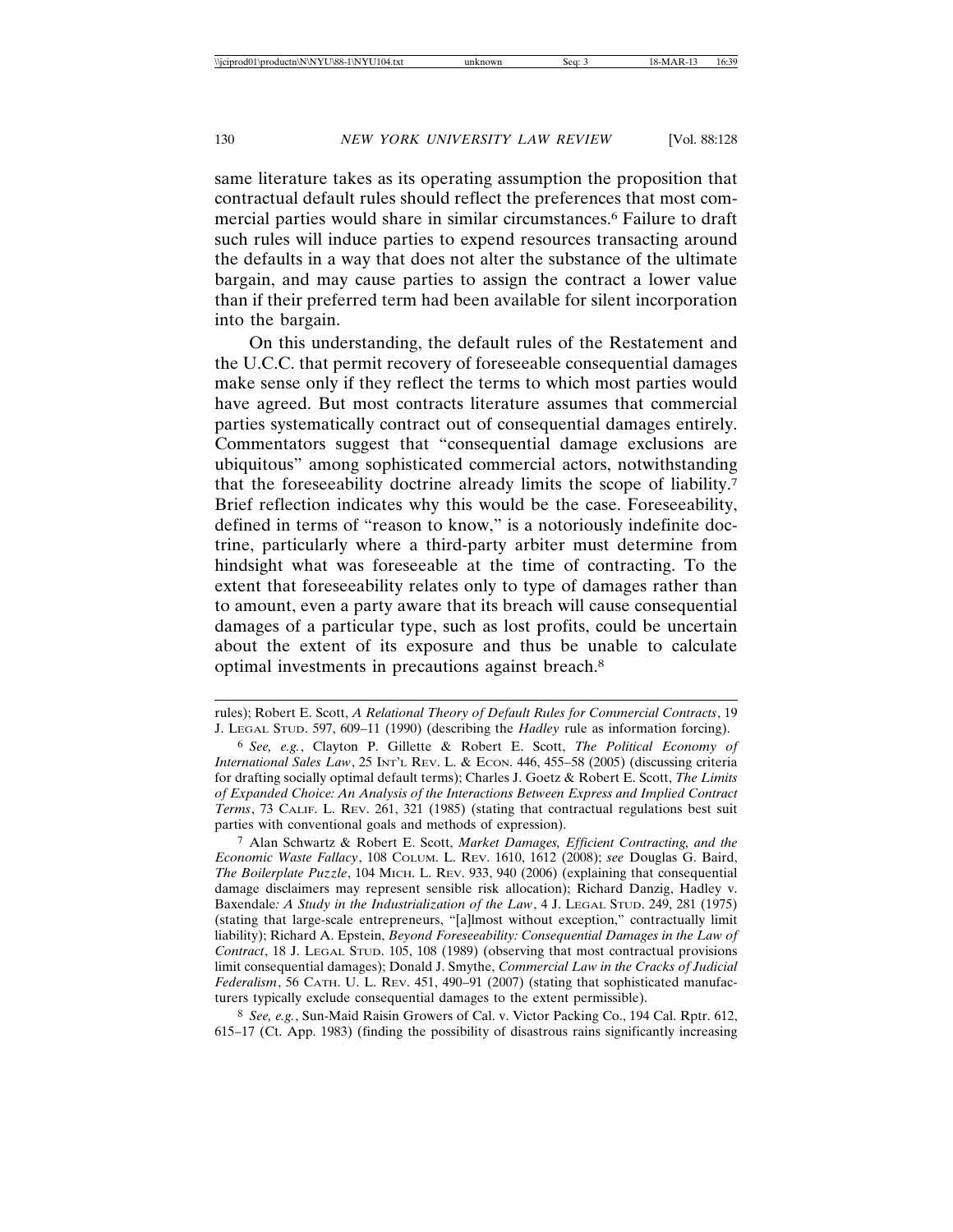same literature takes as its operating assumption the proposition that contractual default rules should reflect the preferences that most commercial parties would share in similar circumstances.6 Failure to draft such rules will induce parties to expend resources transacting around the defaults in a way that does not alter the substance of the ultimate bargain, and may cause parties to assign the contract a lower value than if their preferred term had been available for silent incorporation into the bargain.

On this understanding, the default rules of the Restatement and the U.C.C. that permit recovery of foreseeable consequential damages make sense only if they reflect the terms to which most parties would have agreed. But most contracts literature assumes that commercial parties systematically contract out of consequential damages entirely. Commentators suggest that "consequential damage exclusions are ubiquitous" among sophisticated commercial actors, notwithstanding that the foreseeability doctrine already limits the scope of liability.7 Brief reflection indicates why this would be the case. Foreseeability, defined in terms of "reason to know," is a notoriously indefinite doctrine, particularly where a third-party arbiter must determine from hindsight what was foreseeable at the time of contracting. To the extent that foreseeability relates only to type of damages rather than to amount, even a party aware that its breach will cause consequential damages of a particular type, such as lost profits, could be uncertain about the extent of its exposure and thus be unable to calculate optimal investments in precautions against breach.8

7 Alan Schwartz & Robert E. Scott, *Market Damages, Efficient Contracting, and the Economic Waste Fallacy*, 108 COLUM. L. REV. 1610, 1612 (2008); *see* Douglas G. Baird, *The Boilerplate Puzzle*, 104 MICH. L. REV. 933, 940 (2006) (explaining that consequential damage disclaimers may represent sensible risk allocation); Richard Danzig, Hadley v. Baxendale*: A Study in the Industrialization of the Law*, 4 J. LEGAL STUD. 249, 281 (1975) (stating that large-scale entrepreneurs, "[a]lmost without exception," contractually limit liability); Richard A. Epstein, *Beyond Foreseeability: Consequential Damages in the Law of Contract*, 18 J. LEGAL STUD. 105, 108 (1989) (observing that most contractual provisions limit consequential damages); Donald J. Smythe, *Commercial Law in the Cracks of Judicial Federalism*, 56 CATH. U. L. REV. 451, 490–91 (2007) (stating that sophisticated manufacturers typically exclude consequential damages to the extent permissible).

8 *See, e.g.*, Sun-Maid Raisin Growers of Cal. v. Victor Packing Co., 194 Cal. Rptr. 612, 615–17 (Ct. App. 1983) (finding the possibility of disastrous rains significantly increasing

rules); Robert E. Scott, *A Relational Theory of Default Rules for Commercial Contracts*, 19 J. LEGAL STUD. 597, 609–11 (1990) (describing the *Hadley* rule as information forcing).

<sup>6</sup> *See, e.g.*, Clayton P. Gillette & Robert E. Scott, *The Political Economy of International Sales Law*, 25 INT'L REV. L. & ECON. 446, 455–58 (2005) (discussing criteria for drafting socially optimal default terms); Charles J. Goetz & Robert E. Scott, *The Limits of Expanded Choice: An Analysis of the Interactions Between Express and Implied Contract Terms*, 73 CALIF. L. REV. 261, 321 (1985) (stating that contractual regulations best suit parties with conventional goals and methods of expression).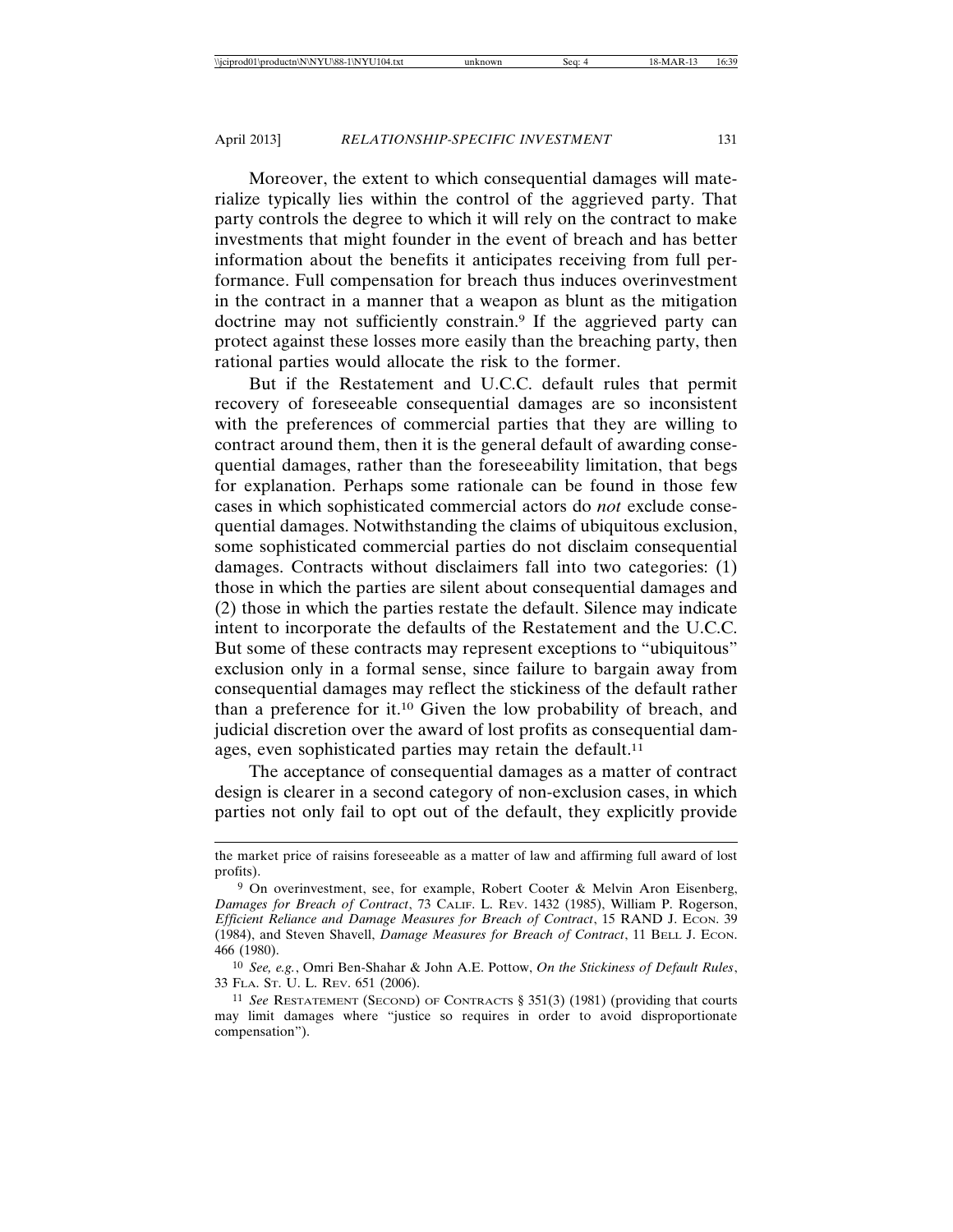Moreover, the extent to which consequential damages will materialize typically lies within the control of the aggrieved party. That party controls the degree to which it will rely on the contract to make investments that might founder in the event of breach and has better information about the benefits it anticipates receiving from full performance. Full compensation for breach thus induces overinvestment in the contract in a manner that a weapon as blunt as the mitigation doctrine may not sufficiently constrain.<sup>9</sup> If the aggrieved party can protect against these losses more easily than the breaching party, then rational parties would allocate the risk to the former.

But if the Restatement and U.C.C. default rules that permit recovery of foreseeable consequential damages are so inconsistent with the preferences of commercial parties that they are willing to contract around them, then it is the general default of awarding consequential damages, rather than the foreseeability limitation, that begs for explanation. Perhaps some rationale can be found in those few cases in which sophisticated commercial actors do *not* exclude consequential damages. Notwithstanding the claims of ubiquitous exclusion, some sophisticated commercial parties do not disclaim consequential damages. Contracts without disclaimers fall into two categories: (1) those in which the parties are silent about consequential damages and (2) those in which the parties restate the default. Silence may indicate intent to incorporate the defaults of the Restatement and the U.C.C. But some of these contracts may represent exceptions to "ubiquitous" exclusion only in a formal sense, since failure to bargain away from consequential damages may reflect the stickiness of the default rather than a preference for it.10 Given the low probability of breach, and judicial discretion over the award of lost profits as consequential damages, even sophisticated parties may retain the default.<sup>11</sup>

The acceptance of consequential damages as a matter of contract design is clearer in a second category of non-exclusion cases, in which parties not only fail to opt out of the default, they explicitly provide

the market price of raisins foreseeable as a matter of law and affirming full award of lost profits).

<sup>9</sup> On overinvestment, see, for example, Robert Cooter & Melvin Aron Eisenberg, *Damages for Breach of Contract*, 73 CALIF. L. REV. 1432 (1985), William P. Rogerson, *Efficient Reliance and Damage Measures for Breach of Contract*, 15 RAND J. ECON. 39 (1984), and Steven Shavell, *Damage Measures for Breach of Contract*, 11 BELL J. ECON. 466 (1980).

<sup>10</sup> *See, e.g.*, Omri Ben-Shahar & John A.E. Pottow, *On the Stickiness of Default Rules*, 33 FLA. ST. U. L. REV. 651 (2006).

<sup>11</sup> *See* RESTATEMENT (SECOND) OF CONTRACTS § 351(3) (1981) (providing that courts may limit damages where "justice so requires in order to avoid disproportionate compensation").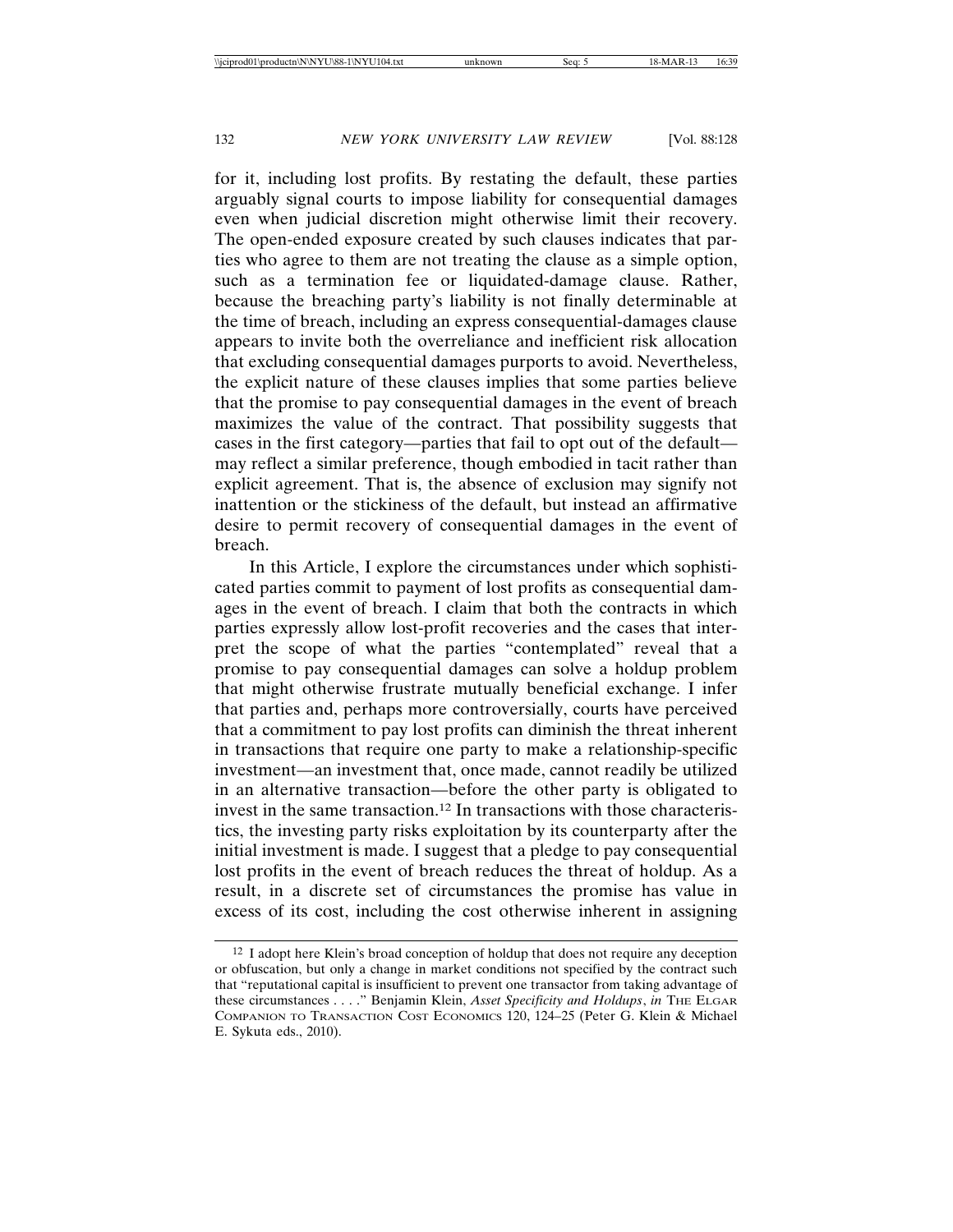for it, including lost profits. By restating the default, these parties arguably signal courts to impose liability for consequential damages even when judicial discretion might otherwise limit their recovery. The open-ended exposure created by such clauses indicates that parties who agree to them are not treating the clause as a simple option, such as a termination fee or liquidated-damage clause. Rather, because the breaching party's liability is not finally determinable at the time of breach, including an express consequential-damages clause appears to invite both the overreliance and inefficient risk allocation that excluding consequential damages purports to avoid. Nevertheless, the explicit nature of these clauses implies that some parties believe that the promise to pay consequential damages in the event of breach maximizes the value of the contract. That possibility suggests that cases in the first category—parties that fail to opt out of the default may reflect a similar preference, though embodied in tacit rather than explicit agreement. That is, the absence of exclusion may signify not inattention or the stickiness of the default, but instead an affirmative desire to permit recovery of consequential damages in the event of breach.

In this Article, I explore the circumstances under which sophisticated parties commit to payment of lost profits as consequential damages in the event of breach. I claim that both the contracts in which parties expressly allow lost-profit recoveries and the cases that interpret the scope of what the parties "contemplated" reveal that a promise to pay consequential damages can solve a holdup problem that might otherwise frustrate mutually beneficial exchange. I infer that parties and, perhaps more controversially, courts have perceived that a commitment to pay lost profits can diminish the threat inherent in transactions that require one party to make a relationship-specific investment—an investment that, once made, cannot readily be utilized in an alternative transaction—before the other party is obligated to invest in the same transaction.12 In transactions with those characteristics, the investing party risks exploitation by its counterparty after the initial investment is made. I suggest that a pledge to pay consequential lost profits in the event of breach reduces the threat of holdup. As a result, in a discrete set of circumstances the promise has value in excess of its cost, including the cost otherwise inherent in assigning

<sup>&</sup>lt;sup>12</sup> I adopt here Klein's broad conception of holdup that does not require any deception or obfuscation, but only a change in market conditions not specified by the contract such that "reputational capital is insufficient to prevent one transactor from taking advantage of these circumstances . . . ." Benjamin Klein, *Asset Specificity and Holdups*, *in* THE ELGAR COMPANION TO TRANSACTION COST ECONOMICS 120, 124–25 (Peter G. Klein & Michael E. Sykuta eds., 2010).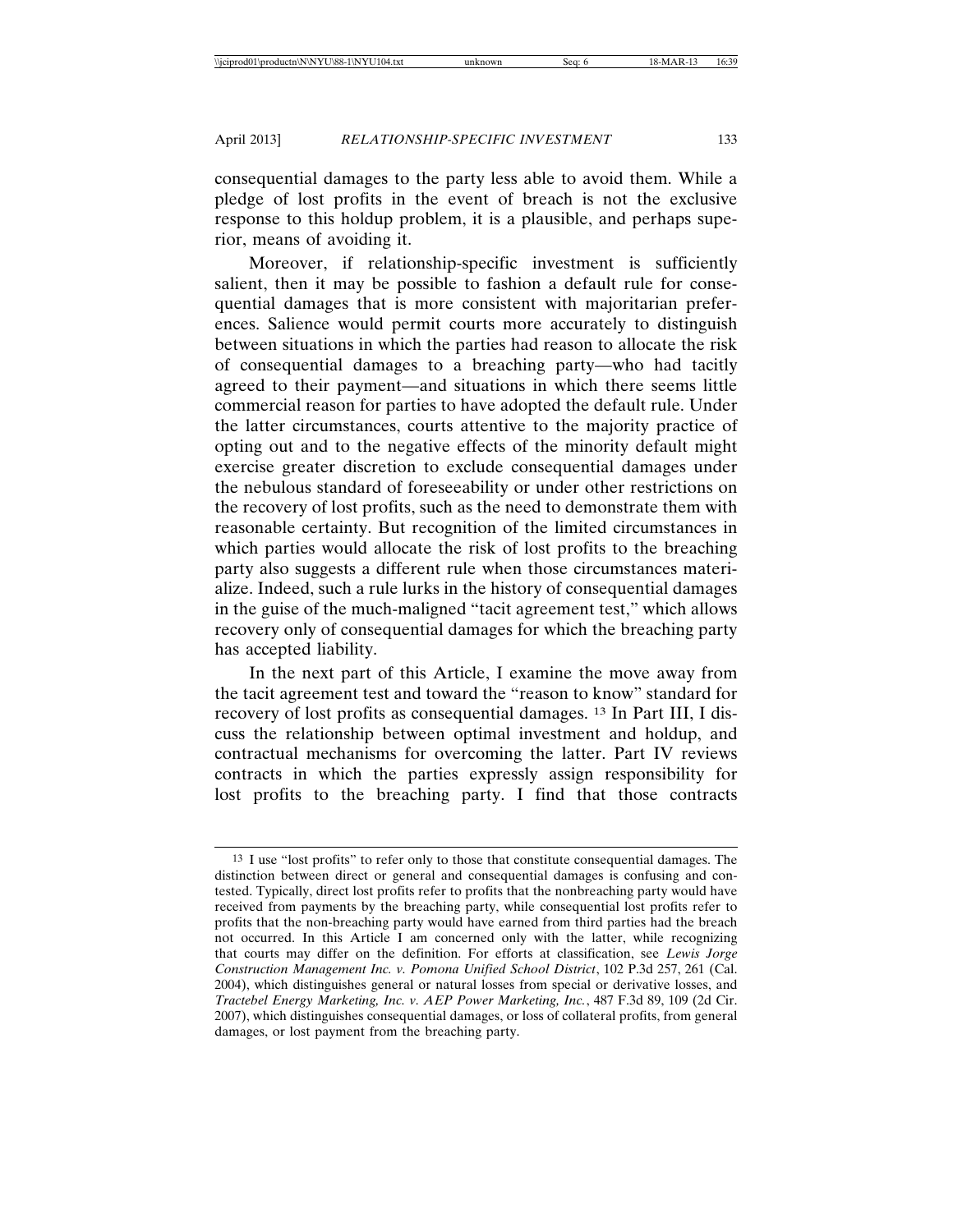consequential damages to the party less able to avoid them. While a pledge of lost profits in the event of breach is not the exclusive response to this holdup problem, it is a plausible, and perhaps superior, means of avoiding it.

Moreover, if relationship-specific investment is sufficiently salient, then it may be possible to fashion a default rule for consequential damages that is more consistent with majoritarian preferences. Salience would permit courts more accurately to distinguish between situations in which the parties had reason to allocate the risk of consequential damages to a breaching party—who had tacitly agreed to their payment—and situations in which there seems little commercial reason for parties to have adopted the default rule. Under the latter circumstances, courts attentive to the majority practice of opting out and to the negative effects of the minority default might exercise greater discretion to exclude consequential damages under the nebulous standard of foreseeability or under other restrictions on the recovery of lost profits, such as the need to demonstrate them with reasonable certainty. But recognition of the limited circumstances in which parties would allocate the risk of lost profits to the breaching party also suggests a different rule when those circumstances materialize. Indeed, such a rule lurks in the history of consequential damages in the guise of the much-maligned "tacit agreement test," which allows recovery only of consequential damages for which the breaching party has accepted liability.

In the next part of this Article, I examine the move away from the tacit agreement test and toward the "reason to know" standard for recovery of lost profits as consequential damages. 13 In Part III, I discuss the relationship between optimal investment and holdup, and contractual mechanisms for overcoming the latter. Part IV reviews contracts in which the parties expressly assign responsibility for lost profits to the breaching party. I find that those contracts

<sup>13</sup> I use "lost profits" to refer only to those that constitute consequential damages. The distinction between direct or general and consequential damages is confusing and contested. Typically, direct lost profits refer to profits that the nonbreaching party would have received from payments by the breaching party, while consequential lost profits refer to profits that the non-breaching party would have earned from third parties had the breach not occurred. In this Article I am concerned only with the latter, while recognizing that courts may differ on the definition. For efforts at classification, see *Lewis Jorge Construction Management Inc. v. Pomona Unified School District*, 102 P.3d 257, 261 (Cal. 2004), which distinguishes general or natural losses from special or derivative losses, and *Tractebel Energy Marketing, Inc. v. AEP Power Marketing, Inc.*, 487 F.3d 89, 109 (2d Cir. 2007), which distinguishes consequential damages, or loss of collateral profits, from general damages, or lost payment from the breaching party.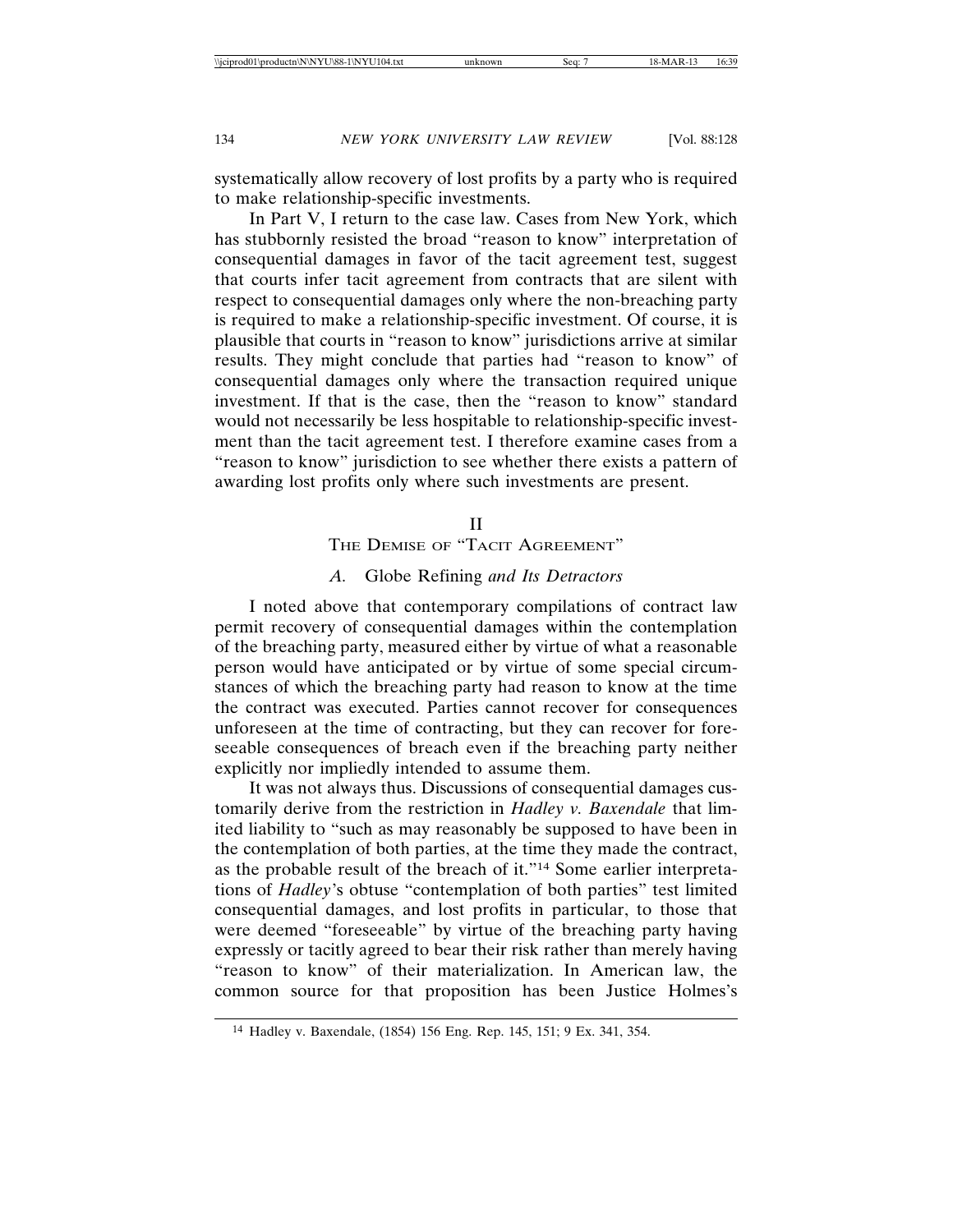systematically allow recovery of lost profits by a party who is required to make relationship-specific investments.

In Part V, I return to the case law. Cases from New York, which has stubbornly resisted the broad "reason to know" interpretation of consequential damages in favor of the tacit agreement test, suggest that courts infer tacit agreement from contracts that are silent with respect to consequential damages only where the non-breaching party is required to make a relationship-specific investment. Of course, it is plausible that courts in "reason to know" jurisdictions arrive at similar results. They might conclude that parties had "reason to know" of consequential damages only where the transaction required unique investment. If that is the case, then the "reason to know" standard would not necessarily be less hospitable to relationship-specific investment than the tacit agreement test. I therefore examine cases from a "reason to know" jurisdiction to see whether there exists a pattern of awarding lost profits only where such investments are present.

## II

# THE DEMISE OF "TACIT AGREEMENT"

# *A.* Globe Refining *and Its Detractors*

I noted above that contemporary compilations of contract law permit recovery of consequential damages within the contemplation of the breaching party, measured either by virtue of what a reasonable person would have anticipated or by virtue of some special circumstances of which the breaching party had reason to know at the time the contract was executed. Parties cannot recover for consequences unforeseen at the time of contracting, but they can recover for foreseeable consequences of breach even if the breaching party neither explicitly nor impliedly intended to assume them.

It was not always thus. Discussions of consequential damages customarily derive from the restriction in *Hadley v. Baxendale* that limited liability to "such as may reasonably be supposed to have been in the contemplation of both parties, at the time they made the contract, as the probable result of the breach of it."14 Some earlier interpretations of *Hadley*'s obtuse "contemplation of both parties" test limited consequential damages, and lost profits in particular, to those that were deemed "foreseeable" by virtue of the breaching party having expressly or tacitly agreed to bear their risk rather than merely having "reason to know" of their materialization. In American law, the common source for that proposition has been Justice Holmes's

<sup>14</sup> Hadley v. Baxendale, (1854) 156 Eng. Rep. 145, 151; 9 Ex. 341, 354.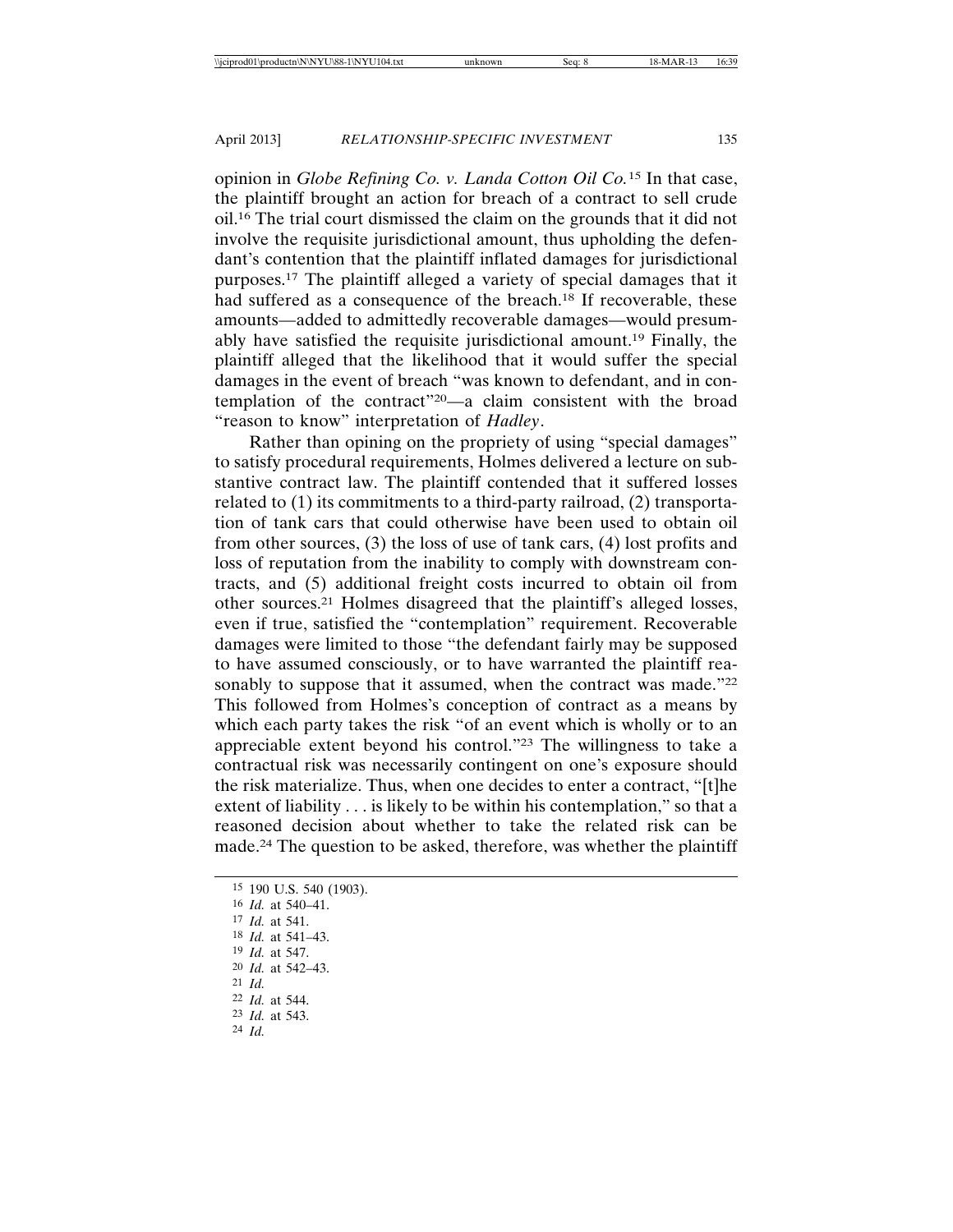opinion in *Globe Refining Co. v. Landa Cotton Oil Co.*15 In that case, the plaintiff brought an action for breach of a contract to sell crude oil.16 The trial court dismissed the claim on the grounds that it did not involve the requisite jurisdictional amount, thus upholding the defendant's contention that the plaintiff inflated damages for jurisdictional purposes.17 The plaintiff alleged a variety of special damages that it had suffered as a consequence of the breach.18 If recoverable, these amounts—added to admittedly recoverable damages—would presumably have satisfied the requisite jurisdictional amount.19 Finally, the plaintiff alleged that the likelihood that it would suffer the special damages in the event of breach "was known to defendant, and in contemplation of the contract"20—a claim consistent with the broad "reason to know" interpretation of *Hadley*.

Rather than opining on the propriety of using "special damages" to satisfy procedural requirements, Holmes delivered a lecture on substantive contract law. The plaintiff contended that it suffered losses related to (1) its commitments to a third-party railroad, (2) transportation of tank cars that could otherwise have been used to obtain oil from other sources, (3) the loss of use of tank cars, (4) lost profits and loss of reputation from the inability to comply with downstream contracts, and (5) additional freight costs incurred to obtain oil from other sources.21 Holmes disagreed that the plaintiff's alleged losses, even if true, satisfied the "contemplation" requirement. Recoverable damages were limited to those "the defendant fairly may be supposed to have assumed consciously, or to have warranted the plaintiff reasonably to suppose that it assumed, when the contract was made."22 This followed from Holmes's conception of contract as a means by which each party takes the risk "of an event which is wholly or to an appreciable extent beyond his control."23 The willingness to take a contractual risk was necessarily contingent on one's exposure should the risk materialize. Thus, when one decides to enter a contract, "[t]he extent of liability . . . is likely to be within his contemplation," so that a reasoned decision about whether to take the related risk can be made.24 The question to be asked, therefore, was whether the plaintiff

- 18 *Id.* at 541–43. 19 *Id.* at 547.
- 20 *Id.* at 542–43.

- 22 *Id.* at 544.
- 23 *Id.* at 543.
- 24 *Id.*

<sup>15</sup> 190 U.S. 540 (1903).

<sup>16</sup> *Id.* at 540–41.

<sup>17</sup> *Id.* at 541.

<sup>21</sup> *Id.*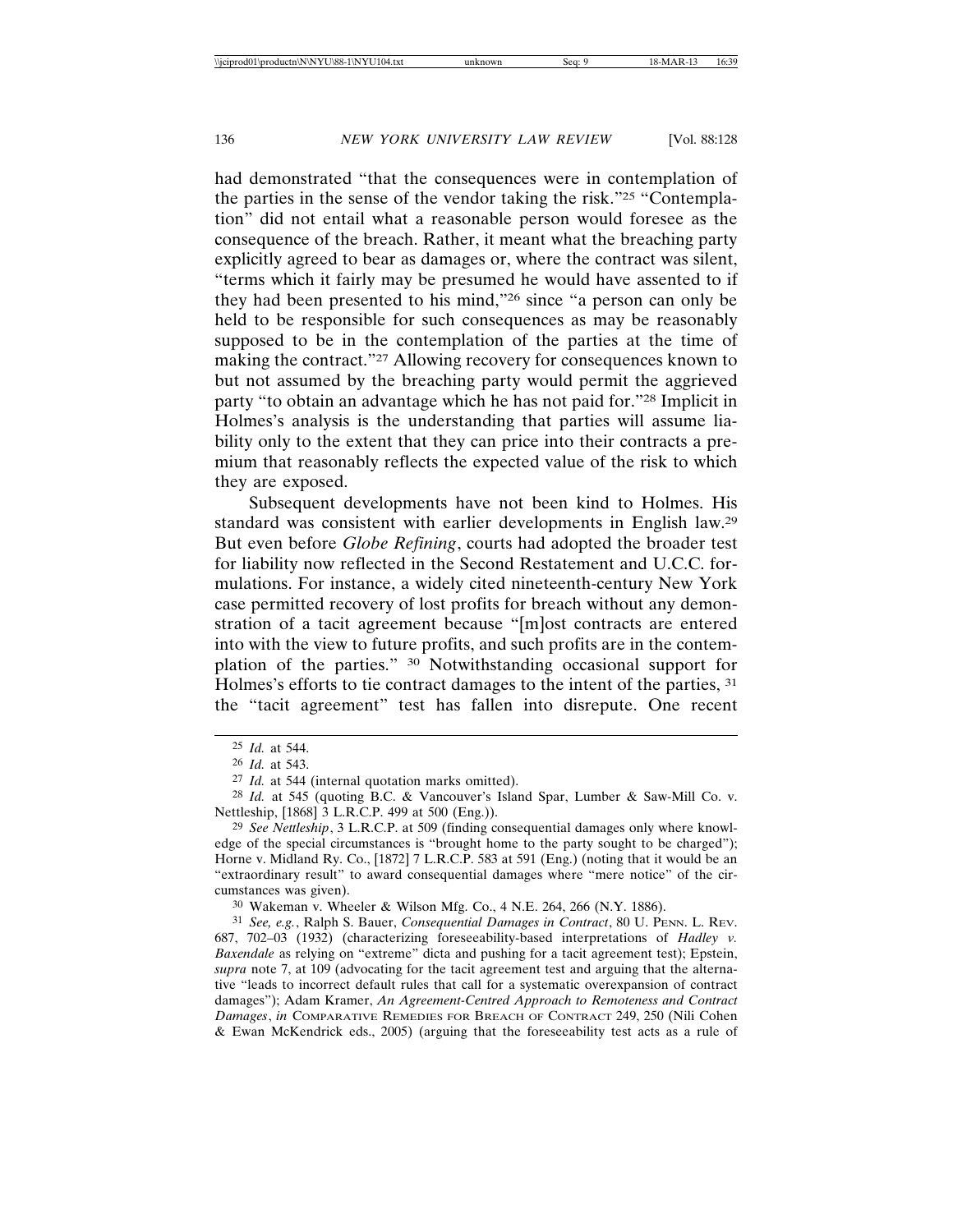had demonstrated "that the consequences were in contemplation of the parties in the sense of the vendor taking the risk."25 "Contemplation" did not entail what a reasonable person would foresee as the consequence of the breach. Rather, it meant what the breaching party explicitly agreed to bear as damages or, where the contract was silent, "terms which it fairly may be presumed he would have assented to if they had been presented to his mind,"26 since "a person can only be held to be responsible for such consequences as may be reasonably supposed to be in the contemplation of the parties at the time of making the contract."27 Allowing recovery for consequences known to but not assumed by the breaching party would permit the aggrieved party "to obtain an advantage which he has not paid for."28 Implicit in Holmes's analysis is the understanding that parties will assume liability only to the extent that they can price into their contracts a premium that reasonably reflects the expected value of the risk to which they are exposed.

Subsequent developments have not been kind to Holmes. His standard was consistent with earlier developments in English law.29 But even before *Globe Refining*, courts had adopted the broader test for liability now reflected in the Second Restatement and U.C.C. formulations. For instance, a widely cited nineteenth-century New York case permitted recovery of lost profits for breach without any demonstration of a tacit agreement because "[m]ost contracts are entered into with the view to future profits, and such profits are in the contemplation of the parties." 30 Notwithstanding occasional support for Holmes's efforts to tie contract damages to the intent of the parties, 31 the "tacit agreement" test has fallen into disrepute. One recent

30 Wakeman v. Wheeler & Wilson Mfg. Co., 4 N.E. 264, 266 (N.Y. 1886).

31 *See, e.g.*, Ralph S. Bauer, *Consequential Damages in Contract*, 80 U. PENN. L. REV. 687, 702–03 (1932) (characterizing foreseeability-based interpretations of *Hadley v. Baxendale* as relying on "extreme" dicta and pushing for a tacit agreement test); Epstein, *supra* note 7, at 109 (advocating for the tacit agreement test and arguing that the alternative "leads to incorrect default rules that call for a systematic overexpansion of contract damages"); Adam Kramer, *An Agreement-Centred Approach to Remoteness and Contract Damages*, *in* COMPARATIVE REMEDIES FOR BREACH OF CONTRACT 249, 250 (Nili Cohen & Ewan McKendrick eds., 2005) (arguing that the foreseeability test acts as a rule of

<sup>25</sup> *Id.* at 544.

<sup>26</sup> *Id.* at 543.

<sup>27</sup> *Id.* at 544 (internal quotation marks omitted).

<sup>28</sup> *Id.* at 545 (quoting B.C. & Vancouver's Island Spar, Lumber & Saw-Mill Co. v. Nettleship, [1868] 3 L.R.C.P. 499 at 500 (Eng.)).

<sup>29</sup> *See Nettleship*, 3 L.R.C.P. at 509 (finding consequential damages only where knowledge of the special circumstances is "brought home to the party sought to be charged"); Horne v. Midland Ry. Co., [1872] 7 L.R.C.P. 583 at 591 (Eng.) (noting that it would be an "extraordinary result" to award consequential damages where "mere notice" of the circumstances was given).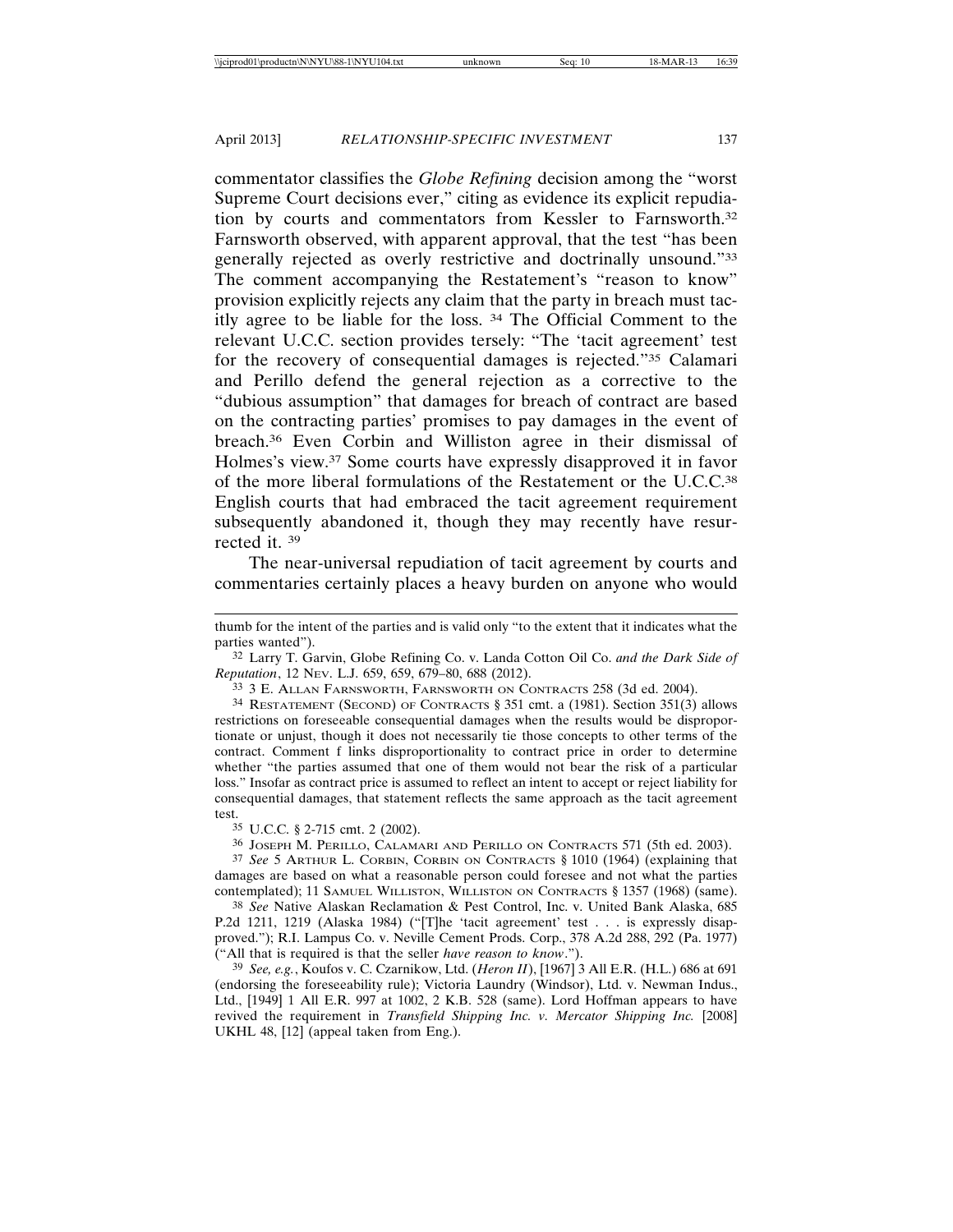commentator classifies the *Globe Refining* decision among the "worst Supreme Court decisions ever," citing as evidence its explicit repudiation by courts and commentators from Kessler to Farnsworth.32 Farnsworth observed, with apparent approval, that the test "has been generally rejected as overly restrictive and doctrinally unsound."33 The comment accompanying the Restatement's "reason to know" provision explicitly rejects any claim that the party in breach must tacitly agree to be liable for the loss. 34 The Official Comment to the relevant U.C.C. section provides tersely: "The 'tacit agreement' test for the recovery of consequential damages is rejected."35 Calamari and Perillo defend the general rejection as a corrective to the "dubious assumption" that damages for breach of contract are based on the contracting parties' promises to pay damages in the event of breach.36 Even Corbin and Williston agree in their dismissal of Holmes's view.37 Some courts have expressly disapproved it in favor of the more liberal formulations of the Restatement or the U.C.C.38 English courts that had embraced the tacit agreement requirement subsequently abandoned it, though they may recently have resurrected it. 39

The near-universal repudiation of tacit agreement by courts and commentaries certainly places a heavy burden on anyone who would

thumb for the intent of the parties and is valid only "to the extent that it indicates what the parties wanted").

<sup>32</sup> Larry T. Garvin, Globe Refining Co. v. Landa Cotton Oil Co. *and the Dark Side of Reputation*, 12 NEV. L.J. 659, 659, 679–80, 688 (2012).

<sup>33</sup> 3 E. ALLAN FARNSWORTH, FARNSWORTH ON CONTRACTS 258 (3d ed. 2004).

<sup>34</sup> RESTATEMENT (SECOND) OF CONTRACTS § 351 cmt. a (1981). Section 351(3) allows restrictions on foreseeable consequential damages when the results would be disproportionate or unjust, though it does not necessarily tie those concepts to other terms of the contract. Comment f links disproportionality to contract price in order to determine whether "the parties assumed that one of them would not bear the risk of a particular loss." Insofar as contract price is assumed to reflect an intent to accept or reject liability for consequential damages, that statement reflects the same approach as the tacit agreement test.

<sup>35</sup> U.C.C. § 2-715 cmt. 2 (2002).

<sup>36</sup> JOSEPH M. PERILLO, CALAMARI AND PERILLO ON CONTRACTS 571 (5th ed. 2003).

<sup>37</sup> *See* 5 ARTHUR L. CORBIN, CORBIN ON CONTRACTS § 1010 (1964) (explaining that damages are based on what a reasonable person could foresee and not what the parties contemplated); 11 SAMUEL WILLISTON, WILLISTON ON CONTRACTS § 1357 (1968) (same).

<sup>38</sup> *See* Native Alaskan Reclamation & Pest Control, Inc. v. United Bank Alaska, 685 P.2d 1211, 1219 (Alaska 1984) ("[T]he 'tacit agreement' test . . . is expressly disapproved."); R.I. Lampus Co. v. Neville Cement Prods. Corp., 378 A.2d 288, 292 (Pa. 1977) ("All that is required is that the seller *have reason to know*.").

<sup>39</sup> *See, e.g.*, Koufos v. C. Czarnikow, Ltd. (*Heron II*), [1967] 3 All E.R. (H.L.) 686 at 691 (endorsing the foreseeability rule); Victoria Laundry (Windsor), Ltd. v. Newman Indus., Ltd., [1949] 1 All E.R. 997 at 1002, 2 K.B. 528 (same). Lord Hoffman appears to have revived the requirement in *Transfield Shipping Inc. v. Mercator Shipping Inc.* [2008] UKHL 48, [12] (appeal taken from Eng.).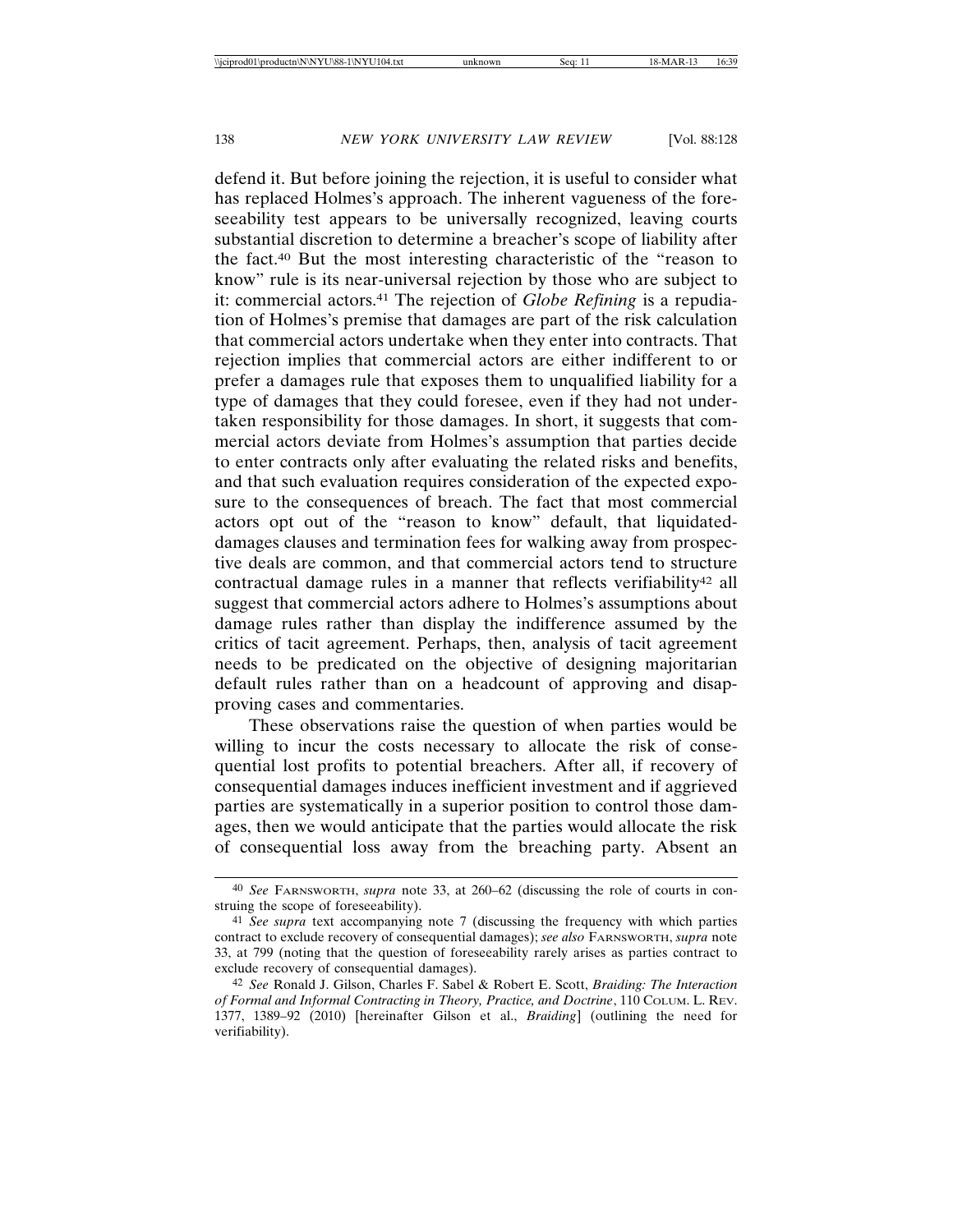defend it. But before joining the rejection, it is useful to consider what has replaced Holmes's approach. The inherent vagueness of the foreseeability test appears to be universally recognized, leaving courts substantial discretion to determine a breacher's scope of liability after the fact.40 But the most interesting characteristic of the "reason to know" rule is its near-universal rejection by those who are subject to it: commercial actors.41 The rejection of *Globe Refining* is a repudiation of Holmes's premise that damages are part of the risk calculation that commercial actors undertake when they enter into contracts. That rejection implies that commercial actors are either indifferent to or prefer a damages rule that exposes them to unqualified liability for a type of damages that they could foresee, even if they had not undertaken responsibility for those damages. In short, it suggests that commercial actors deviate from Holmes's assumption that parties decide to enter contracts only after evaluating the related risks and benefits, and that such evaluation requires consideration of the expected exposure to the consequences of breach. The fact that most commercial actors opt out of the "reason to know" default, that liquidateddamages clauses and termination fees for walking away from prospective deals are common, and that commercial actors tend to structure contractual damage rules in a manner that reflects verifiability<sup>42</sup> all suggest that commercial actors adhere to Holmes's assumptions about damage rules rather than display the indifference assumed by the critics of tacit agreement. Perhaps, then, analysis of tacit agreement needs to be predicated on the objective of designing majoritarian default rules rather than on a headcount of approving and disapproving cases and commentaries.

These observations raise the question of when parties would be willing to incur the costs necessary to allocate the risk of consequential lost profits to potential breachers. After all, if recovery of consequential damages induces inefficient investment and if aggrieved parties are systematically in a superior position to control those damages, then we would anticipate that the parties would allocate the risk of consequential loss away from the breaching party. Absent an

<sup>40</sup> *See* FARNSWORTH, *supra* note 33, at 260–62 (discussing the role of courts in construing the scope of foreseeability).

<sup>41</sup> *See supra* text accompanying note 7 (discussing the frequency with which parties contract to exclude recovery of consequential damages); *see also* FARNSWORTH, *supra* note 33, at 799 (noting that the question of foreseeability rarely arises as parties contract to exclude recovery of consequential damages).

<sup>42</sup> *See* Ronald J. Gilson, Charles F. Sabel & Robert E. Scott, *Braiding: The Interaction of Formal and Informal Contracting in Theory, Practice, and Doctrine*, 110 COLUM. L. REV. 1377, 1389–92 (2010) [hereinafter Gilson et al., *Braiding*] (outlining the need for verifiability).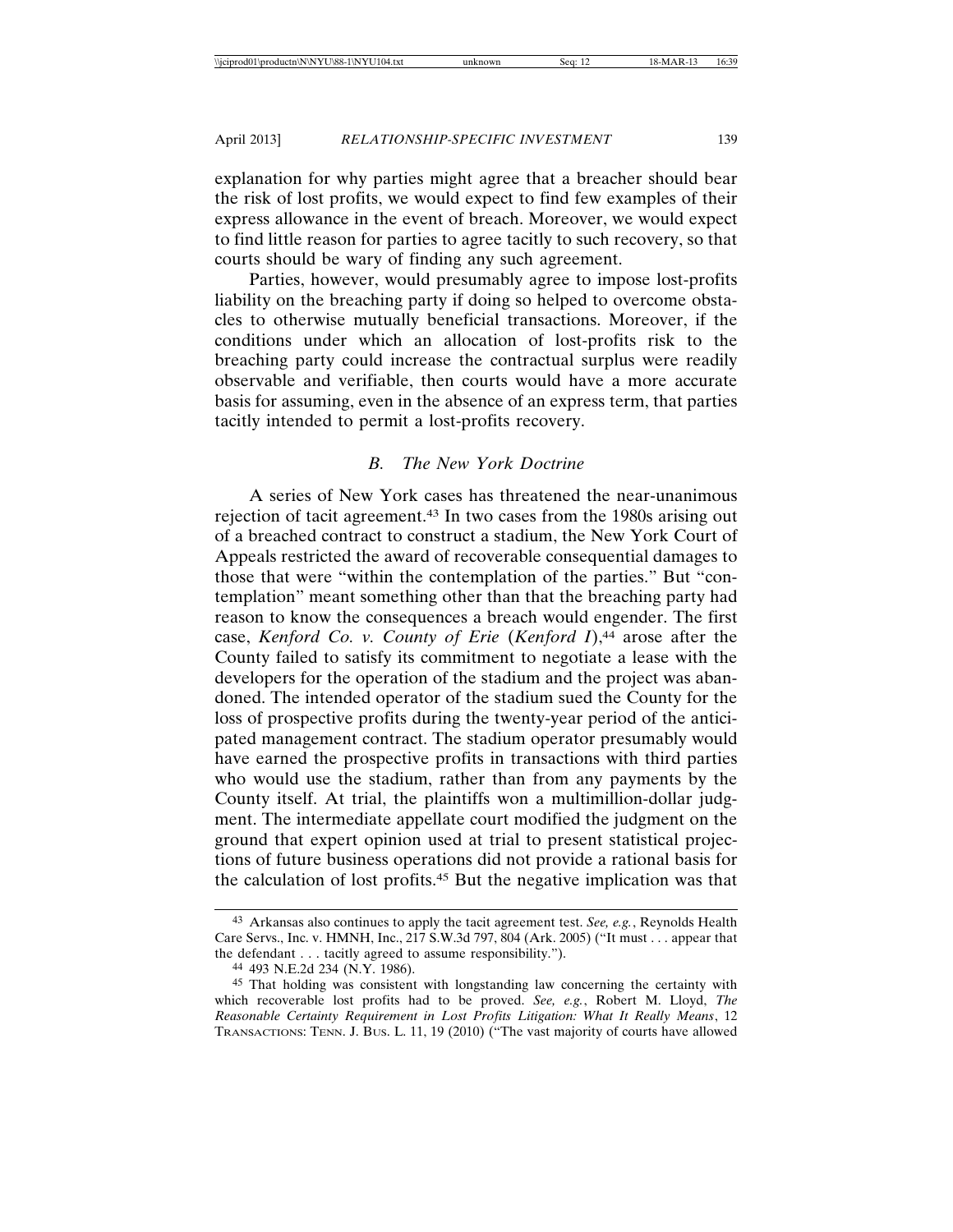explanation for why parties might agree that a breacher should bear the risk of lost profits, we would expect to find few examples of their express allowance in the event of breach. Moreover, we would expect to find little reason for parties to agree tacitly to such recovery, so that courts should be wary of finding any such agreement.

Parties, however, would presumably agree to impose lost-profits liability on the breaching party if doing so helped to overcome obstacles to otherwise mutually beneficial transactions. Moreover, if the conditions under which an allocation of lost-profits risk to the breaching party could increase the contractual surplus were readily observable and verifiable, then courts would have a more accurate basis for assuming, even in the absence of an express term, that parties tacitly intended to permit a lost-profits recovery.

#### *B. The New York Doctrine*

A series of New York cases has threatened the near-unanimous rejection of tacit agreement.43 In two cases from the 1980s arising out of a breached contract to construct a stadium, the New York Court of Appeals restricted the award of recoverable consequential damages to those that were "within the contemplation of the parties." But "contemplation" meant something other than that the breaching party had reason to know the consequences a breach would engender. The first case, *Kenford Co. v. County of Erie* (*Kenford I*),44 arose after the County failed to satisfy its commitment to negotiate a lease with the developers for the operation of the stadium and the project was abandoned. The intended operator of the stadium sued the County for the loss of prospective profits during the twenty-year period of the anticipated management contract. The stadium operator presumably would have earned the prospective profits in transactions with third parties who would use the stadium, rather than from any payments by the County itself. At trial, the plaintiffs won a multimillion-dollar judgment. The intermediate appellate court modified the judgment on the ground that expert opinion used at trial to present statistical projections of future business operations did not provide a rational basis for the calculation of lost profits.45 But the negative implication was that

<sup>43</sup> Arkansas also continues to apply the tacit agreement test. *See, e.g.*, Reynolds Health Care Servs., Inc. v. HMNH, Inc., 217 S.W.3d 797, 804 (Ark. 2005) ("It must . . . appear that the defendant . . . tacitly agreed to assume responsibility.").

<sup>44</sup> 493 N.E.2d 234 (N.Y. 1986).

<sup>45</sup> That holding was consistent with longstanding law concerning the certainty with which recoverable lost profits had to be proved. *See, e.g.*, Robert M. Lloyd, *The Reasonable Certainty Requirement in Lost Profits Litigation: What It Really Means*, 12 TRANSACTIONS: TENN. J. BUS. L. 11, 19 (2010) ("The vast majority of courts have allowed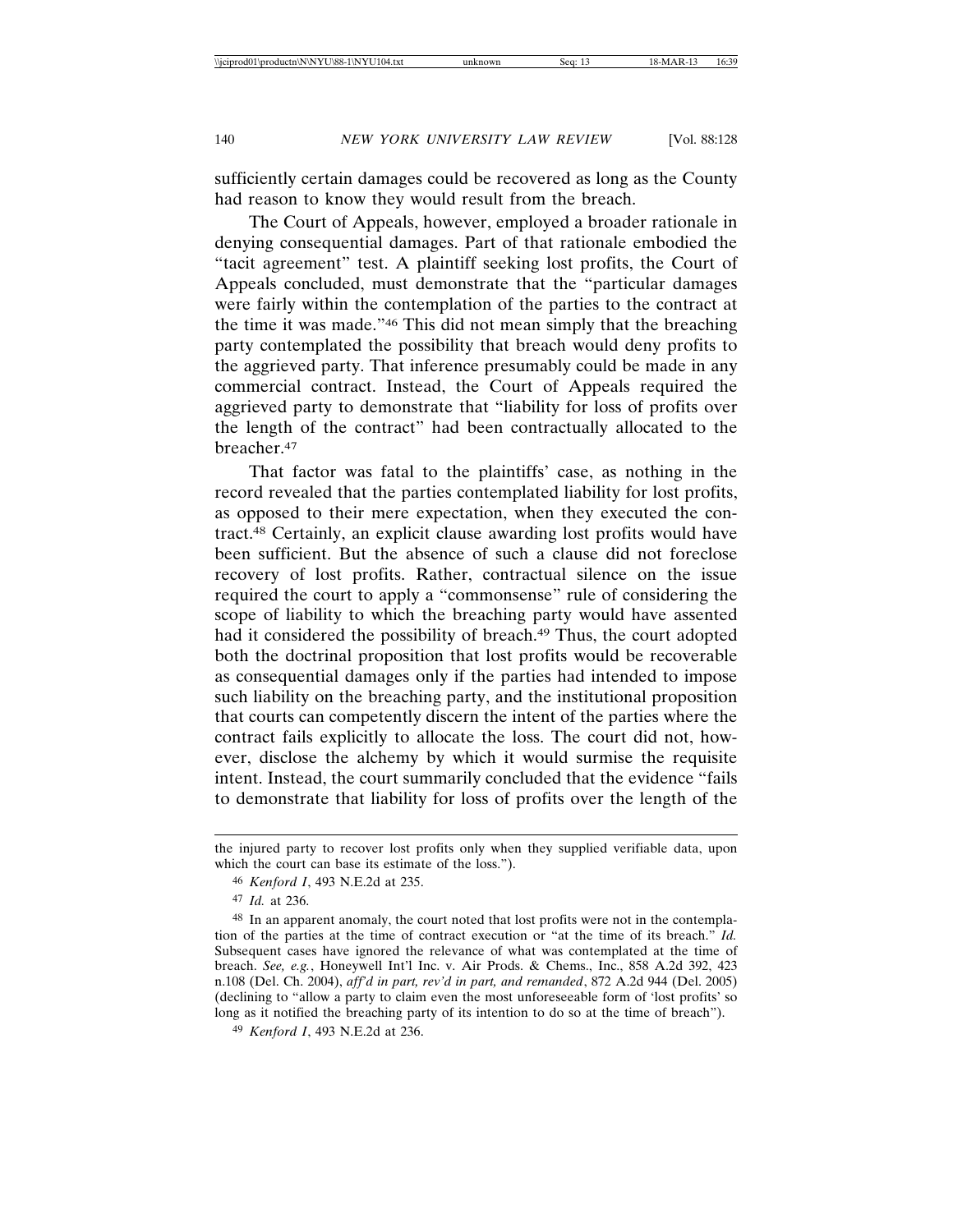sufficiently certain damages could be recovered as long as the County had reason to know they would result from the breach.

The Court of Appeals, however, employed a broader rationale in denying consequential damages. Part of that rationale embodied the "tacit agreement" test. A plaintiff seeking lost profits, the Court of Appeals concluded, must demonstrate that the "particular damages were fairly within the contemplation of the parties to the contract at the time it was made."46 This did not mean simply that the breaching party contemplated the possibility that breach would deny profits to the aggrieved party. That inference presumably could be made in any commercial contract. Instead, the Court of Appeals required the aggrieved party to demonstrate that "liability for loss of profits over the length of the contract" had been contractually allocated to the breacher.47

That factor was fatal to the plaintiffs' case, as nothing in the record revealed that the parties contemplated liability for lost profits, as opposed to their mere expectation, when they executed the contract.48 Certainly, an explicit clause awarding lost profits would have been sufficient. But the absence of such a clause did not foreclose recovery of lost profits. Rather, contractual silence on the issue required the court to apply a "commonsense" rule of considering the scope of liability to which the breaching party would have assented had it considered the possibility of breach.<sup>49</sup> Thus, the court adopted both the doctrinal proposition that lost profits would be recoverable as consequential damages only if the parties had intended to impose such liability on the breaching party, and the institutional proposition that courts can competently discern the intent of the parties where the contract fails explicitly to allocate the loss. The court did not, however, disclose the alchemy by which it would surmise the requisite intent. Instead, the court summarily concluded that the evidence "fails to demonstrate that liability for loss of profits over the length of the

the injured party to recover lost profits only when they supplied verifiable data, upon which the court can base its estimate of the loss.").

<sup>46</sup> *Kenford I*, 493 N.E.2d at 235.

<sup>47</sup> *Id.* at 236.

<sup>48</sup> In an apparent anomaly, the court noted that lost profits were not in the contemplation of the parties at the time of contract execution or "at the time of its breach." *Id.* Subsequent cases have ignored the relevance of what was contemplated at the time of breach. *See, e.g.*, Honeywell Int'l Inc. v. Air Prods. & Chems., Inc., 858 A.2d 392, 423 n.108 (Del. Ch. 2004), *aff'd in part, rev'd in part, and remanded*, 872 A.2d 944 (Del. 2005) (declining to "allow a party to claim even the most unforeseeable form of 'lost profits' so long as it notified the breaching party of its intention to do so at the time of breach").

<sup>49</sup> *Kenford I*, 493 N.E.2d at 236.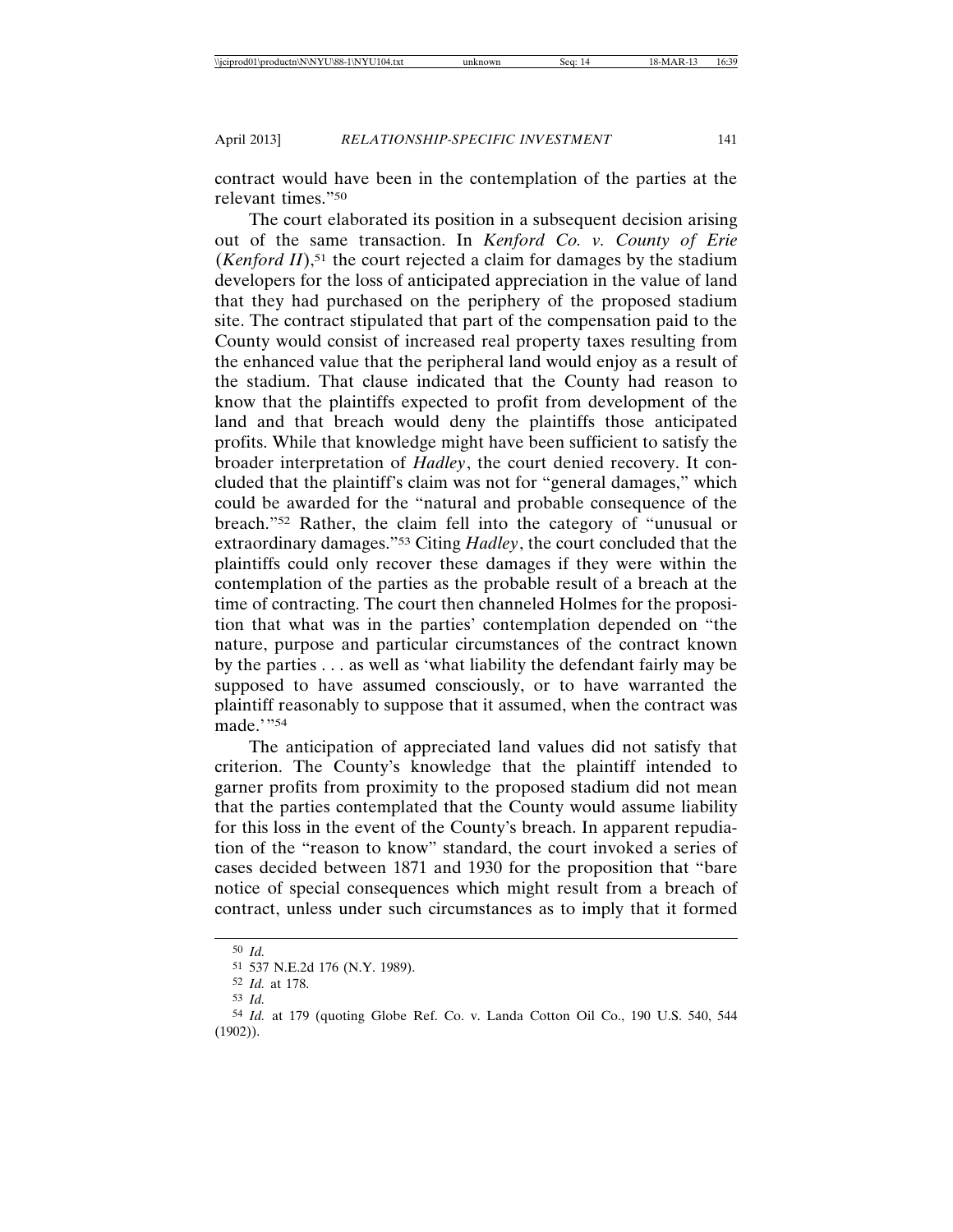contract would have been in the contemplation of the parties at the relevant times."50

The court elaborated its position in a subsequent decision arising out of the same transaction. In *Kenford Co. v. County of Erie*  $(Kenford II)$ ,<sup>51</sup> the court rejected a claim for damages by the stadium developers for the loss of anticipated appreciation in the value of land that they had purchased on the periphery of the proposed stadium site. The contract stipulated that part of the compensation paid to the County would consist of increased real property taxes resulting from the enhanced value that the peripheral land would enjoy as a result of the stadium. That clause indicated that the County had reason to know that the plaintiffs expected to profit from development of the land and that breach would deny the plaintiffs those anticipated profits. While that knowledge might have been sufficient to satisfy the broader interpretation of *Hadley*, the court denied recovery. It concluded that the plaintiff's claim was not for "general damages," which could be awarded for the "natural and probable consequence of the breach."52 Rather, the claim fell into the category of "unusual or extraordinary damages."53 Citing *Hadley*, the court concluded that the plaintiffs could only recover these damages if they were within the contemplation of the parties as the probable result of a breach at the time of contracting. The court then channeled Holmes for the proposition that what was in the parties' contemplation depended on "the nature, purpose and particular circumstances of the contract known by the parties . . . as well as 'what liability the defendant fairly may be supposed to have assumed consciously, or to have warranted the plaintiff reasonably to suppose that it assumed, when the contract was made.'"54

The anticipation of appreciated land values did not satisfy that criterion. The County's knowledge that the plaintiff intended to garner profits from proximity to the proposed stadium did not mean that the parties contemplated that the County would assume liability for this loss in the event of the County's breach. In apparent repudiation of the "reason to know" standard, the court invoked a series of cases decided between 1871 and 1930 for the proposition that "bare notice of special consequences which might result from a breach of contract, unless under such circumstances as to imply that it formed

<sup>50</sup> *Id.*

<sup>51</sup> 537 N.E.2d 176 (N.Y. 1989).

<sup>52</sup> *Id.* at 178.

<sup>53</sup> *Id.*

<sup>54</sup> *Id.* at 179 (quoting Globe Ref. Co. v. Landa Cotton Oil Co., 190 U.S. 540, 544  $(1902)$ ).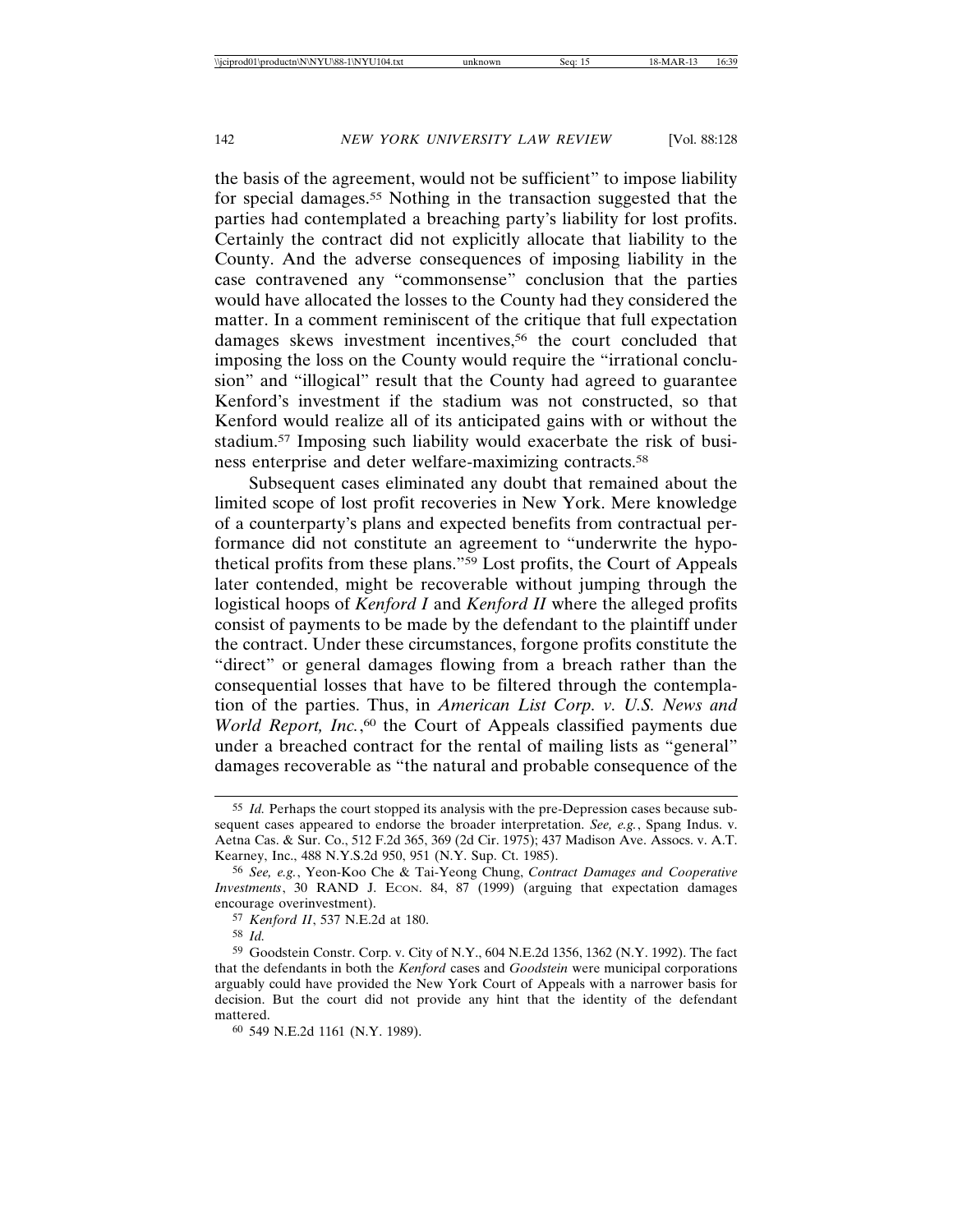the basis of the agreement, would not be sufficient" to impose liability for special damages.55 Nothing in the transaction suggested that the parties had contemplated a breaching party's liability for lost profits. Certainly the contract did not explicitly allocate that liability to the County. And the adverse consequences of imposing liability in the case contravened any "commonsense" conclusion that the parties would have allocated the losses to the County had they considered the matter. In a comment reminiscent of the critique that full expectation damages skews investment incentives,56 the court concluded that imposing the loss on the County would require the "irrational conclusion" and "illogical" result that the County had agreed to guarantee Kenford's investment if the stadium was not constructed, so that Kenford would realize all of its anticipated gains with or without the stadium.57 Imposing such liability would exacerbate the risk of business enterprise and deter welfare-maximizing contracts.58

Subsequent cases eliminated any doubt that remained about the limited scope of lost profit recoveries in New York. Mere knowledge of a counterparty's plans and expected benefits from contractual performance did not constitute an agreement to "underwrite the hypothetical profits from these plans."59 Lost profits, the Court of Appeals later contended, might be recoverable without jumping through the logistical hoops of *Kenford I* and *Kenford II* where the alleged profits consist of payments to be made by the defendant to the plaintiff under the contract. Under these circumstances, forgone profits constitute the "direct" or general damages flowing from a breach rather than the consequential losses that have to be filtered through the contemplation of the parties. Thus, in *American List Corp. v. U.S. News and World Report, Inc.*, 60 the Court of Appeals classified payments due under a breached contract for the rental of mailing lists as "general" damages recoverable as "the natural and probable consequence of the

<sup>55</sup> *Id.* Perhaps the court stopped its analysis with the pre-Depression cases because subsequent cases appeared to endorse the broader interpretation. *See, e.g.*, Spang Indus. v. Aetna Cas. & Sur. Co., 512 F.2d 365, 369 (2d Cir. 1975); 437 Madison Ave. Assocs. v. A.T. Kearney, Inc., 488 N.Y.S.2d 950, 951 (N.Y. Sup. Ct. 1985).

<sup>56</sup> *See, e.g.*, Yeon-Koo Che & Tai-Yeong Chung, *Contract Damages and Cooperative Investments*, 30 RAND J. Econ. 84, 87 (1999) (arguing that expectation damages encourage overinvestment).

<sup>57</sup> *Kenford II*, 537 N.E.2d at 180.

<sup>58</sup> *Id.*

<sup>59</sup> Goodstein Constr. Corp. v. City of N.Y., 604 N.E.2d 1356, 1362 (N.Y. 1992). The fact that the defendants in both the *Kenford* cases and *Goodstein* were municipal corporations arguably could have provided the New York Court of Appeals with a narrower basis for decision. But the court did not provide any hint that the identity of the defendant mattered.

<sup>60</sup> 549 N.E.2d 1161 (N.Y. 1989).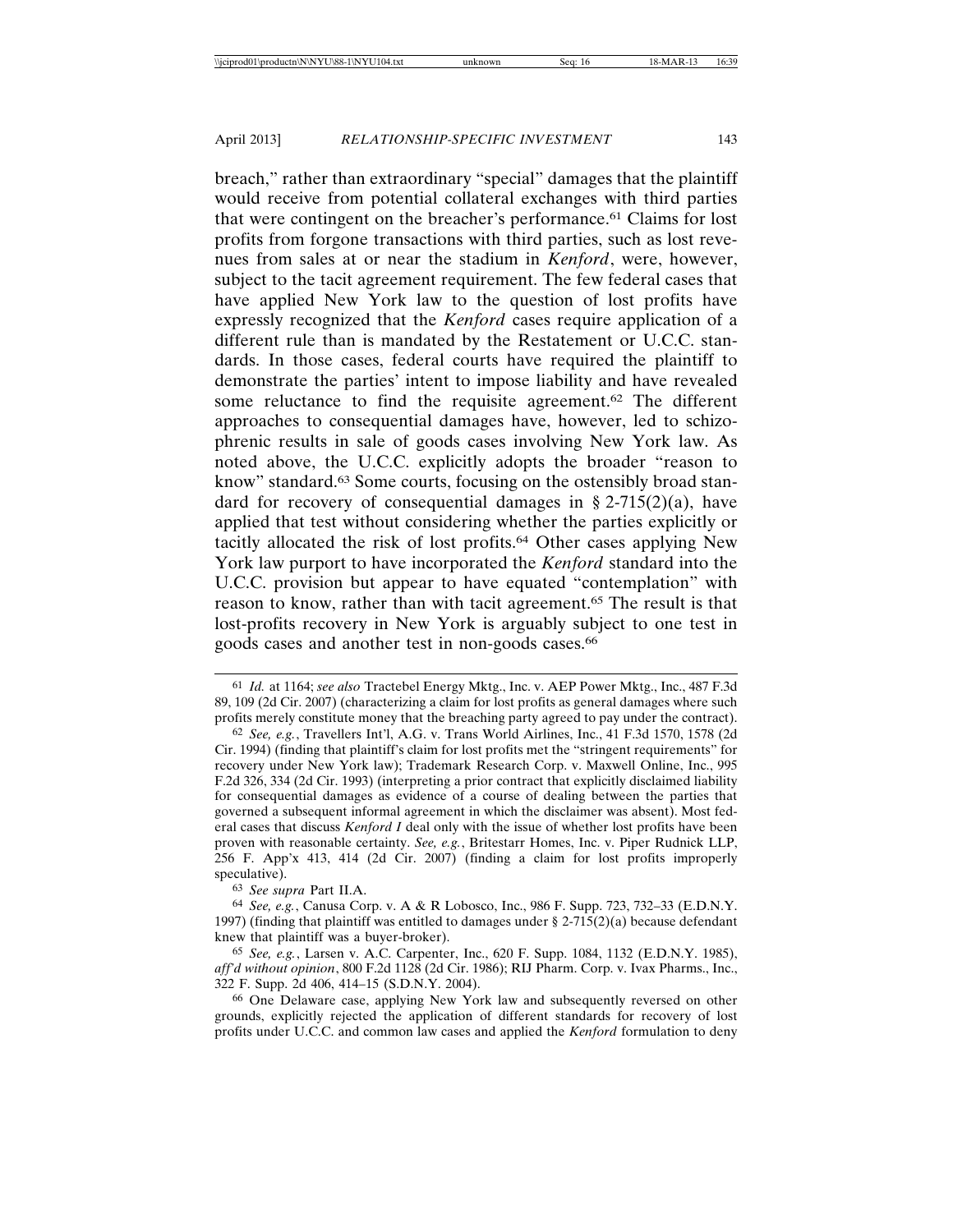breach," rather than extraordinary "special" damages that the plaintiff would receive from potential collateral exchanges with third parties that were contingent on the breacher's performance.61 Claims for lost profits from forgone transactions with third parties, such as lost revenues from sales at or near the stadium in *Kenford*, were, however, subject to the tacit agreement requirement. The few federal cases that have applied New York law to the question of lost profits have expressly recognized that the *Kenford* cases require application of a different rule than is mandated by the Restatement or U.C.C. standards. In those cases, federal courts have required the plaintiff to demonstrate the parties' intent to impose liability and have revealed some reluctance to find the requisite agreement.62 The different approaches to consequential damages have, however, led to schizophrenic results in sale of goods cases involving New York law. As noted above, the U.C.C. explicitly adopts the broader "reason to know" standard.63 Some courts, focusing on the ostensibly broad standard for recovery of consequential damages in § 2-715(2)(a), have applied that test without considering whether the parties explicitly or tacitly allocated the risk of lost profits.64 Other cases applying New York law purport to have incorporated the *Kenford* standard into the U.C.C. provision but appear to have equated "contemplation" with reason to know, rather than with tacit agreement.65 The result is that lost-profits recovery in New York is arguably subject to one test in goods cases and another test in non-goods cases.66

63 *See supra* Part II.A.

<sup>61</sup> *Id.* at 1164; *see also* Tractebel Energy Mktg., Inc. v. AEP Power Mktg., Inc., 487 F.3d 89, 109 (2d Cir. 2007) (characterizing a claim for lost profits as general damages where such profits merely constitute money that the breaching party agreed to pay under the contract).

<sup>62</sup> *See, e.g.*, Travellers Int'l, A.G. v. Trans World Airlines, Inc., 41 F.3d 1570, 1578 (2d Cir. 1994) (finding that plaintiff's claim for lost profits met the "stringent requirements" for recovery under New York law); Trademark Research Corp. v. Maxwell Online, Inc., 995 F.2d 326, 334 (2d Cir. 1993) (interpreting a prior contract that explicitly disclaimed liability for consequential damages as evidence of a course of dealing between the parties that governed a subsequent informal agreement in which the disclaimer was absent). Most federal cases that discuss *Kenford I* deal only with the issue of whether lost profits have been proven with reasonable certainty. *See, e.g.*, Britestarr Homes, Inc. v. Piper Rudnick LLP, 256 F. App'x 413, 414 (2d Cir. 2007) (finding a claim for lost profits improperly speculative).

<sup>64</sup> *See, e.g.*, Canusa Corp. v. A & R Lobosco, Inc., 986 F. Supp. 723, 732–33 (E.D.N.Y. 1997) (finding that plaintiff was entitled to damages under  $\S$  2-715(2)(a) because defendant knew that plaintiff was a buyer-broker).

<sup>65</sup> *See, e.g.*, Larsen v. A.C. Carpenter, Inc., 620 F. Supp. 1084, 1132 (E.D.N.Y. 1985), *aff'd without opinion*, 800 F.2d 1128 (2d Cir. 1986); RIJ Pharm. Corp. v. Ivax Pharms., Inc., 322 F. Supp. 2d 406, 414–15 (S.D.N.Y. 2004).

<sup>66</sup> One Delaware case, applying New York law and subsequently reversed on other grounds, explicitly rejected the application of different standards for recovery of lost profits under U.C.C. and common law cases and applied the *Kenford* formulation to deny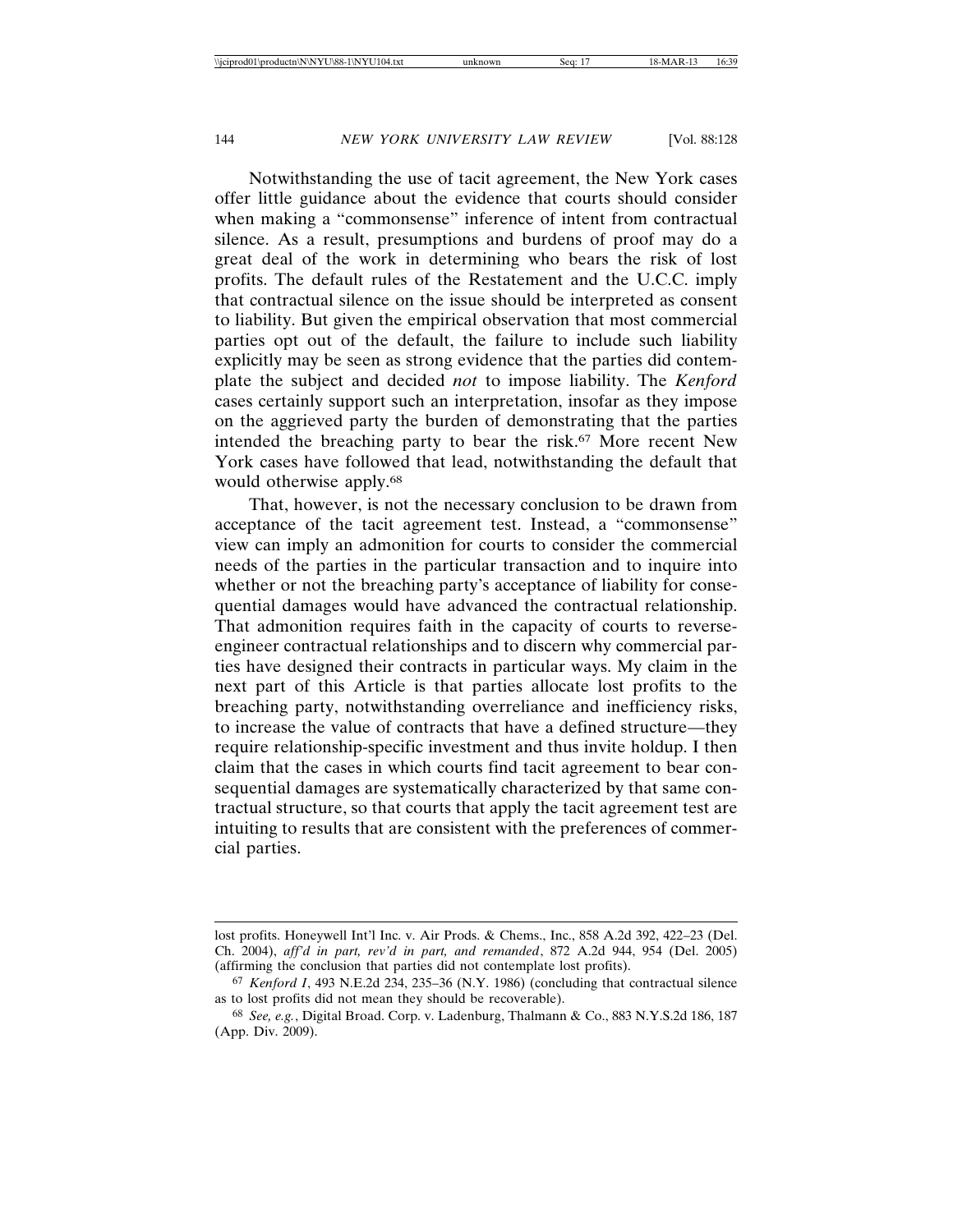Notwithstanding the use of tacit agreement, the New York cases offer little guidance about the evidence that courts should consider when making a "commonsense" inference of intent from contractual silence. As a result, presumptions and burdens of proof may do a great deal of the work in determining who bears the risk of lost profits. The default rules of the Restatement and the U.C.C. imply that contractual silence on the issue should be interpreted as consent to liability. But given the empirical observation that most commercial parties opt out of the default, the failure to include such liability explicitly may be seen as strong evidence that the parties did contemplate the subject and decided *not* to impose liability. The *Kenford* cases certainly support such an interpretation, insofar as they impose on the aggrieved party the burden of demonstrating that the parties intended the breaching party to bear the risk.67 More recent New York cases have followed that lead, notwithstanding the default that would otherwise apply.<sup>68</sup>

That, however, is not the necessary conclusion to be drawn from acceptance of the tacit agreement test. Instead, a "commonsense" view can imply an admonition for courts to consider the commercial needs of the parties in the particular transaction and to inquire into whether or not the breaching party's acceptance of liability for consequential damages would have advanced the contractual relationship. That admonition requires faith in the capacity of courts to reverseengineer contractual relationships and to discern why commercial parties have designed their contracts in particular ways. My claim in the next part of this Article is that parties allocate lost profits to the breaching party, notwithstanding overreliance and inefficiency risks, to increase the value of contracts that have a defined structure—they require relationship-specific investment and thus invite holdup. I then claim that the cases in which courts find tacit agreement to bear consequential damages are systematically characterized by that same contractual structure, so that courts that apply the tacit agreement test are intuiting to results that are consistent with the preferences of commercial parties.

lost profits. Honeywell Int'l Inc. v. Air Prods. & Chems., Inc., 858 A.2d 392, 422–23 (Del. Ch. 2004), *aff'd in part, rev'd in part, and remanded*, 872 A.2d 944, 954 (Del. 2005) (affirming the conclusion that parties did not contemplate lost profits).

<sup>67</sup> *Kenford I*, 493 N.E.2d 234, 235–36 (N.Y. 1986) (concluding that contractual silence as to lost profits did not mean they should be recoverable).

<sup>68</sup> *See, e.g.*, Digital Broad. Corp. v. Ladenburg, Thalmann & Co., 883 N.Y.S.2d 186, 187 (App. Div. 2009).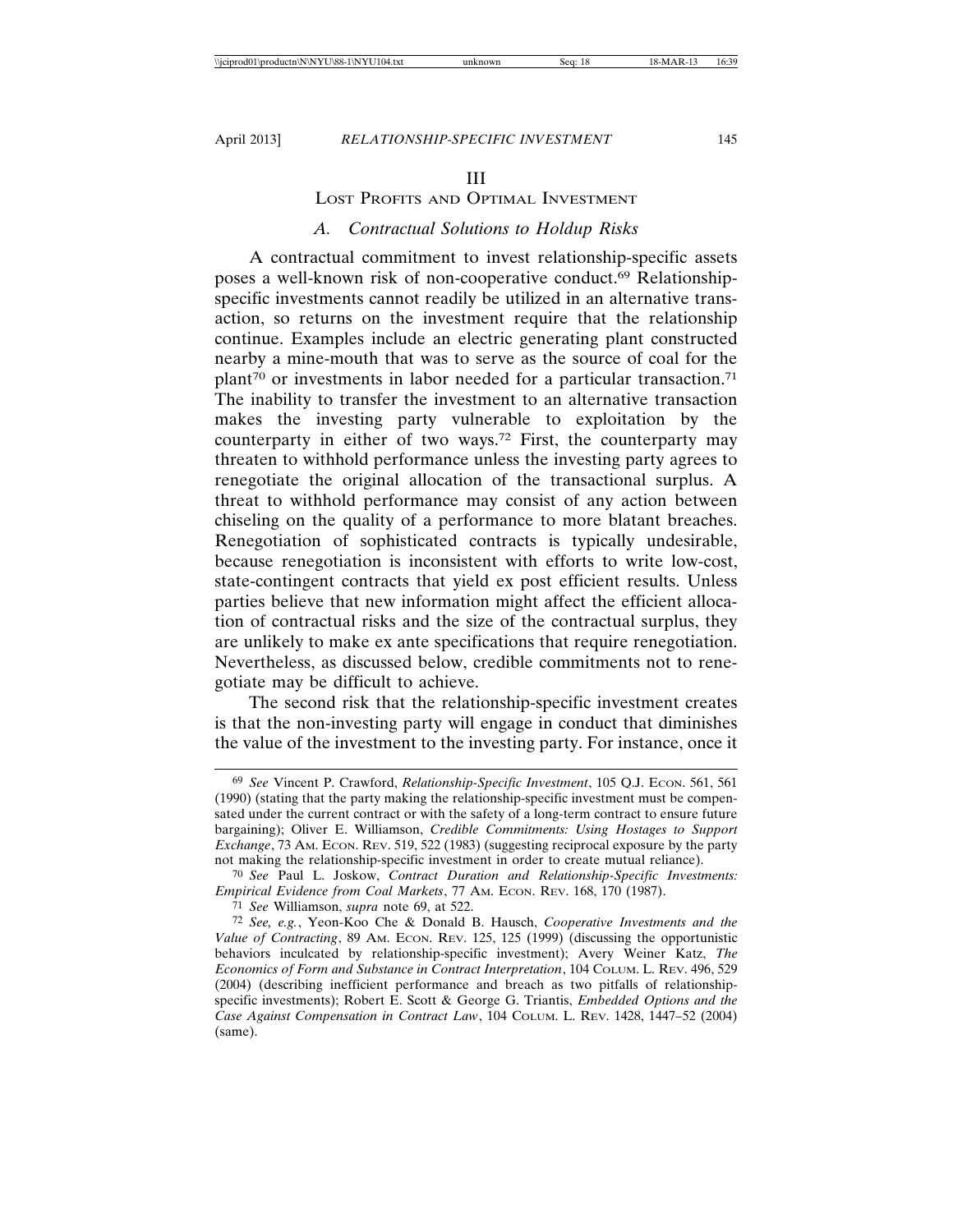#### III

## LOST PROFITS AND OPTIMAL INVESTMENT

## *A. Contractual Solutions to Holdup Risks*

A contractual commitment to invest relationship-specific assets poses a well-known risk of non-cooperative conduct.69 Relationshipspecific investments cannot readily be utilized in an alternative transaction, so returns on the investment require that the relationship continue. Examples include an electric generating plant constructed nearby a mine-mouth that was to serve as the source of coal for the plant70 or investments in labor needed for a particular transaction.71 The inability to transfer the investment to an alternative transaction makes the investing party vulnerable to exploitation by the counterparty in either of two ways.72 First, the counterparty may threaten to withhold performance unless the investing party agrees to renegotiate the original allocation of the transactional surplus. A threat to withhold performance may consist of any action between chiseling on the quality of a performance to more blatant breaches. Renegotiation of sophisticated contracts is typically undesirable, because renegotiation is inconsistent with efforts to write low-cost, state-contingent contracts that yield ex post efficient results. Unless parties believe that new information might affect the efficient allocation of contractual risks and the size of the contractual surplus, they are unlikely to make ex ante specifications that require renegotiation. Nevertheless, as discussed below, credible commitments not to renegotiate may be difficult to achieve.

The second risk that the relationship-specific investment creates is that the non-investing party will engage in conduct that diminishes the value of the investment to the investing party. For instance, once it

<sup>69</sup> *See* Vincent P. Crawford, *Relationship-Specific Investment*, 105 Q.J. ECON. 561, 561 (1990) (stating that the party making the relationship-specific investment must be compensated under the current contract or with the safety of a long-term contract to ensure future bargaining); Oliver E. Williamson, *Credible Commitments: Using Hostages to Support Exchange*, 73 AM. ECON. REV. 519, 522 (1983) (suggesting reciprocal exposure by the party not making the relationship-specific investment in order to create mutual reliance).

<sup>70</sup> *See* Paul L. Joskow, *Contract Duration and Relationship-Specific Investments: Empirical Evidence from Coal Markets*, 77 AM. ECON. REV. 168, 170 (1987).

<sup>71</sup> *See* Williamson, *supra* note 69, at 522.

<sup>72</sup> *See, e.g.*, Yeon-Koo Che & Donald B. Hausch, *Cooperative Investments and the Value of Contracting*, 89 AM. ECON. REV. 125, 125 (1999) (discussing the opportunistic behaviors inculcated by relationship-specific investment); Avery Weiner Katz, *The Economics of Form and Substance in Contract Interpretation*, 104 COLUM. L. REV. 496, 529 (2004) (describing inefficient performance and breach as two pitfalls of relationshipspecific investments); Robert E. Scott & George G. Triantis, *Embedded Options and the Case Against Compensation in Contract Law*, 104 COLUM. L. REV. 1428, 1447–52 (2004) (same).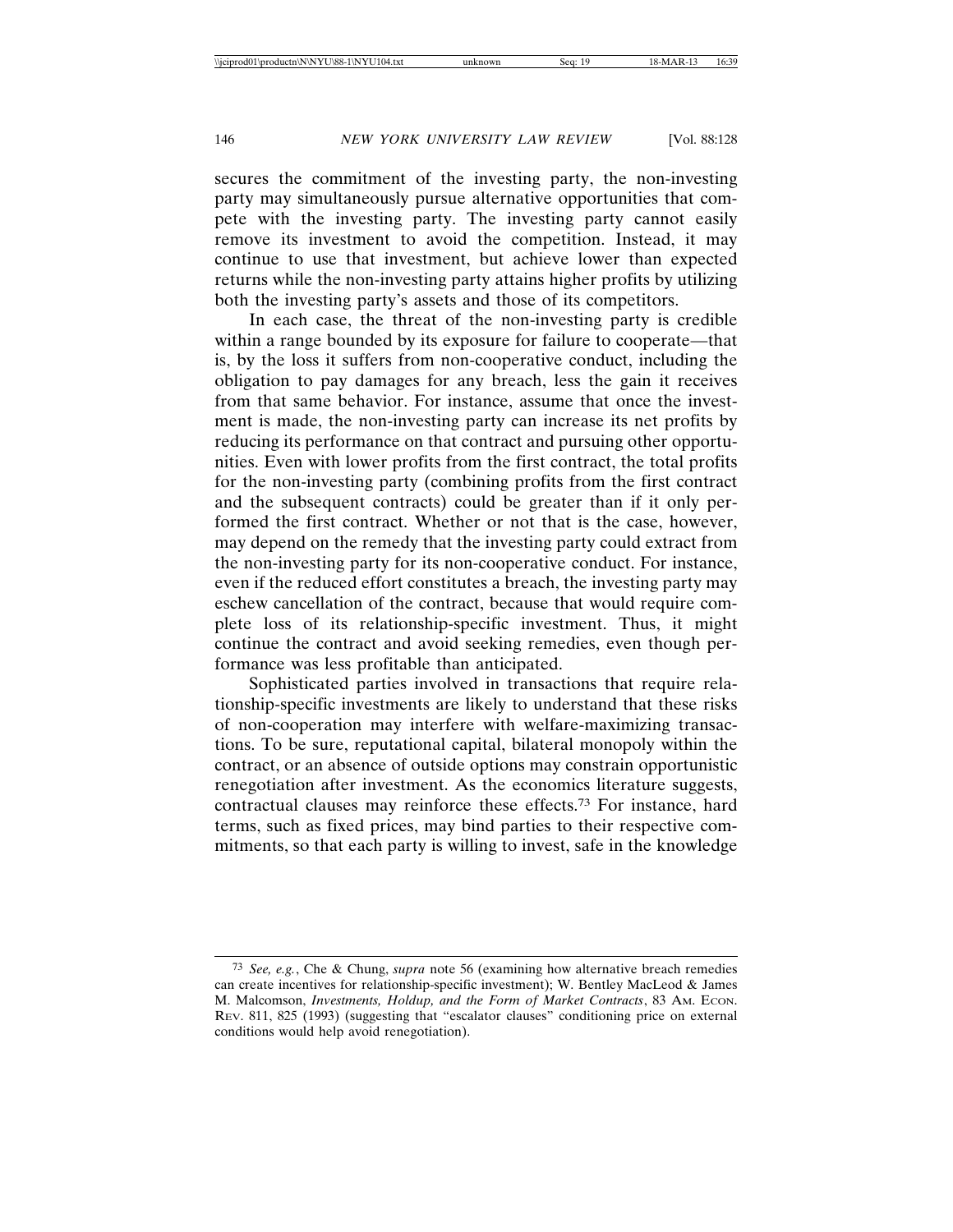secures the commitment of the investing party, the non-investing party may simultaneously pursue alternative opportunities that compete with the investing party. The investing party cannot easily remove its investment to avoid the competition. Instead, it may continue to use that investment, but achieve lower than expected returns while the non-investing party attains higher profits by utilizing both the investing party's assets and those of its competitors.

In each case, the threat of the non-investing party is credible within a range bounded by its exposure for failure to cooperate—that is, by the loss it suffers from non-cooperative conduct, including the obligation to pay damages for any breach, less the gain it receives from that same behavior. For instance, assume that once the investment is made, the non-investing party can increase its net profits by reducing its performance on that contract and pursuing other opportunities. Even with lower profits from the first contract, the total profits for the non-investing party (combining profits from the first contract and the subsequent contracts) could be greater than if it only performed the first contract. Whether or not that is the case, however, may depend on the remedy that the investing party could extract from the non-investing party for its non-cooperative conduct. For instance, even if the reduced effort constitutes a breach, the investing party may eschew cancellation of the contract, because that would require complete loss of its relationship-specific investment. Thus, it might continue the contract and avoid seeking remedies, even though performance was less profitable than anticipated.

Sophisticated parties involved in transactions that require relationship-specific investments are likely to understand that these risks of non-cooperation may interfere with welfare-maximizing transactions. To be sure, reputational capital, bilateral monopoly within the contract, or an absence of outside options may constrain opportunistic renegotiation after investment. As the economics literature suggests, contractual clauses may reinforce these effects.73 For instance, hard terms, such as fixed prices, may bind parties to their respective commitments, so that each party is willing to invest, safe in the knowledge

<sup>73</sup> *See, e.g.*, Che & Chung, *supra* note 56 (examining how alternative breach remedies can create incentives for relationship-specific investment); W. Bentley MacLeod & James M. Malcomson, *Investments, Holdup, and the Form of Market Contracts*, 83 AM. ECON. REV. 811, 825 (1993) (suggesting that "escalator clauses" conditioning price on external conditions would help avoid renegotiation).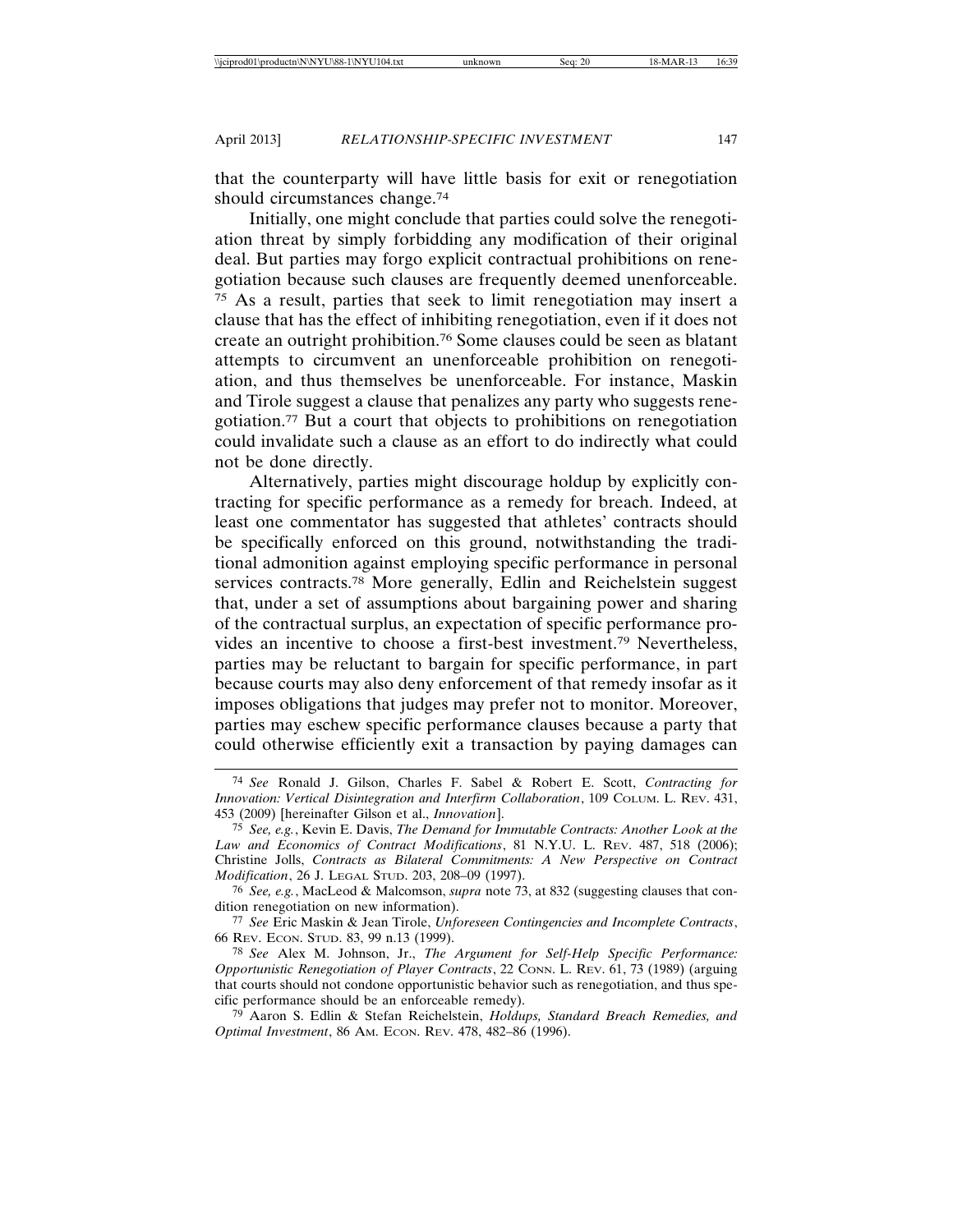that the counterparty will have little basis for exit or renegotiation should circumstances change.74

Initially, one might conclude that parties could solve the renegotiation threat by simply forbidding any modification of their original deal. But parties may forgo explicit contractual prohibitions on renegotiation because such clauses are frequently deemed unenforceable. 75 As a result, parties that seek to limit renegotiation may insert a clause that has the effect of inhibiting renegotiation, even if it does not create an outright prohibition.76 Some clauses could be seen as blatant attempts to circumvent an unenforceable prohibition on renegotiation, and thus themselves be unenforceable. For instance, Maskin and Tirole suggest a clause that penalizes any party who suggests renegotiation.77 But a court that objects to prohibitions on renegotiation could invalidate such a clause as an effort to do indirectly what could not be done directly.

Alternatively, parties might discourage holdup by explicitly contracting for specific performance as a remedy for breach. Indeed, at least one commentator has suggested that athletes' contracts should be specifically enforced on this ground, notwithstanding the traditional admonition against employing specific performance in personal services contracts.78 More generally, Edlin and Reichelstein suggest that, under a set of assumptions about bargaining power and sharing of the contractual surplus, an expectation of specific performance provides an incentive to choose a first-best investment.79 Nevertheless, parties may be reluctant to bargain for specific performance, in part because courts may also deny enforcement of that remedy insofar as it imposes obligations that judges may prefer not to monitor. Moreover, parties may eschew specific performance clauses because a party that could otherwise efficiently exit a transaction by paying damages can

<sup>74</sup> *See* Ronald J. Gilson, Charles F. Sabel & Robert E. Scott, *Contracting for Innovation: Vertical Disintegration and Interfirm Collaboration*, 109 COLUM. L. REV. 431, 453 (2009) [hereinafter Gilson et al., *Innovation*].

<sup>75</sup> *See, e.g.*, Kevin E. Davis, *The Demand for Immutable Contracts: Another Look at the Law and Economics of Contract Modifications*, 81 N.Y.U. L. REV. 487, 518 (2006); Christine Jolls, *Contracts as Bilateral Commitments: A New Perspective on Contract Modification*, 26 J. LEGAL STUD. 203, 208–09 (1997).

<sup>76</sup> *See, e.g.*, MacLeod & Malcomson, *supra* note 73, at 832 (suggesting clauses that condition renegotiation on new information).

<sup>77</sup> *See* Eric Maskin & Jean Tirole, *Unforeseen Contingencies and Incomplete Contracts*, 66 REV. ECON. STUD. 83, 99 n.13 (1999).

<sup>78</sup> *See* Alex M. Johnson, Jr., *The Argument for Self-Help Specific Performance: Opportunistic Renegotiation of Player Contracts*, 22 CONN. L. REV. 61, 73 (1989) (arguing that courts should not condone opportunistic behavior such as renegotiation, and thus specific performance should be an enforceable remedy).

<sup>79</sup> Aaron S. Edlin & Stefan Reichelstein, *Holdups, Standard Breach Remedies, and Optimal Investment*, 86 AM. ECON. REV. 478, 482–86 (1996).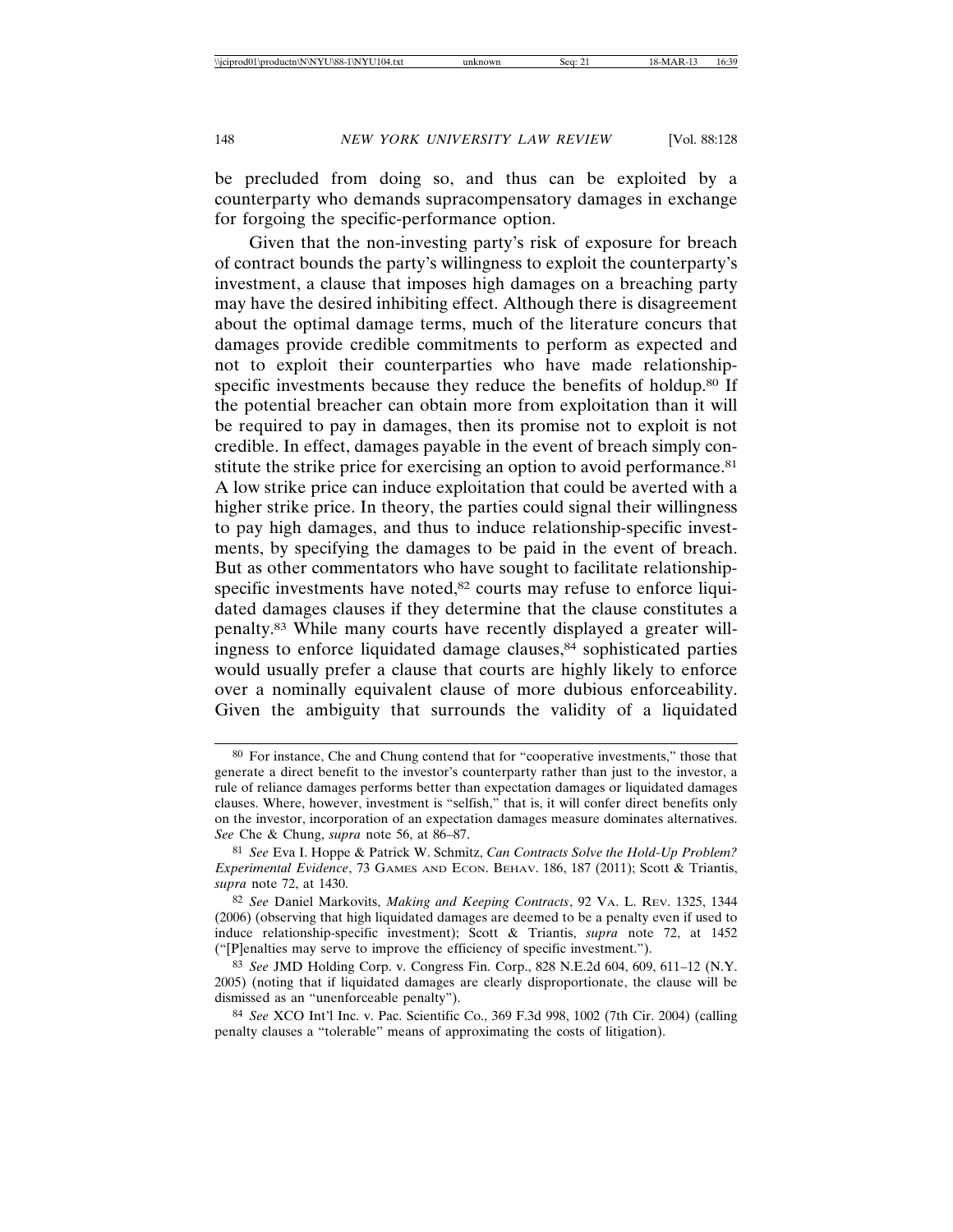be precluded from doing so, and thus can be exploited by a counterparty who demands supracompensatory damages in exchange for forgoing the specific-performance option.

Given that the non-investing party's risk of exposure for breach of contract bounds the party's willingness to exploit the counterparty's investment, a clause that imposes high damages on a breaching party may have the desired inhibiting effect. Although there is disagreement about the optimal damage terms, much of the literature concurs that damages provide credible commitments to perform as expected and not to exploit their counterparties who have made relationshipspecific investments because they reduce the benefits of holdup.<sup>80</sup> If the potential breacher can obtain more from exploitation than it will be required to pay in damages, then its promise not to exploit is not credible. In effect, damages payable in the event of breach simply constitute the strike price for exercising an option to avoid performance.<sup>81</sup> A low strike price can induce exploitation that could be averted with a higher strike price. In theory, the parties could signal their willingness to pay high damages, and thus to induce relationship-specific investments, by specifying the damages to be paid in the event of breach. But as other commentators who have sought to facilitate relationshipspecific investments have noted,<sup>82</sup> courts may refuse to enforce liquidated damages clauses if they determine that the clause constitutes a penalty.83 While many courts have recently displayed a greater willingness to enforce liquidated damage clauses,<sup>84</sup> sophisticated parties would usually prefer a clause that courts are highly likely to enforce over a nominally equivalent clause of more dubious enforceability. Given the ambiguity that surrounds the validity of a liquidated

<sup>80</sup> For instance, Che and Chung contend that for "cooperative investments," those that generate a direct benefit to the investor's counterparty rather than just to the investor, a rule of reliance damages performs better than expectation damages or liquidated damages clauses. Where, however, investment is "selfish," that is, it will confer direct benefits only on the investor, incorporation of an expectation damages measure dominates alternatives. *See* Che & Chung, *supra* note 56, at 86–87.

<sup>81</sup> *See* Eva I. Hoppe & Patrick W. Schmitz, *Can Contracts Solve the Hold-Up Problem? Experimental Evidence*, 73 GAMES AND ECON. BEHAV. 186, 187 (2011); Scott & Triantis, *supra* note 72, at 1430.

<sup>82</sup> *See* Daniel Markovits, *Making and Keeping Contracts*, 92 VA. L. REV. 1325, 1344 (2006) (observing that high liquidated damages are deemed to be a penalty even if used to induce relationship-specific investment); Scott & Triantis, *supra* note 72, at 1452 ("[P]enalties may serve to improve the efficiency of specific investment.").

<sup>83</sup> *See* JMD Holding Corp. v. Congress Fin. Corp., 828 N.E.2d 604, 609, 611–12 (N.Y. 2005) (noting that if liquidated damages are clearly disproportionate, the clause will be dismissed as an "unenforceable penalty").

<sup>84</sup> *See* XCO Int'l Inc. v. Pac. Scientific Co., 369 F.3d 998, 1002 (7th Cir. 2004) (calling penalty clauses a "tolerable" means of approximating the costs of litigation).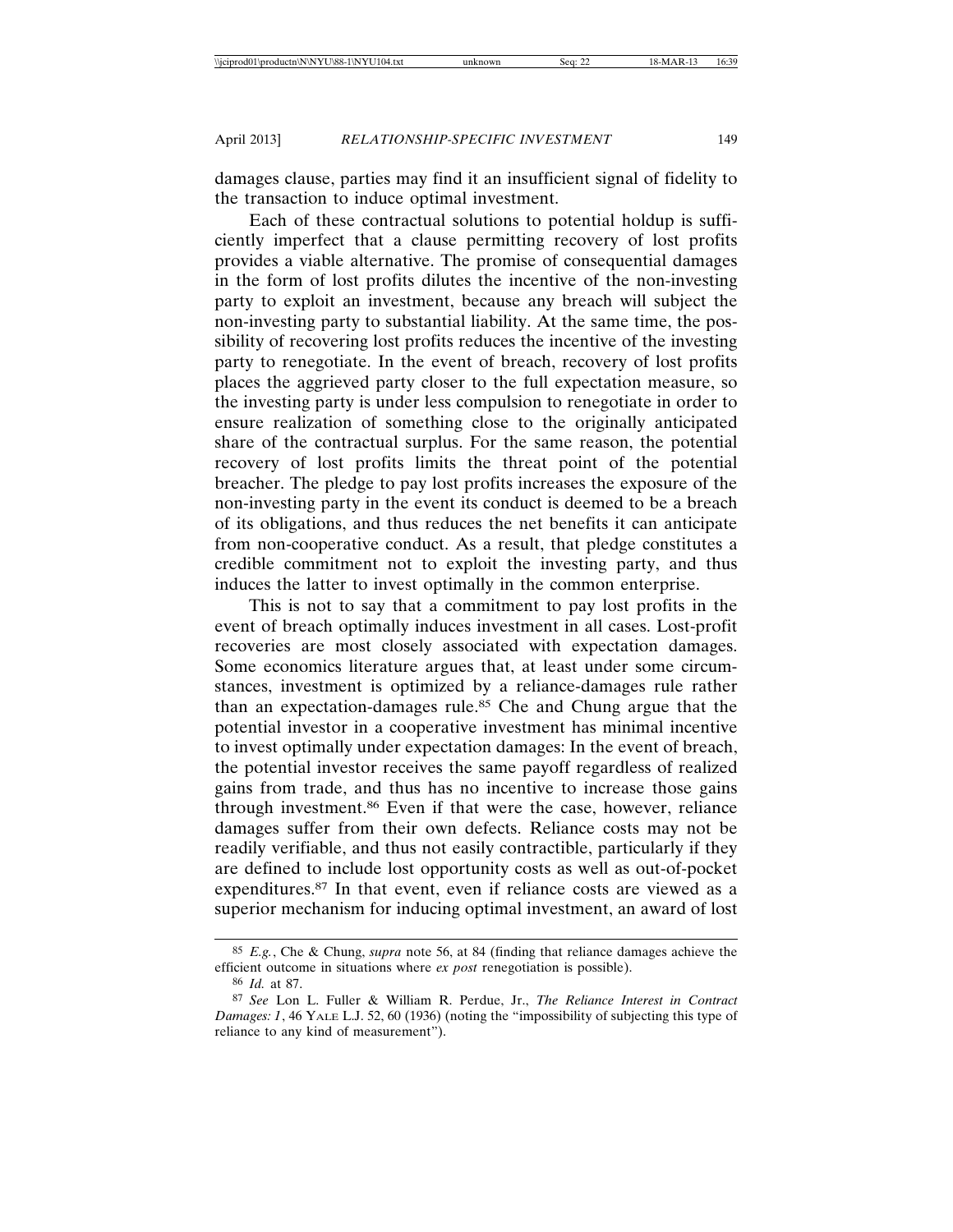damages clause, parties may find it an insufficient signal of fidelity to the transaction to induce optimal investment.

Each of these contractual solutions to potential holdup is sufficiently imperfect that a clause permitting recovery of lost profits provides a viable alternative. The promise of consequential damages in the form of lost profits dilutes the incentive of the non-investing party to exploit an investment, because any breach will subject the non-investing party to substantial liability. At the same time, the possibility of recovering lost profits reduces the incentive of the investing party to renegotiate. In the event of breach, recovery of lost profits places the aggrieved party closer to the full expectation measure, so the investing party is under less compulsion to renegotiate in order to ensure realization of something close to the originally anticipated share of the contractual surplus. For the same reason, the potential recovery of lost profits limits the threat point of the potential breacher. The pledge to pay lost profits increases the exposure of the non-investing party in the event its conduct is deemed to be a breach of its obligations, and thus reduces the net benefits it can anticipate from non-cooperative conduct. As a result, that pledge constitutes a credible commitment not to exploit the investing party, and thus induces the latter to invest optimally in the common enterprise.

This is not to say that a commitment to pay lost profits in the event of breach optimally induces investment in all cases. Lost-profit recoveries are most closely associated with expectation damages. Some economics literature argues that, at least under some circumstances, investment is optimized by a reliance-damages rule rather than an expectation-damages rule.85 Che and Chung argue that the potential investor in a cooperative investment has minimal incentive to invest optimally under expectation damages: In the event of breach, the potential investor receives the same payoff regardless of realized gains from trade, and thus has no incentive to increase those gains through investment.86 Even if that were the case, however, reliance damages suffer from their own defects. Reliance costs may not be readily verifiable, and thus not easily contractible, particularly if they are defined to include lost opportunity costs as well as out-of-pocket expenditures.87 In that event, even if reliance costs are viewed as a superior mechanism for inducing optimal investment, an award of lost

<sup>85</sup> *E.g.*, Che & Chung, *supra* note 56, at 84 (finding that reliance damages achieve the efficient outcome in situations where *ex post* renegotiation is possible).

<sup>86</sup> *Id.* at 87.

<sup>87</sup> *See* Lon L. Fuller & William R. Perdue, Jr., *The Reliance Interest in Contract Damages: 1*, 46 YALE L.J. 52, 60 (1936) (noting the "impossibility of subjecting this type of reliance to any kind of measurement").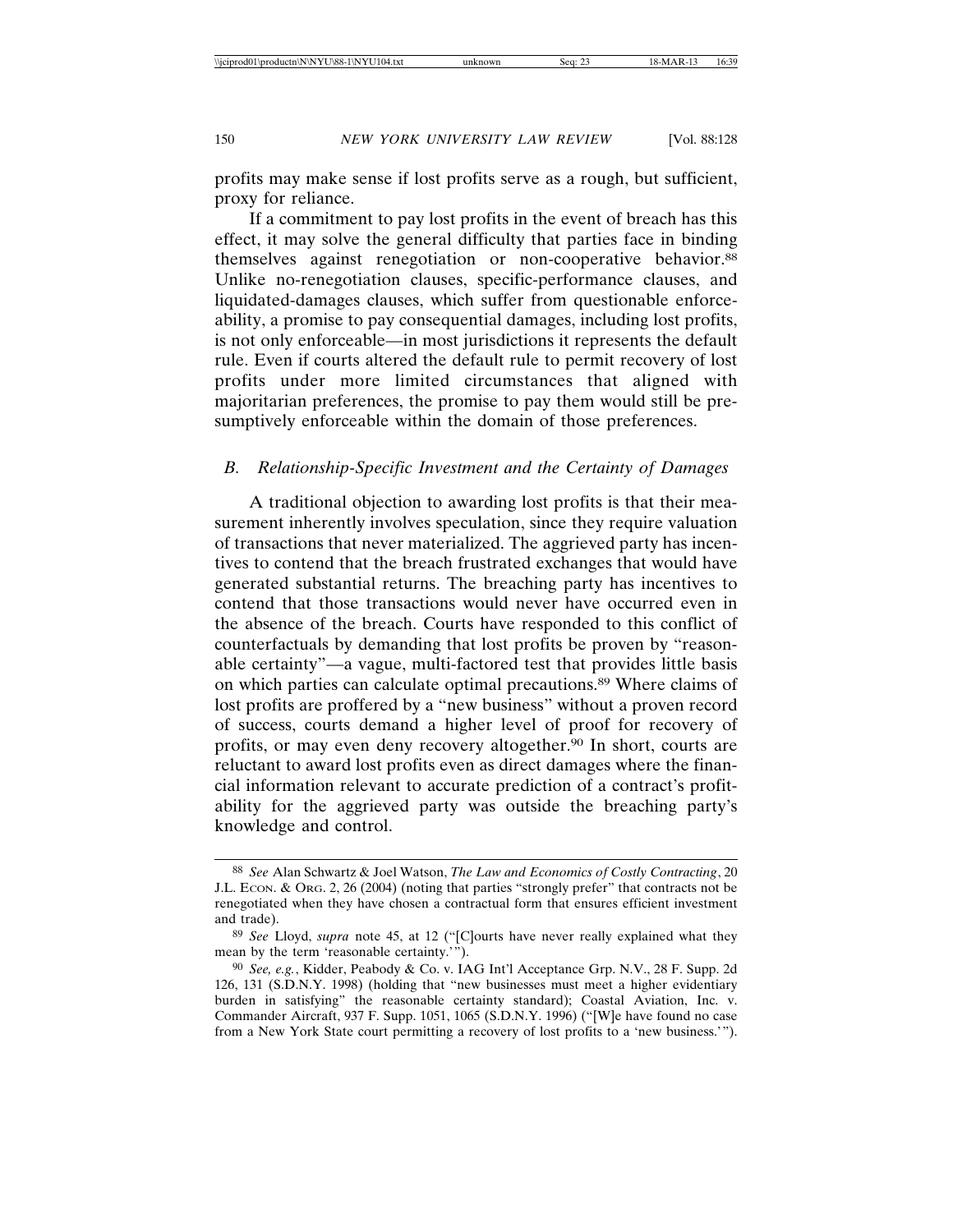profits may make sense if lost profits serve as a rough, but sufficient, proxy for reliance.

If a commitment to pay lost profits in the event of breach has this effect, it may solve the general difficulty that parties face in binding themselves against renegotiation or non-cooperative behavior.<sup>88</sup> Unlike no-renegotiation clauses, specific-performance clauses, and liquidated-damages clauses, which suffer from questionable enforceability, a promise to pay consequential damages, including lost profits, is not only enforceable—in most jurisdictions it represents the default rule. Even if courts altered the default rule to permit recovery of lost profits under more limited circumstances that aligned with majoritarian preferences, the promise to pay them would still be presumptively enforceable within the domain of those preferences.

## *B. Relationship-Specific Investment and the Certainty of Damages*

A traditional objection to awarding lost profits is that their measurement inherently involves speculation, since they require valuation of transactions that never materialized. The aggrieved party has incentives to contend that the breach frustrated exchanges that would have generated substantial returns. The breaching party has incentives to contend that those transactions would never have occurred even in the absence of the breach. Courts have responded to this conflict of counterfactuals by demanding that lost profits be proven by "reasonable certainty"—a vague, multi-factored test that provides little basis on which parties can calculate optimal precautions.89 Where claims of lost profits are proffered by a "new business" without a proven record of success, courts demand a higher level of proof for recovery of profits, or may even deny recovery altogether.<sup>90</sup> In short, courts are reluctant to award lost profits even as direct damages where the financial information relevant to accurate prediction of a contract's profitability for the aggrieved party was outside the breaching party's knowledge and control.

<sup>88</sup> *See* Alan Schwartz & Joel Watson, *The Law and Economics of Costly Contracting*, 20 J.L. ECON. & ORG. 2, 26 (2004) (noting that parties "strongly prefer" that contracts not be renegotiated when they have chosen a contractual form that ensures efficient investment and trade).

<sup>89</sup> *See* Lloyd, *supra* note 45, at 12 ("[C]ourts have never really explained what they mean by the term 'reasonable certainty.'").

<sup>90</sup> *See, e.g.*, Kidder, Peabody & Co. v. IAG Int'l Acceptance Grp. N.V., 28 F. Supp. 2d 126, 131 (S.D.N.Y. 1998) (holding that "new businesses must meet a higher evidentiary burden in satisfying" the reasonable certainty standard); Coastal Aviation, Inc. v. Commander Aircraft, 937 F. Supp. 1051, 1065 (S.D.N.Y. 1996) ("[W]e have found no case from a New York State court permitting a recovery of lost profits to a 'new business.'").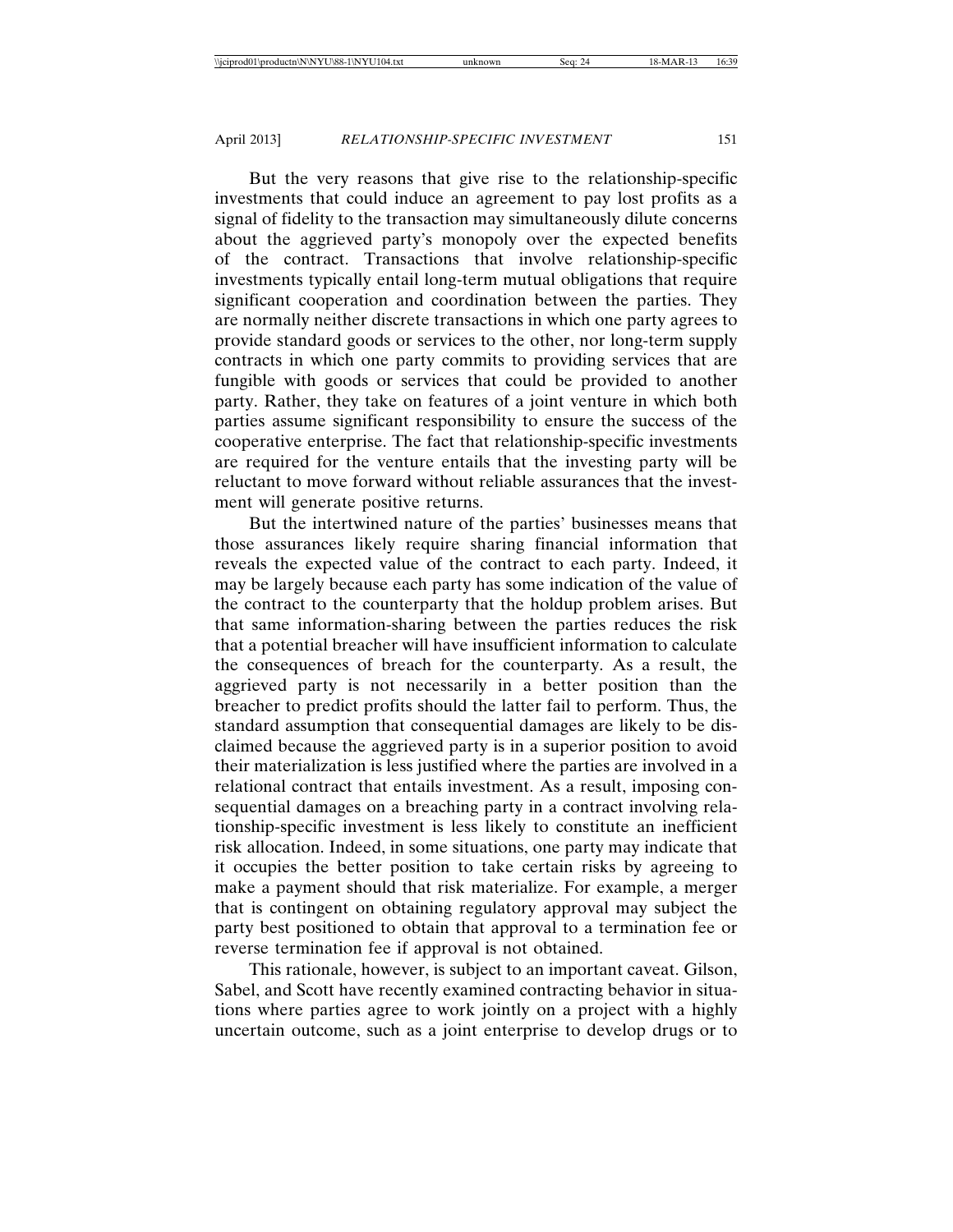But the very reasons that give rise to the relationship-specific investments that could induce an agreement to pay lost profits as a signal of fidelity to the transaction may simultaneously dilute concerns about the aggrieved party's monopoly over the expected benefits of the contract. Transactions that involve relationship-specific investments typically entail long-term mutual obligations that require significant cooperation and coordination between the parties. They are normally neither discrete transactions in which one party agrees to provide standard goods or services to the other, nor long-term supply contracts in which one party commits to providing services that are fungible with goods or services that could be provided to another party. Rather, they take on features of a joint venture in which both parties assume significant responsibility to ensure the success of the cooperative enterprise. The fact that relationship-specific investments are required for the venture entails that the investing party will be reluctant to move forward without reliable assurances that the investment will generate positive returns.

But the intertwined nature of the parties' businesses means that those assurances likely require sharing financial information that reveals the expected value of the contract to each party. Indeed, it may be largely because each party has some indication of the value of the contract to the counterparty that the holdup problem arises. But that same information-sharing between the parties reduces the risk that a potential breacher will have insufficient information to calculate the consequences of breach for the counterparty. As a result, the aggrieved party is not necessarily in a better position than the breacher to predict profits should the latter fail to perform. Thus, the standard assumption that consequential damages are likely to be disclaimed because the aggrieved party is in a superior position to avoid their materialization is less justified where the parties are involved in a relational contract that entails investment. As a result, imposing consequential damages on a breaching party in a contract involving relationship-specific investment is less likely to constitute an inefficient risk allocation. Indeed, in some situations, one party may indicate that it occupies the better position to take certain risks by agreeing to make a payment should that risk materialize. For example, a merger that is contingent on obtaining regulatory approval may subject the party best positioned to obtain that approval to a termination fee or reverse termination fee if approval is not obtained.

This rationale, however, is subject to an important caveat. Gilson, Sabel, and Scott have recently examined contracting behavior in situations where parties agree to work jointly on a project with a highly uncertain outcome, such as a joint enterprise to develop drugs or to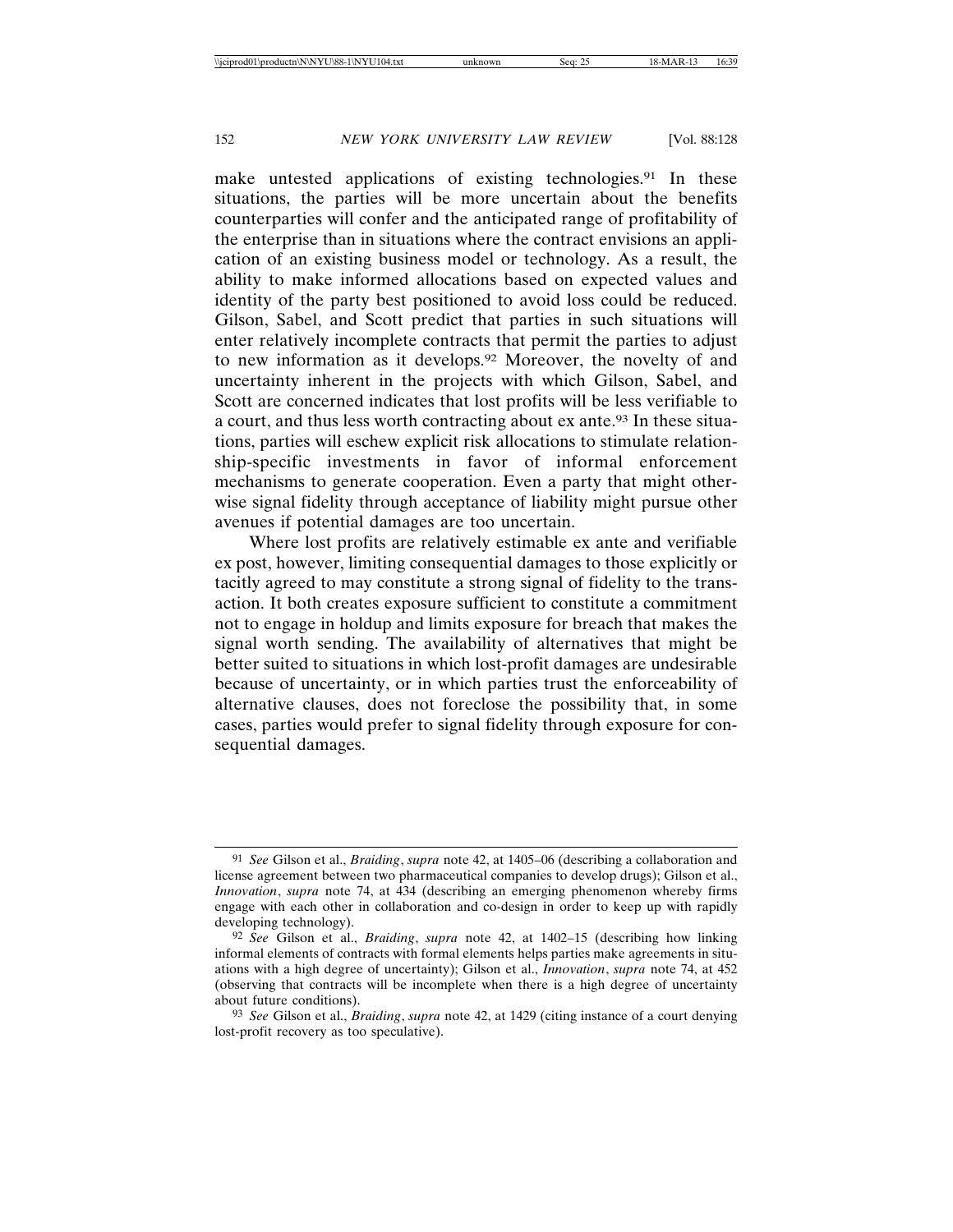make untested applications of existing technologies.<sup>91</sup> In these situations, the parties will be more uncertain about the benefits counterparties will confer and the anticipated range of profitability of the enterprise than in situations where the contract envisions an application of an existing business model or technology. As a result, the ability to make informed allocations based on expected values and identity of the party best positioned to avoid loss could be reduced. Gilson, Sabel, and Scott predict that parties in such situations will enter relatively incomplete contracts that permit the parties to adjust to new information as it develops.92 Moreover, the novelty of and uncertainty inherent in the projects with which Gilson, Sabel, and Scott are concerned indicates that lost profits will be less verifiable to a court, and thus less worth contracting about ex ante.93 In these situations, parties will eschew explicit risk allocations to stimulate relationship-specific investments in favor of informal enforcement mechanisms to generate cooperation. Even a party that might otherwise signal fidelity through acceptance of liability might pursue other avenues if potential damages are too uncertain.

Where lost profits are relatively estimable ex ante and verifiable ex post, however, limiting consequential damages to those explicitly or tacitly agreed to may constitute a strong signal of fidelity to the transaction. It both creates exposure sufficient to constitute a commitment not to engage in holdup and limits exposure for breach that makes the signal worth sending. The availability of alternatives that might be better suited to situations in which lost-profit damages are undesirable because of uncertainty, or in which parties trust the enforceability of alternative clauses, does not foreclose the possibility that, in some cases, parties would prefer to signal fidelity through exposure for consequential damages.

<sup>91</sup> *See* Gilson et al., *Braiding*, *supra* note 42, at 1405–06 (describing a collaboration and license agreement between two pharmaceutical companies to develop drugs); Gilson et al., *Innovation*, *supra* note 74, at 434 (describing an emerging phenomenon whereby firms engage with each other in collaboration and co-design in order to keep up with rapidly developing technology).

<sup>92</sup> *See* Gilson et al., *Braiding*, *supra* note 42, at 1402–15 (describing how linking informal elements of contracts with formal elements helps parties make agreements in situations with a high degree of uncertainty); Gilson et al., *Innovation*, *supra* note 74, at 452 (observing that contracts will be incomplete when there is a high degree of uncertainty about future conditions).

<sup>93</sup> *See* Gilson et al., *Braiding*, *supra* note 42, at 1429 (citing instance of a court denying lost-profit recovery as too speculative).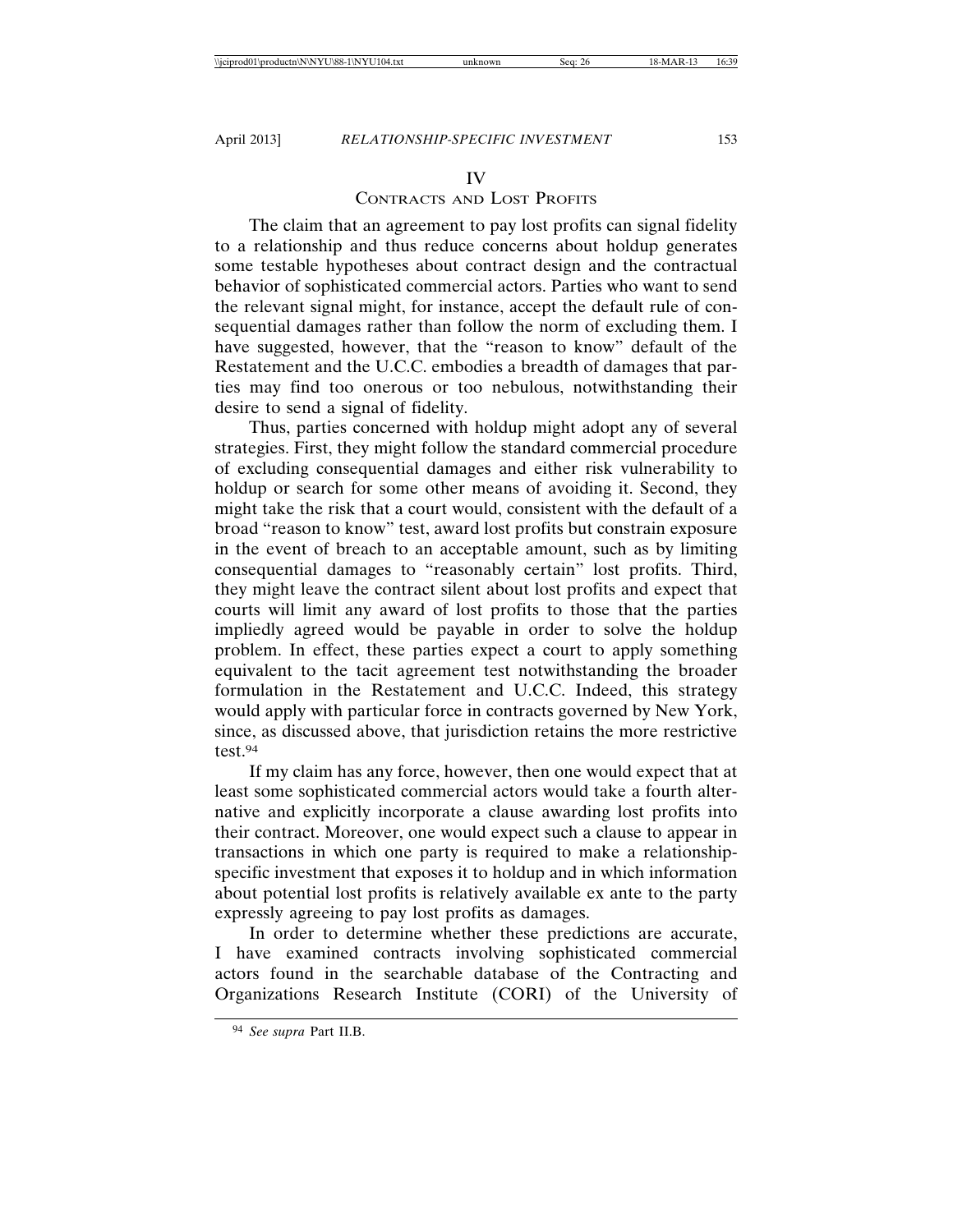## IV

# CONTRACTS AND LOST PROFITS

The claim that an agreement to pay lost profits can signal fidelity to a relationship and thus reduce concerns about holdup generates some testable hypotheses about contract design and the contractual behavior of sophisticated commercial actors. Parties who want to send the relevant signal might, for instance, accept the default rule of consequential damages rather than follow the norm of excluding them. I have suggested, however, that the "reason to know" default of the Restatement and the U.C.C. embodies a breadth of damages that parties may find too onerous or too nebulous, notwithstanding their desire to send a signal of fidelity.

Thus, parties concerned with holdup might adopt any of several strategies. First, they might follow the standard commercial procedure of excluding consequential damages and either risk vulnerability to holdup or search for some other means of avoiding it. Second, they might take the risk that a court would, consistent with the default of a broad "reason to know" test, award lost profits but constrain exposure in the event of breach to an acceptable amount, such as by limiting consequential damages to "reasonably certain" lost profits. Third, they might leave the contract silent about lost profits and expect that courts will limit any award of lost profits to those that the parties impliedly agreed would be payable in order to solve the holdup problem. In effect, these parties expect a court to apply something equivalent to the tacit agreement test notwithstanding the broader formulation in the Restatement and U.C.C. Indeed, this strategy would apply with particular force in contracts governed by New York, since, as discussed above, that jurisdiction retains the more restrictive test.94

If my claim has any force, however, then one would expect that at least some sophisticated commercial actors would take a fourth alternative and explicitly incorporate a clause awarding lost profits into their contract. Moreover, one would expect such a clause to appear in transactions in which one party is required to make a relationshipspecific investment that exposes it to holdup and in which information about potential lost profits is relatively available ex ante to the party expressly agreeing to pay lost profits as damages.

In order to determine whether these predictions are accurate, I have examined contracts involving sophisticated commercial actors found in the searchable database of the Contracting and Organizations Research Institute (CORI) of the University of

<sup>94</sup> *See supra* Part II.B.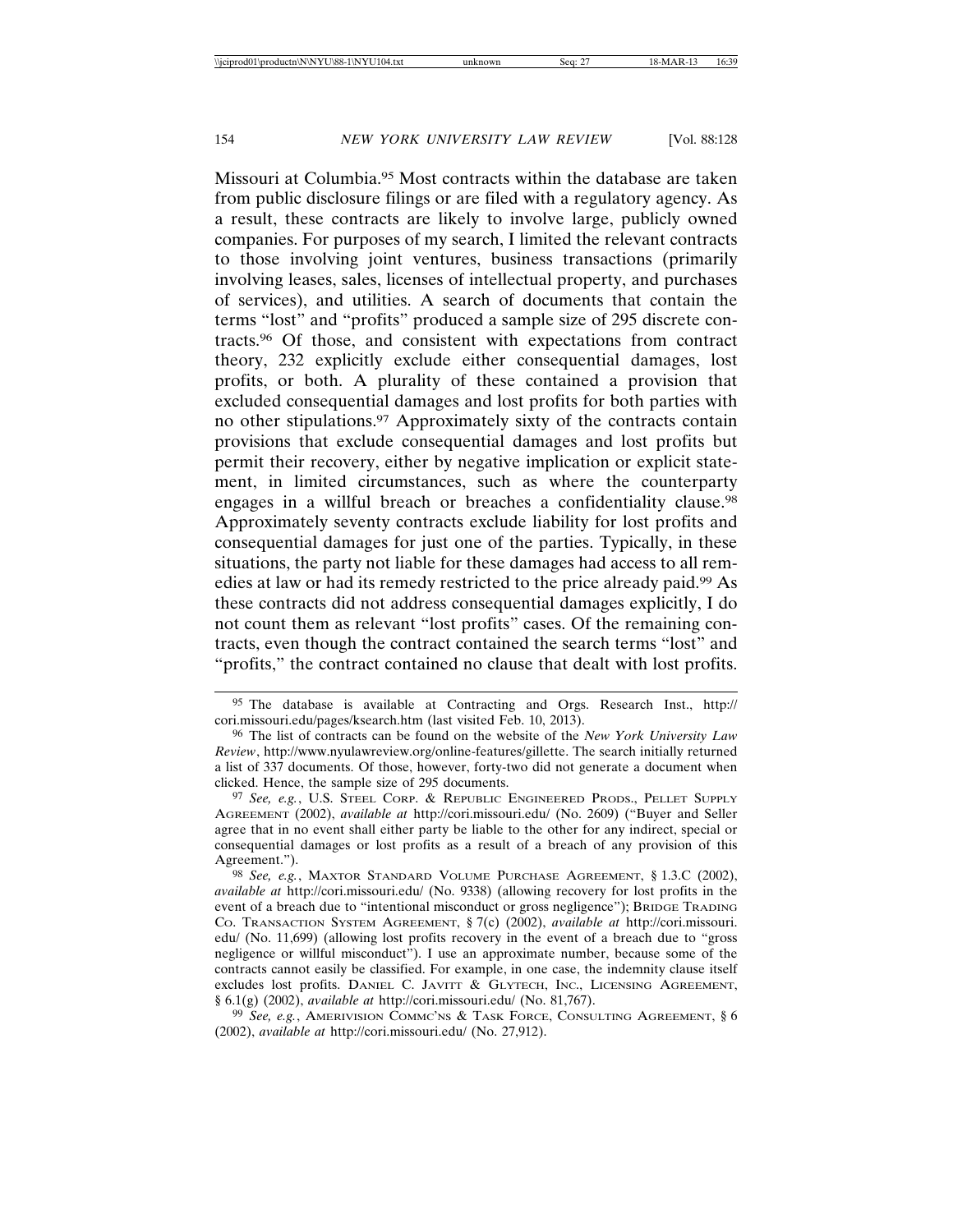Missouri at Columbia.95 Most contracts within the database are taken from public disclosure filings or are filed with a regulatory agency. As a result, these contracts are likely to involve large, publicly owned companies. For purposes of my search, I limited the relevant contracts to those involving joint ventures, business transactions (primarily involving leases, sales, licenses of intellectual property, and purchases of services), and utilities. A search of documents that contain the terms "lost" and "profits" produced a sample size of 295 discrete contracts.96 Of those, and consistent with expectations from contract theory, 232 explicitly exclude either consequential damages, lost profits, or both. A plurality of these contained a provision that excluded consequential damages and lost profits for both parties with no other stipulations.97 Approximately sixty of the contracts contain provisions that exclude consequential damages and lost profits but permit their recovery, either by negative implication or explicit statement, in limited circumstances, such as where the counterparty engages in a willful breach or breaches a confidentiality clause.<sup>98</sup> Approximately seventy contracts exclude liability for lost profits and consequential damages for just one of the parties. Typically, in these situations, the party not liable for these damages had access to all remedies at law or had its remedy restricted to the price already paid.99 As these contracts did not address consequential damages explicitly, I do not count them as relevant "lost profits" cases. Of the remaining contracts, even though the contract contained the search terms "lost" and "profits," the contract contained no clause that dealt with lost profits.

<sup>95</sup> The database is available at Contracting and Orgs. Research Inst., http:// cori.missouri.edu/pages/ksearch.htm (last visited Feb. 10, 2013).

<sup>96</sup> The list of contracts can be found on the website of the *New York University Law Review*, http://www.nyulawreview.org/online-features/gillette. The search initially returned a list of 337 documents. Of those, however, forty-two did not generate a document when clicked. Hence, the sample size of 295 documents.

<sup>97</sup> *See, e.g.*, U.S. STEEL CORP. & REPUBLIC ENGINEERED PRODS., PELLET SUPPLY AGREEMENT (2002), *available at* http://cori.missouri.edu/ (No. 2609) ("Buyer and Seller agree that in no event shall either party be liable to the other for any indirect, special or consequential damages or lost profits as a result of a breach of any provision of this Agreement.").

<sup>98</sup> *See, e.g.*, MAXTOR STANDARD VOLUME PURCHASE AGREEMENT, § 1.3.C (2002), *available at* http://cori.missouri.edu/ (No. 9338) (allowing recovery for lost profits in the event of a breach due to "intentional misconduct or gross negligence"); BRIDGE TRADING CO. TRANSACTION SYSTEM AGREEMENT, § 7(c) (2002), *available at* http://cori.missouri. edu/ (No. 11,699) (allowing lost profits recovery in the event of a breach due to "gross negligence or willful misconduct"). I use an approximate number, because some of the contracts cannot easily be classified. For example, in one case, the indemnity clause itself excludes lost profits. DANIEL C. JAVITT & GLYTECH, INC., LICENSING AGREEMENT, § 6.1(g) (2002), *available at* http://cori.missouri.edu/ (No. 81,767).

<sup>99</sup> *See, e.g.*, AMERIVISION COMMC'NS & TASK FORCE, CONSULTING AGREEMENT, § 6 (2002), *available at* http://cori.missouri.edu/ (No. 27,912).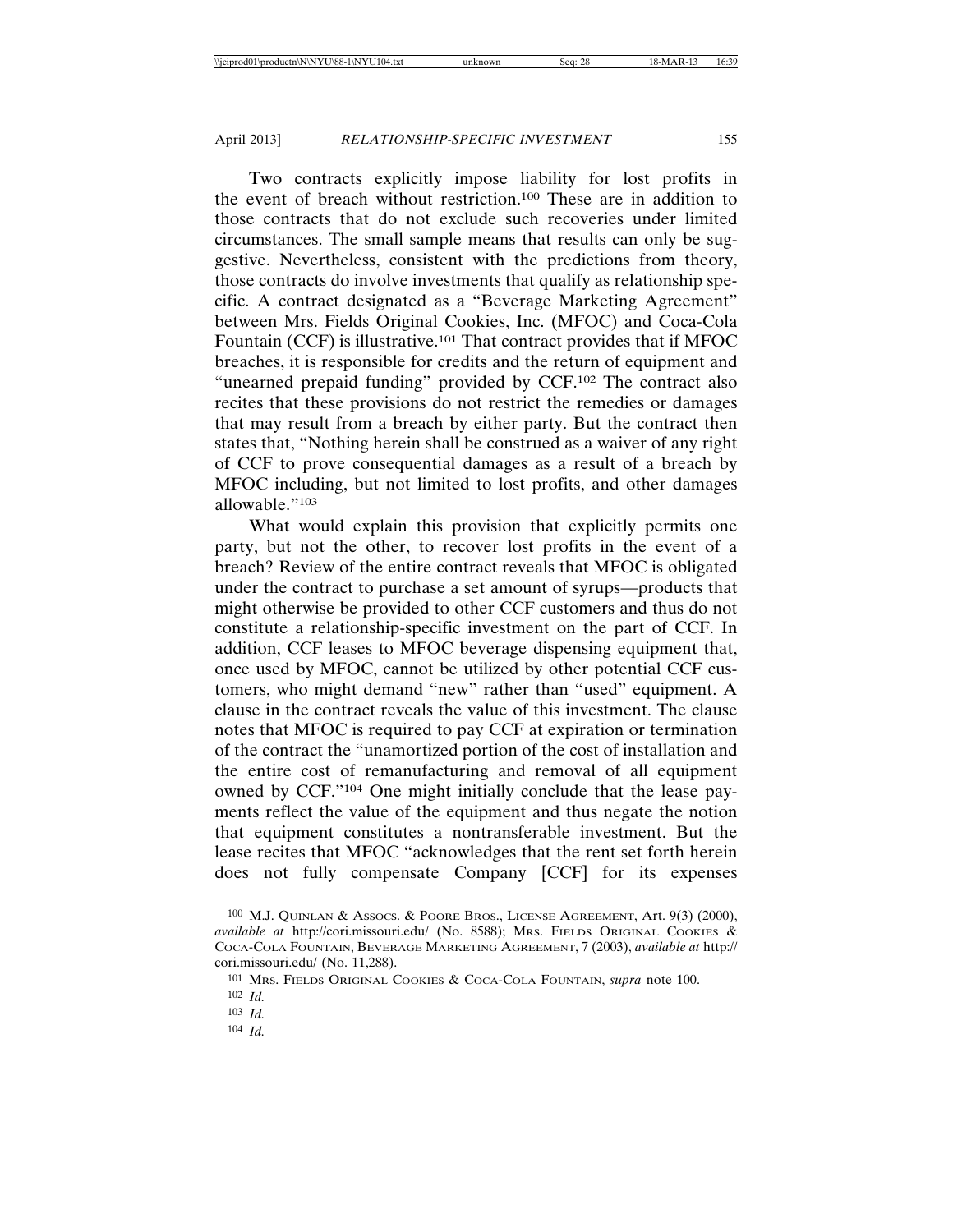Two contracts explicitly impose liability for lost profits in the event of breach without restriction.100 These are in addition to those contracts that do not exclude such recoveries under limited circumstances. The small sample means that results can only be suggestive. Nevertheless, consistent with the predictions from theory, those contracts do involve investments that qualify as relationship specific. A contract designated as a "Beverage Marketing Agreement" between Mrs. Fields Original Cookies, Inc. (MFOC) and Coca-Cola Fountain (CCF) is illustrative.101 That contract provides that if MFOC breaches, it is responsible for credits and the return of equipment and "unearned prepaid funding" provided by CCF.<sup>102</sup> The contract also recites that these provisions do not restrict the remedies or damages that may result from a breach by either party. But the contract then states that, "Nothing herein shall be construed as a waiver of any right of CCF to prove consequential damages as a result of a breach by MFOC including, but not limited to lost profits, and other damages allowable."103

What would explain this provision that explicitly permits one party, but not the other, to recover lost profits in the event of a breach? Review of the entire contract reveals that MFOC is obligated under the contract to purchase a set amount of syrups—products that might otherwise be provided to other CCF customers and thus do not constitute a relationship-specific investment on the part of CCF. In addition, CCF leases to MFOC beverage dispensing equipment that, once used by MFOC, cannot be utilized by other potential CCF customers, who might demand "new" rather than "used" equipment. A clause in the contract reveals the value of this investment. The clause notes that MFOC is required to pay CCF at expiration or termination of the contract the "unamortized portion of the cost of installation and the entire cost of remanufacturing and removal of all equipment owned by CCF."104 One might initially conclude that the lease payments reflect the value of the equipment and thus negate the notion that equipment constitutes a nontransferable investment. But the lease recites that MFOC "acknowledges that the rent set forth herein does not fully compensate Company [CCF] for its expenses

104 *Id.*

<sup>100</sup> M.J. QUINLAN & ASSOCS. & POORE BROS., LICENSE AGREEMENT, Art. 9(3) (2000), *available at* http://cori.missouri.edu/ (No. 8588); MRS. FIELDS ORIGINAL COOKIES & COCA-COLA FOUNTAIN, BEVERAGE MARKETING AGREEMENT, 7 (2003), *available at* http:// cori.missouri.edu/ (No. 11,288).

<sup>101</sup> MRS. FIELDS ORIGINAL COOKIES & COCA-COLA FOUNTAIN, *supra* note 100.

<sup>102</sup> *Id.* 

<sup>103</sup> *Id.*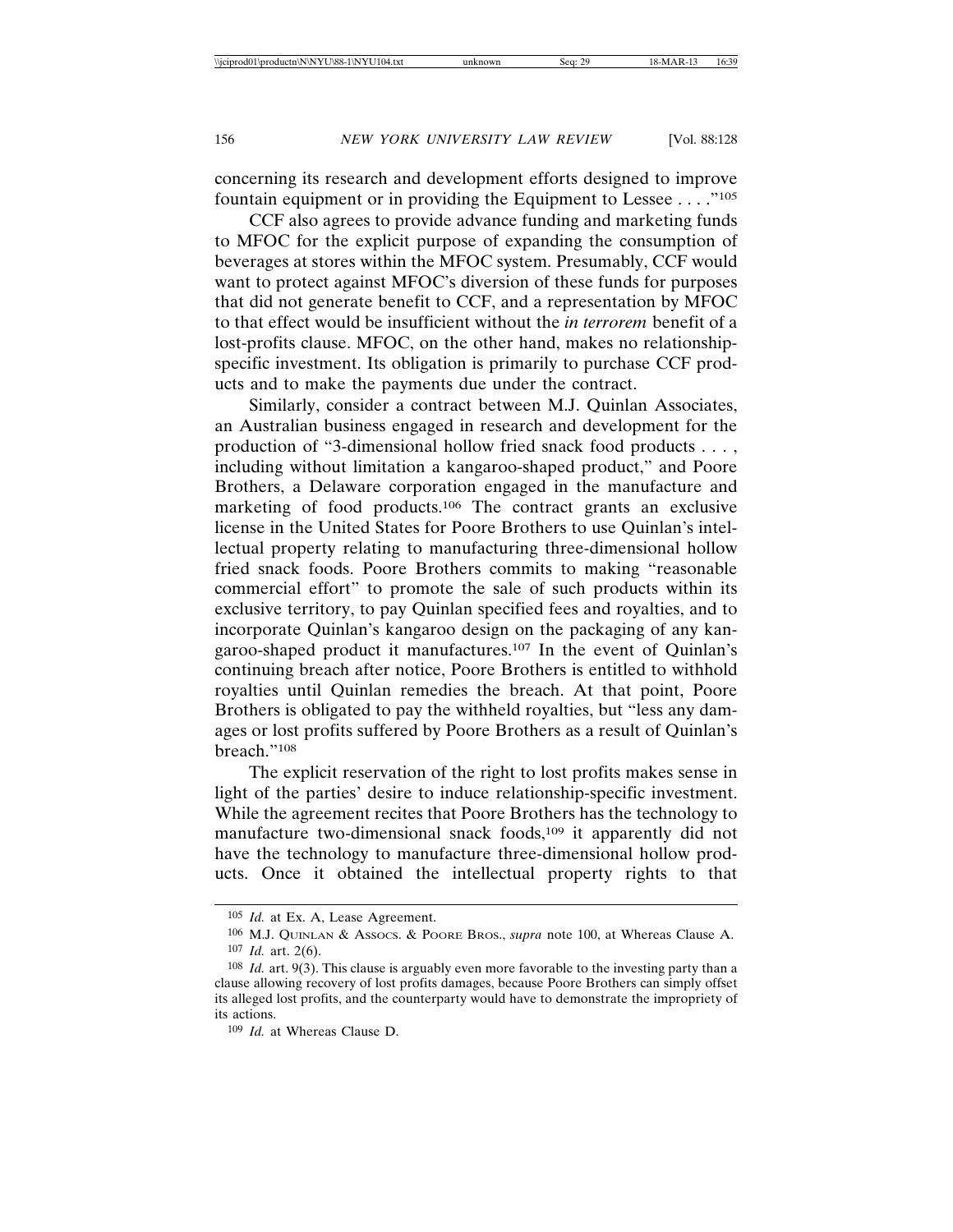concerning its research and development efforts designed to improve fountain equipment or in providing the Equipment to Lessee . . . ."105

CCF also agrees to provide advance funding and marketing funds to MFOC for the explicit purpose of expanding the consumption of beverages at stores within the MFOC system. Presumably, CCF would want to protect against MFOC's diversion of these funds for purposes that did not generate benefit to CCF, and a representation by MFOC to that effect would be insufficient without the *in terrorem* benefit of a lost-profits clause. MFOC, on the other hand, makes no relationshipspecific investment. Its obligation is primarily to purchase CCF products and to make the payments due under the contract.

Similarly, consider a contract between M.J. Quinlan Associates, an Australian business engaged in research and development for the production of "3-dimensional hollow fried snack food products . . . , including without limitation a kangaroo-shaped product," and Poore Brothers, a Delaware corporation engaged in the manufacture and marketing of food products.106 The contract grants an exclusive license in the United States for Poore Brothers to use Quinlan's intellectual property relating to manufacturing three-dimensional hollow fried snack foods. Poore Brothers commits to making "reasonable commercial effort" to promote the sale of such products within its exclusive territory, to pay Quinlan specified fees and royalties, and to incorporate Quinlan's kangaroo design on the packaging of any kangaroo-shaped product it manufactures.107 In the event of Quinlan's continuing breach after notice, Poore Brothers is entitled to withhold royalties until Quinlan remedies the breach. At that point, Poore Brothers is obligated to pay the withheld royalties, but "less any damages or lost profits suffered by Poore Brothers as a result of Quinlan's breach."108

The explicit reservation of the right to lost profits makes sense in light of the parties' desire to induce relationship-specific investment. While the agreement recites that Poore Brothers has the technology to manufacture two-dimensional snack foods,<sup>109</sup> it apparently did not have the technology to manufacture three-dimensional hollow products. Once it obtained the intellectual property rights to that

<sup>105</sup> *Id.* at Ex. A, Lease Agreement.

<sup>106</sup> M.J. QUINLAN & ASSOCS. & POORE BROS., *supra* note 100, at Whereas Clause A. 107 *Id.* art. 2(6).

<sup>108</sup> *Id.* art. 9(3). This clause is arguably even more favorable to the investing party than a clause allowing recovery of lost profits damages, because Poore Brothers can simply offset its alleged lost profits, and the counterparty would have to demonstrate the impropriety of its actions.

<sup>109</sup> *Id.* at Whereas Clause D.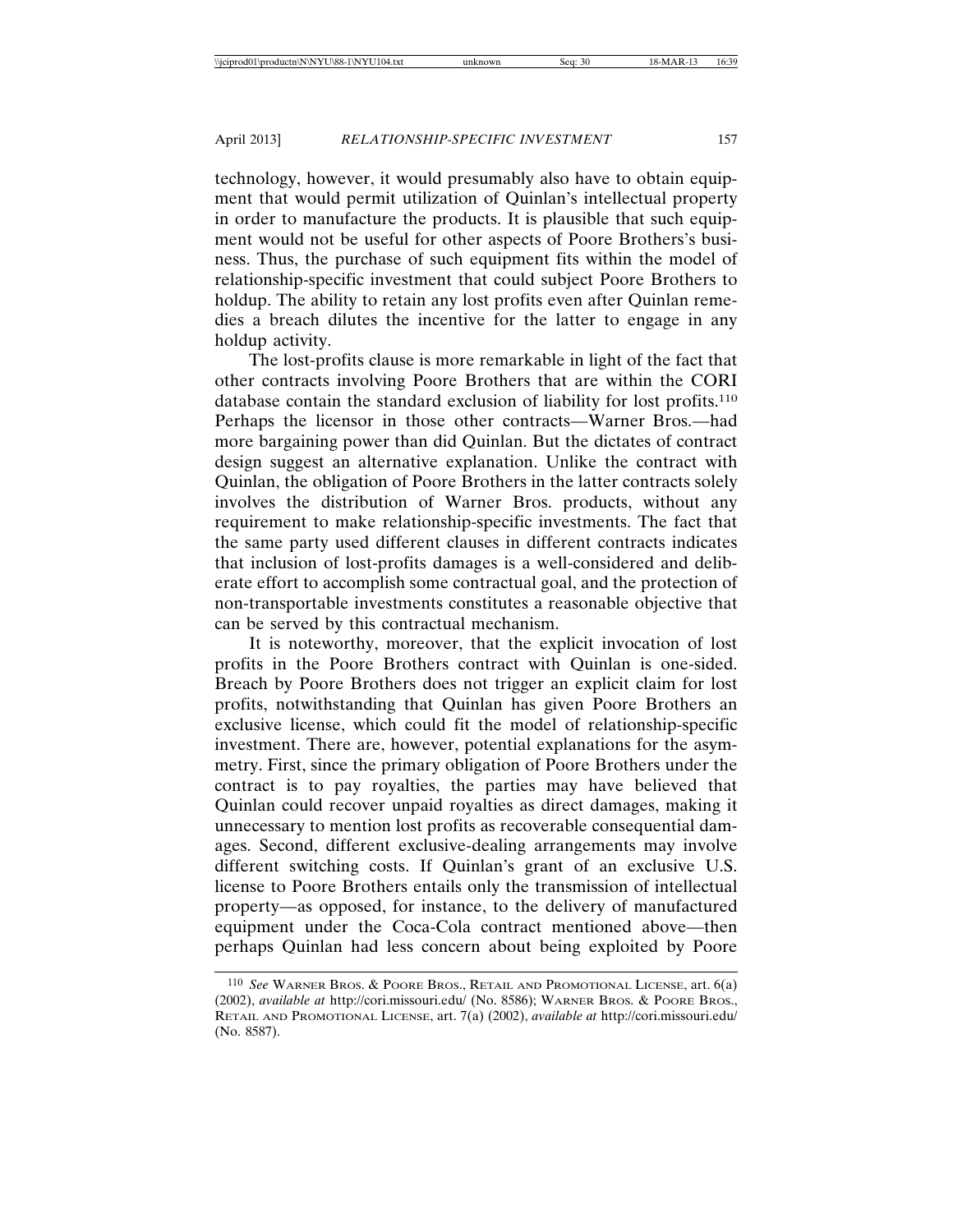technology, however, it would presumably also have to obtain equipment that would permit utilization of Quinlan's intellectual property in order to manufacture the products. It is plausible that such equipment would not be useful for other aspects of Poore Brothers's business. Thus, the purchase of such equipment fits within the model of relationship-specific investment that could subject Poore Brothers to holdup. The ability to retain any lost profits even after Quinlan remedies a breach dilutes the incentive for the latter to engage in any holdup activity.

The lost-profits clause is more remarkable in light of the fact that other contracts involving Poore Brothers that are within the CORI database contain the standard exclusion of liability for lost profits.110 Perhaps the licensor in those other contracts—Warner Bros.—had more bargaining power than did Quinlan. But the dictates of contract design suggest an alternative explanation. Unlike the contract with Quinlan, the obligation of Poore Brothers in the latter contracts solely involves the distribution of Warner Bros. products, without any requirement to make relationship-specific investments. The fact that the same party used different clauses in different contracts indicates that inclusion of lost-profits damages is a well-considered and deliberate effort to accomplish some contractual goal, and the protection of non-transportable investments constitutes a reasonable objective that can be served by this contractual mechanism.

It is noteworthy, moreover, that the explicit invocation of lost profits in the Poore Brothers contract with Quinlan is one-sided. Breach by Poore Brothers does not trigger an explicit claim for lost profits, notwithstanding that Quinlan has given Poore Brothers an exclusive license, which could fit the model of relationship-specific investment. There are, however, potential explanations for the asymmetry. First, since the primary obligation of Poore Brothers under the contract is to pay royalties, the parties may have believed that Quinlan could recover unpaid royalties as direct damages, making it unnecessary to mention lost profits as recoverable consequential damages. Second, different exclusive-dealing arrangements may involve different switching costs. If Quinlan's grant of an exclusive U.S. license to Poore Brothers entails only the transmission of intellectual property—as opposed, for instance, to the delivery of manufactured equipment under the Coca-Cola contract mentioned above—then perhaps Quinlan had less concern about being exploited by Poore

<sup>110</sup> *See* WARNER BROS. & POORE BROS., RETAIL AND PROMOTIONAL LICENSE, art. 6(a) (2002), *available at* http://cori.missouri.edu/ (No. 8586); WARNER BROS. & POORE BROS., RETAIL AND PROMOTIONAL LICENSE, art. 7(a) (2002), *available at* http://cori.missouri.edu/ (No. 8587).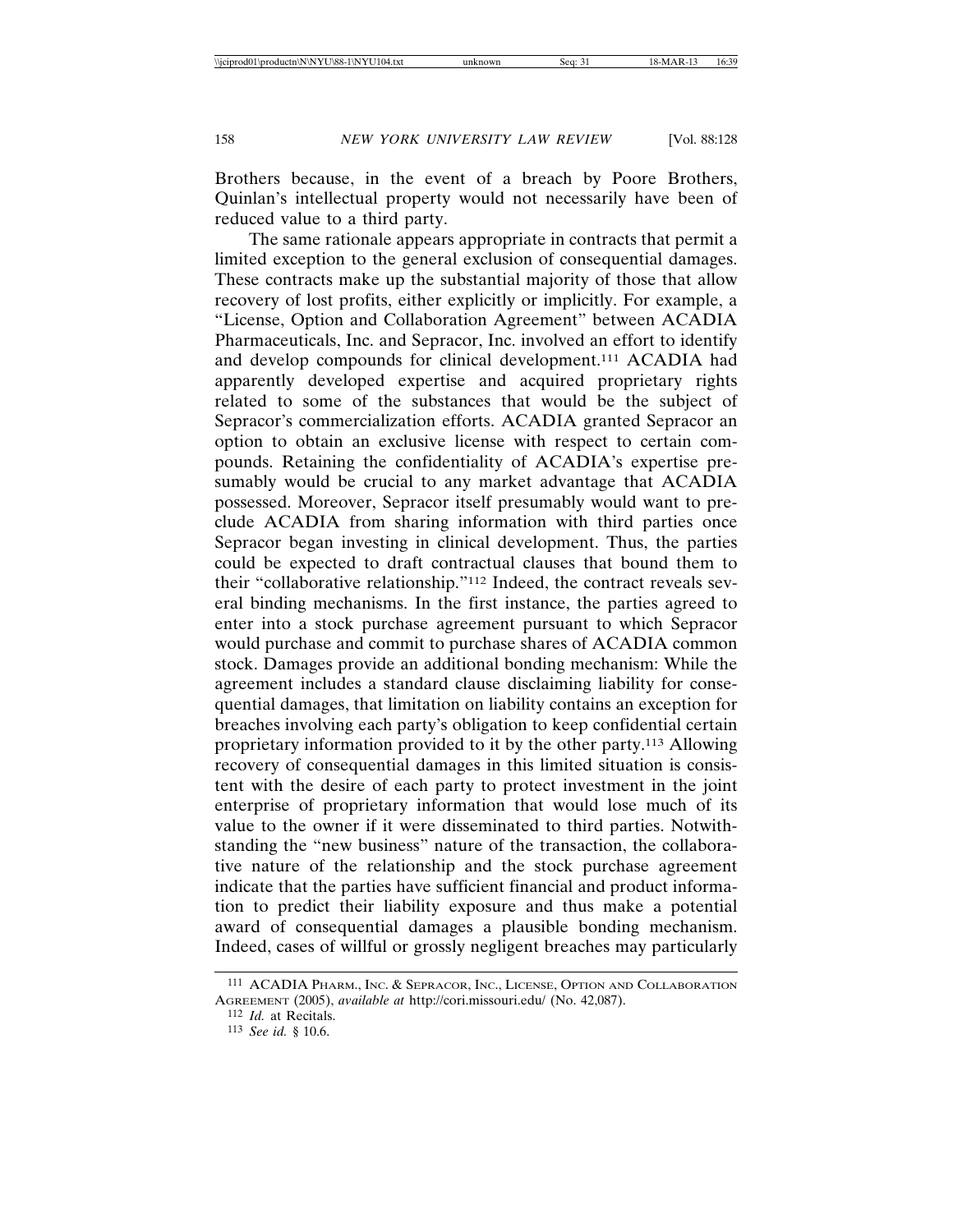Brothers because, in the event of a breach by Poore Brothers, Quinlan's intellectual property would not necessarily have been of reduced value to a third party.

The same rationale appears appropriate in contracts that permit a limited exception to the general exclusion of consequential damages. These contracts make up the substantial majority of those that allow recovery of lost profits, either explicitly or implicitly. For example, a "License, Option and Collaboration Agreement" between ACADIA Pharmaceuticals, Inc. and Sepracor, Inc. involved an effort to identify and develop compounds for clinical development.111 ACADIA had apparently developed expertise and acquired proprietary rights related to some of the substances that would be the subject of Sepracor's commercialization efforts. ACADIA granted Sepracor an option to obtain an exclusive license with respect to certain compounds. Retaining the confidentiality of ACADIA's expertise presumably would be crucial to any market advantage that ACADIA possessed. Moreover, Sepracor itself presumably would want to preclude ACADIA from sharing information with third parties once Sepracor began investing in clinical development. Thus, the parties could be expected to draft contractual clauses that bound them to their "collaborative relationship."112 Indeed, the contract reveals several binding mechanisms. In the first instance, the parties agreed to enter into a stock purchase agreement pursuant to which Sepracor would purchase and commit to purchase shares of ACADIA common stock. Damages provide an additional bonding mechanism: While the agreement includes a standard clause disclaiming liability for consequential damages, that limitation on liability contains an exception for breaches involving each party's obligation to keep confidential certain proprietary information provided to it by the other party.113 Allowing recovery of consequential damages in this limited situation is consistent with the desire of each party to protect investment in the joint enterprise of proprietary information that would lose much of its value to the owner if it were disseminated to third parties. Notwithstanding the "new business" nature of the transaction, the collaborative nature of the relationship and the stock purchase agreement indicate that the parties have sufficient financial and product information to predict their liability exposure and thus make a potential award of consequential damages a plausible bonding mechanism. Indeed, cases of willful or grossly negligent breaches may particularly

<sup>111</sup> ACADIA PHARM., INC. & SEPRACOR, INC., LICENSE, OPTION AND COLLABORATION AGREEMENT (2005), *available at* http://cori.missouri.edu/ (No. 42,087).

<sup>112</sup> *Id.* at Recitals.

<sup>113</sup> *See id.* § 10.6.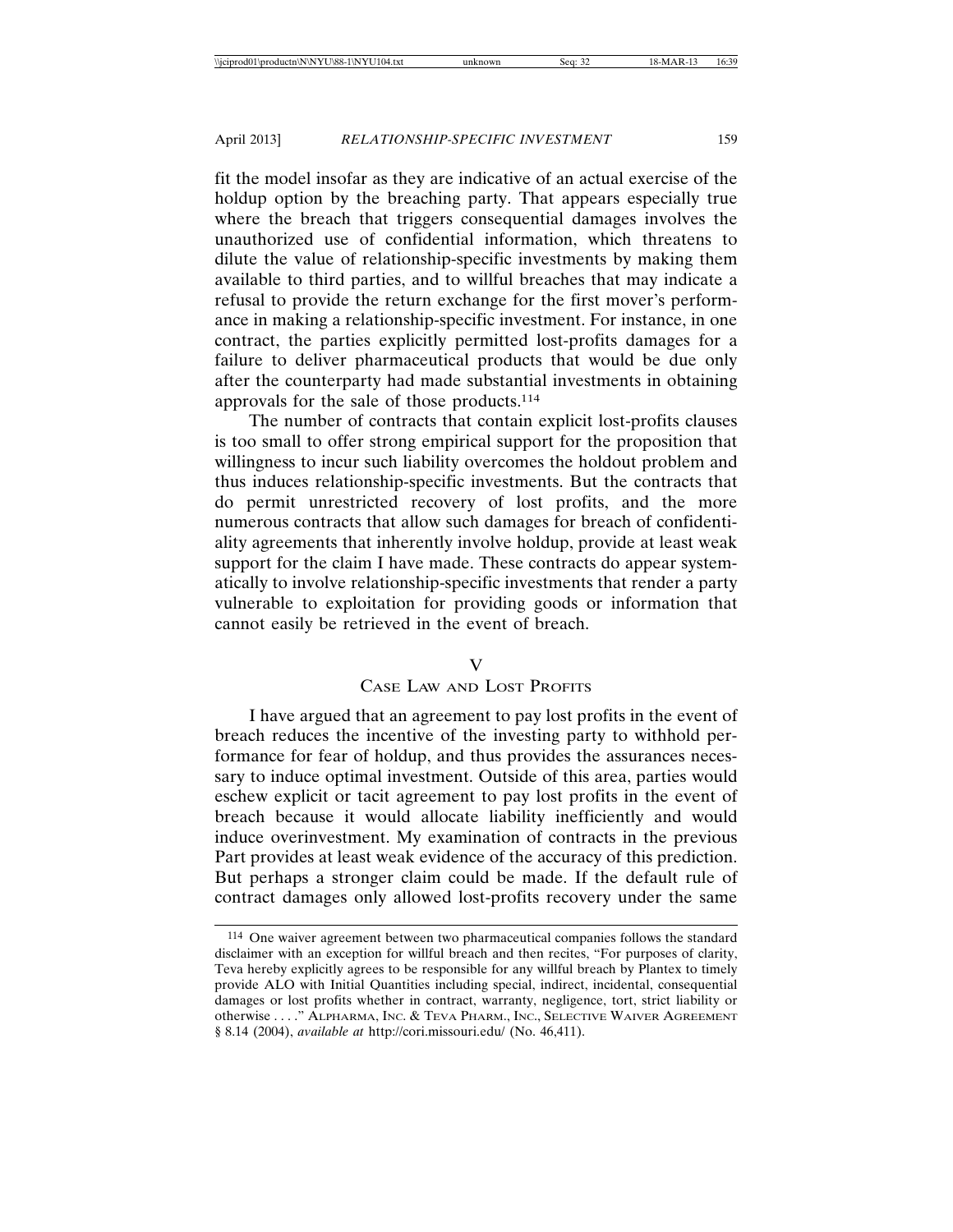fit the model insofar as they are indicative of an actual exercise of the holdup option by the breaching party. That appears especially true where the breach that triggers consequential damages involves the unauthorized use of confidential information, which threatens to dilute the value of relationship-specific investments by making them available to third parties, and to willful breaches that may indicate a refusal to provide the return exchange for the first mover's performance in making a relationship-specific investment. For instance, in one contract, the parties explicitly permitted lost-profits damages for a failure to deliver pharmaceutical products that would be due only after the counterparty had made substantial investments in obtaining approvals for the sale of those products.114

The number of contracts that contain explicit lost-profits clauses is too small to offer strong empirical support for the proposition that willingness to incur such liability overcomes the holdout problem and thus induces relationship-specific investments. But the contracts that do permit unrestricted recovery of lost profits, and the more numerous contracts that allow such damages for breach of confidentiality agreements that inherently involve holdup, provide at least weak support for the claim I have made. These contracts do appear systematically to involve relationship-specific investments that render a party vulnerable to exploitation for providing goods or information that cannot easily be retrieved in the event of breach.

## V

## CASE LAW AND LOST PROFITS

I have argued that an agreement to pay lost profits in the event of breach reduces the incentive of the investing party to withhold performance for fear of holdup, and thus provides the assurances necessary to induce optimal investment. Outside of this area, parties would eschew explicit or tacit agreement to pay lost profits in the event of breach because it would allocate liability inefficiently and would induce overinvestment. My examination of contracts in the previous Part provides at least weak evidence of the accuracy of this prediction. But perhaps a stronger claim could be made. If the default rule of contract damages only allowed lost-profits recovery under the same

<sup>114</sup> One waiver agreement between two pharmaceutical companies follows the standard disclaimer with an exception for willful breach and then recites, "For purposes of clarity, Teva hereby explicitly agrees to be responsible for any willful breach by Plantex to timely provide ALO with Initial Quantities including special, indirect, incidental, consequential damages or lost profits whether in contract, warranty, negligence, tort, strict liability or otherwise . . . ." ALPHARMA, INC. & TEVA PHARM., INC., SELECTIVE WAIVER AGREEMENT § 8.14 (2004), *available at* http://cori.missouri.edu/ (No. 46,411).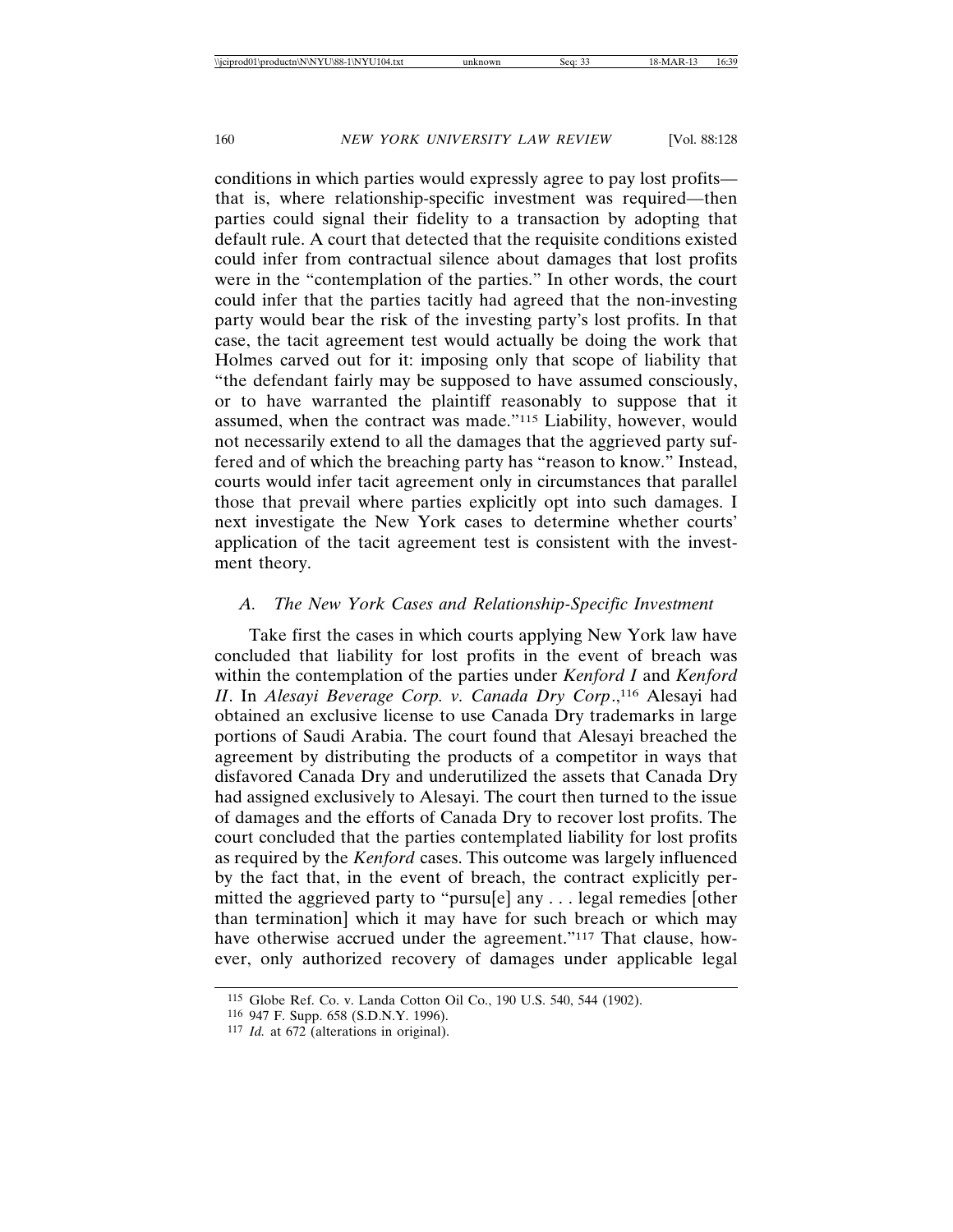conditions in which parties would expressly agree to pay lost profits that is, where relationship-specific investment was required—then parties could signal their fidelity to a transaction by adopting that default rule. A court that detected that the requisite conditions existed could infer from contractual silence about damages that lost profits were in the "contemplation of the parties." In other words, the court could infer that the parties tacitly had agreed that the non-investing party would bear the risk of the investing party's lost profits. In that case, the tacit agreement test would actually be doing the work that Holmes carved out for it: imposing only that scope of liability that "the defendant fairly may be supposed to have assumed consciously, or to have warranted the plaintiff reasonably to suppose that it assumed, when the contract was made."115 Liability, however, would not necessarily extend to all the damages that the aggrieved party suffered and of which the breaching party has "reason to know." Instead, courts would infer tacit agreement only in circumstances that parallel those that prevail where parties explicitly opt into such damages. I next investigate the New York cases to determine whether courts' application of the tacit agreement test is consistent with the investment theory.

## *A. The New York Cases and Relationship-Specific Investment*

Take first the cases in which courts applying New York law have concluded that liability for lost profits in the event of breach was within the contemplation of the parties under *Kenford I* and *Kenford II*. In *Alesayi Beverage Corp. v. Canada Dry Corp*.,116 Alesayi had obtained an exclusive license to use Canada Dry trademarks in large portions of Saudi Arabia. The court found that Alesayi breached the agreement by distributing the products of a competitor in ways that disfavored Canada Dry and underutilized the assets that Canada Dry had assigned exclusively to Alesayi. The court then turned to the issue of damages and the efforts of Canada Dry to recover lost profits. The court concluded that the parties contemplated liability for lost profits as required by the *Kenford* cases. This outcome was largely influenced by the fact that, in the event of breach, the contract explicitly permitted the aggrieved party to "pursu[e] any . . . legal remedies [other than termination] which it may have for such breach or which may have otherwise accrued under the agreement."<sup>117</sup> That clause, however, only authorized recovery of damages under applicable legal

<sup>115</sup> Globe Ref. Co. v. Landa Cotton Oil Co., 190 U.S. 540, 544 (1902).

<sup>116</sup> 947 F. Supp. 658 (S.D.N.Y. 1996).

<sup>117</sup> *Id.* at 672 (alterations in original).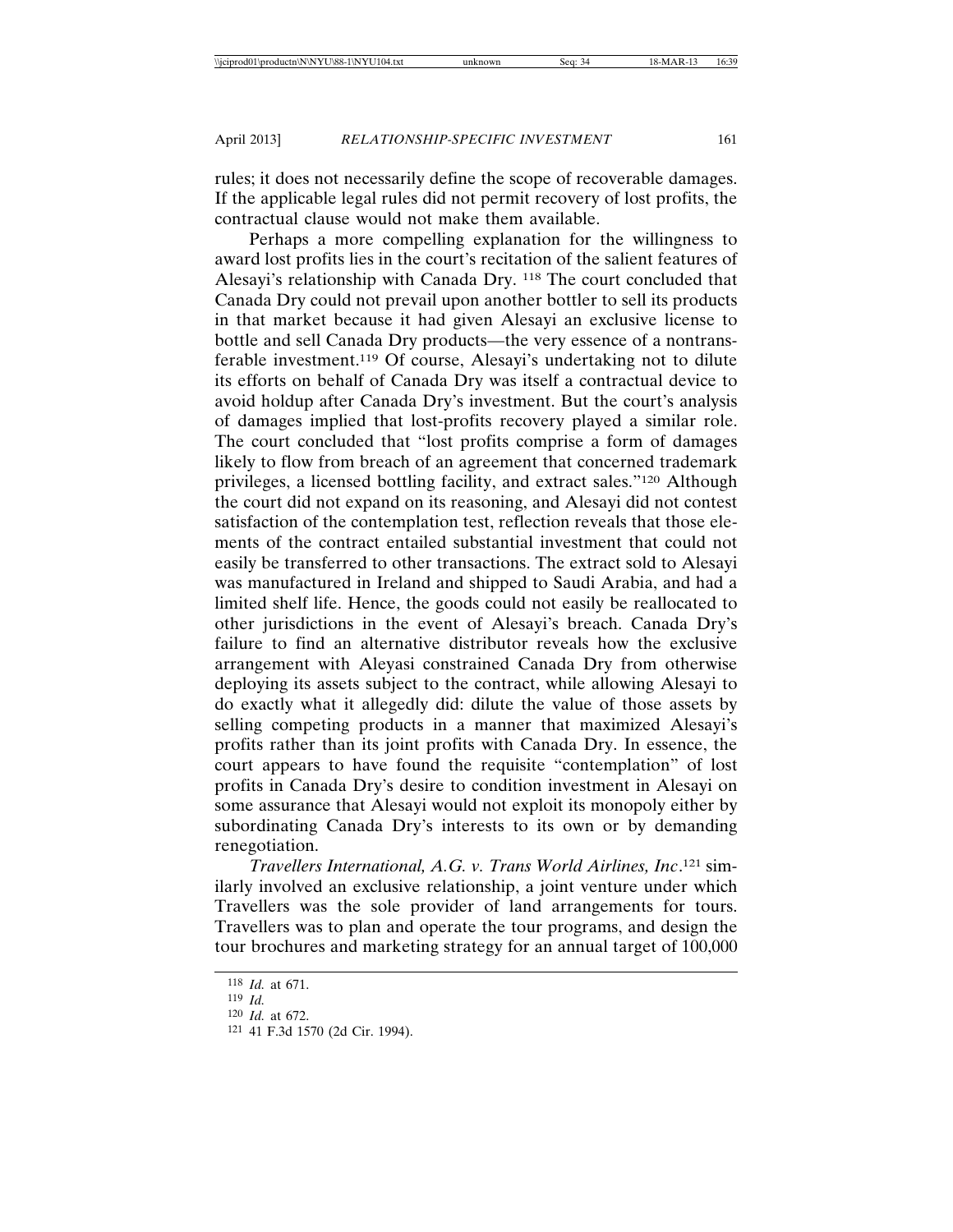rules; it does not necessarily define the scope of recoverable damages. If the applicable legal rules did not permit recovery of lost profits, the contractual clause would not make them available.

Perhaps a more compelling explanation for the willingness to award lost profits lies in the court's recitation of the salient features of Alesayi's relationship with Canada Dry. 118 The court concluded that Canada Dry could not prevail upon another bottler to sell its products in that market because it had given Alesayi an exclusive license to bottle and sell Canada Dry products—the very essence of a nontransferable investment.119 Of course, Alesayi's undertaking not to dilute its efforts on behalf of Canada Dry was itself a contractual device to avoid holdup after Canada Dry's investment. But the court's analysis of damages implied that lost-profits recovery played a similar role. The court concluded that "lost profits comprise a form of damages likely to flow from breach of an agreement that concerned trademark privileges, a licensed bottling facility, and extract sales."120 Although the court did not expand on its reasoning, and Alesayi did not contest satisfaction of the contemplation test, reflection reveals that those elements of the contract entailed substantial investment that could not easily be transferred to other transactions. The extract sold to Alesayi was manufactured in Ireland and shipped to Saudi Arabia, and had a limited shelf life. Hence, the goods could not easily be reallocated to other jurisdictions in the event of Alesayi's breach. Canada Dry's failure to find an alternative distributor reveals how the exclusive arrangement with Aleyasi constrained Canada Dry from otherwise deploying its assets subject to the contract, while allowing Alesayi to do exactly what it allegedly did: dilute the value of those assets by selling competing products in a manner that maximized Alesayi's profits rather than its joint profits with Canada Dry. In essence, the court appears to have found the requisite "contemplation" of lost profits in Canada Dry's desire to condition investment in Alesayi on some assurance that Alesayi would not exploit its monopoly either by subordinating Canada Dry's interests to its own or by demanding renegotiation.

*Travellers International, A.G. v. Trans World Airlines, Inc*. 121 similarly involved an exclusive relationship, a joint venture under which Travellers was the sole provider of land arrangements for tours. Travellers was to plan and operate the tour programs, and design the tour brochures and marketing strategy for an annual target of 100,000

<sup>118</sup> *Id.* at 671.

<sup>119</sup> *Id.*

<sup>120</sup> *Id.* at 672.

<sup>121</sup> 41 F.3d 1570 (2d Cir. 1994).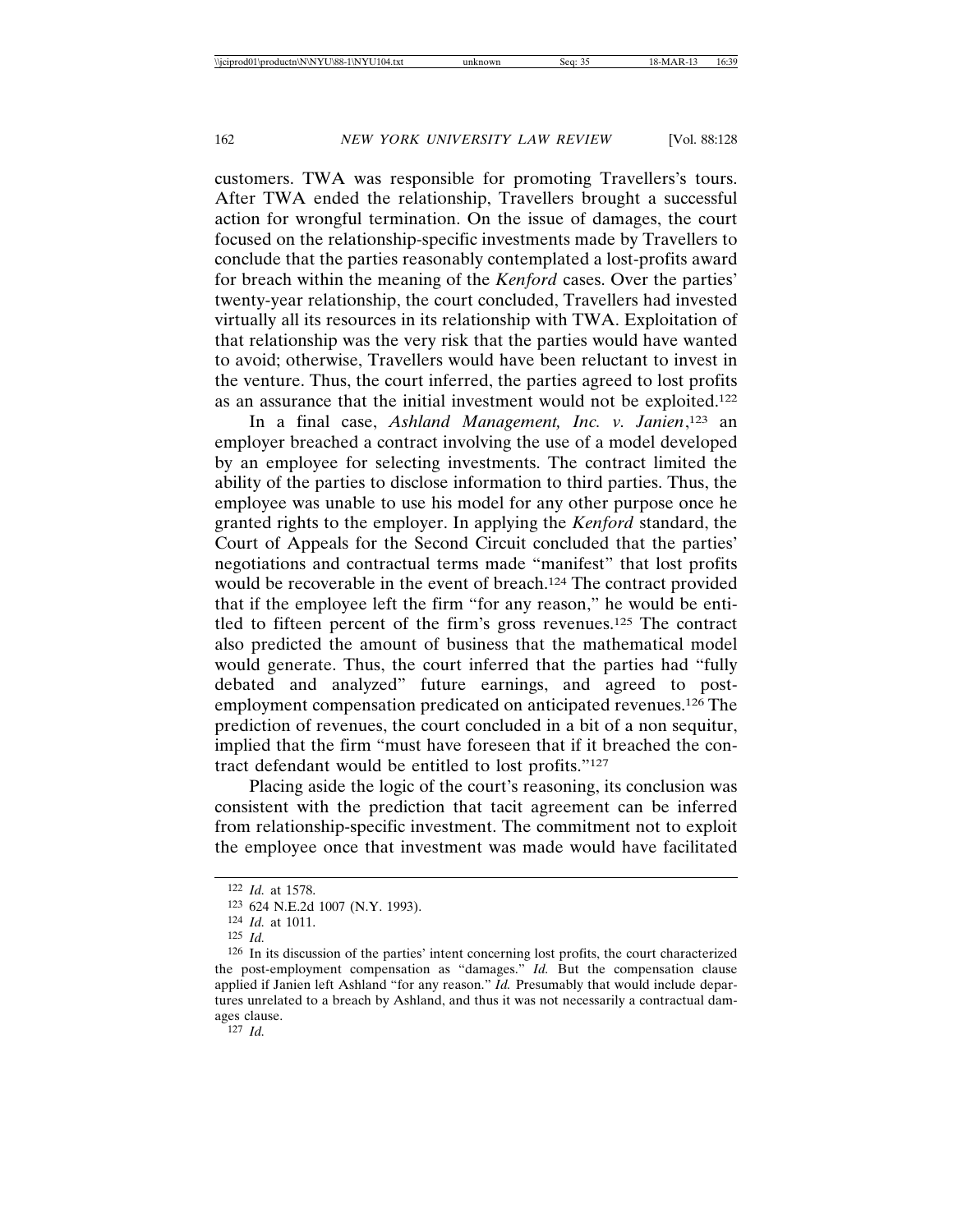customers. TWA was responsible for promoting Travellers's tours. After TWA ended the relationship, Travellers brought a successful action for wrongful termination. On the issue of damages, the court focused on the relationship-specific investments made by Travellers to conclude that the parties reasonably contemplated a lost-profits award for breach within the meaning of the *Kenford* cases. Over the parties' twenty-year relationship, the court concluded, Travellers had invested virtually all its resources in its relationship with TWA. Exploitation of that relationship was the very risk that the parties would have wanted to avoid; otherwise, Travellers would have been reluctant to invest in the venture. Thus, the court inferred, the parties agreed to lost profits as an assurance that the initial investment would not be exploited.122

In a final case, *Ashland Management, Inc. v. Janien*, 123 an employer breached a contract involving the use of a model developed by an employee for selecting investments. The contract limited the ability of the parties to disclose information to third parties. Thus, the employee was unable to use his model for any other purpose once he granted rights to the employer. In applying the *Kenford* standard, the Court of Appeals for the Second Circuit concluded that the parties' negotiations and contractual terms made "manifest" that lost profits would be recoverable in the event of breach.<sup>124</sup> The contract provided that if the employee left the firm "for any reason," he would be entitled to fifteen percent of the firm's gross revenues.125 The contract also predicted the amount of business that the mathematical model would generate. Thus, the court inferred that the parties had "fully debated and analyzed" future earnings, and agreed to postemployment compensation predicated on anticipated revenues.126 The prediction of revenues, the court concluded in a bit of a non sequitur, implied that the firm "must have foreseen that if it breached the contract defendant would be entitled to lost profits."127

Placing aside the logic of the court's reasoning, its conclusion was consistent with the prediction that tacit agreement can be inferred from relationship-specific investment. The commitment not to exploit the employee once that investment was made would have facilitated

<sup>122</sup> *Id.* at 1578.

<sup>123</sup> 624 N.E.2d 1007 (N.Y. 1993).

<sup>124</sup> *Id.* at 1011.

<sup>125</sup> *Id.*

<sup>126</sup> In its discussion of the parties' intent concerning lost profits, the court characterized the post-employment compensation as "damages." *Id.* But the compensation clause applied if Janien left Ashland "for any reason." *Id.* Presumably that would include departures unrelated to a breach by Ashland, and thus it was not necessarily a contractual damages clause.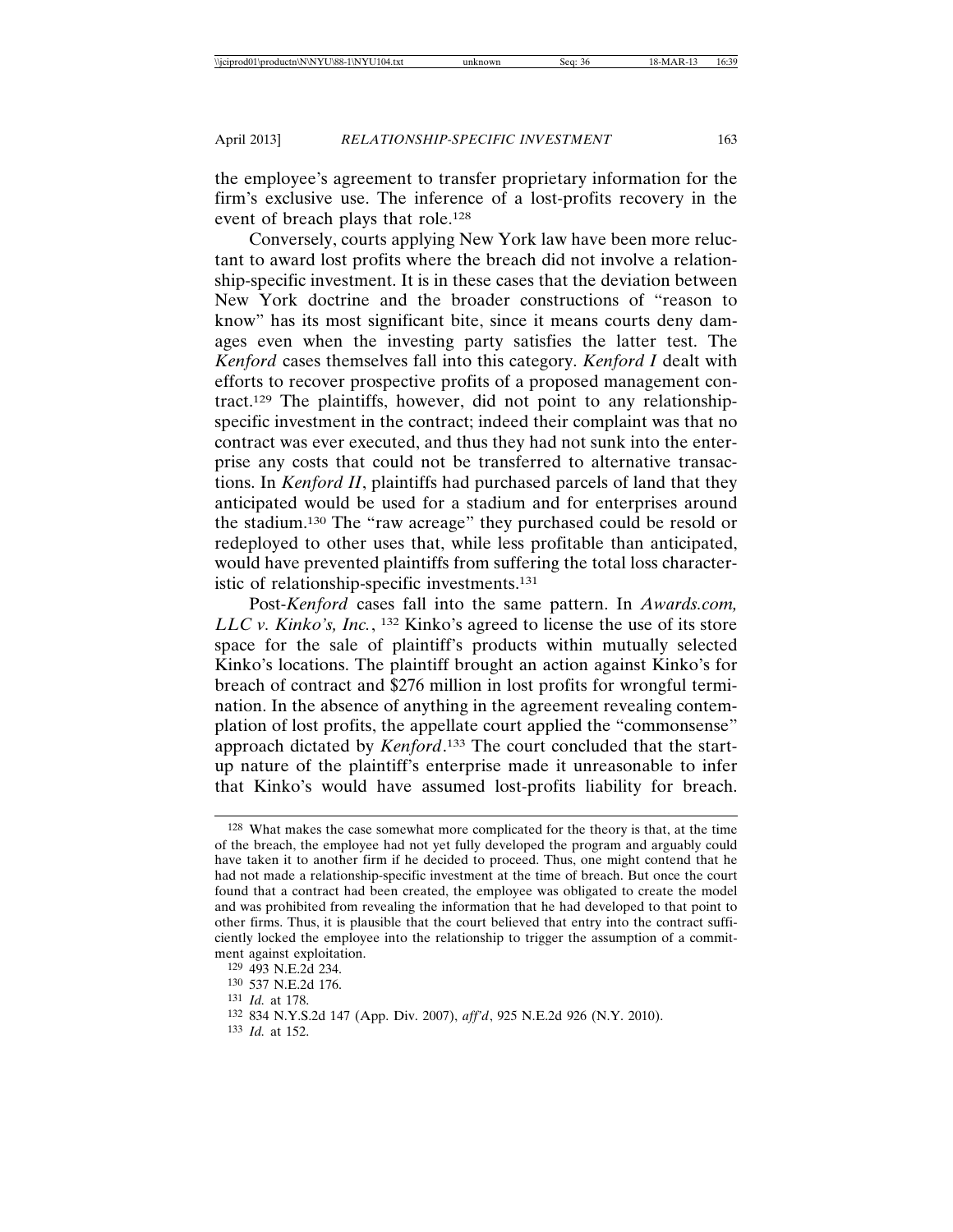the employee's agreement to transfer proprietary information for the firm's exclusive use. The inference of a lost-profits recovery in the event of breach plays that role.128

Conversely, courts applying New York law have been more reluctant to award lost profits where the breach did not involve a relationship-specific investment. It is in these cases that the deviation between New York doctrine and the broader constructions of "reason to know" has its most significant bite, since it means courts deny damages even when the investing party satisfies the latter test. The *Kenford* cases themselves fall into this category. *Kenford I* dealt with efforts to recover prospective profits of a proposed management contract.129 The plaintiffs, however, did not point to any relationshipspecific investment in the contract; indeed their complaint was that no contract was ever executed, and thus they had not sunk into the enterprise any costs that could not be transferred to alternative transactions. In *Kenford II*, plaintiffs had purchased parcels of land that they anticipated would be used for a stadium and for enterprises around the stadium.130 The "raw acreage" they purchased could be resold or redeployed to other uses that, while less profitable than anticipated, would have prevented plaintiffs from suffering the total loss characteristic of relationship-specific investments.131

Post-*Kenford* cases fall into the same pattern. In *Awards.com, LLC v. Kinko's, Inc.*, 132 Kinko's agreed to license the use of its store space for the sale of plaintiff's products within mutually selected Kinko's locations. The plaintiff brought an action against Kinko's for breach of contract and \$276 million in lost profits for wrongful termination. In the absence of anything in the agreement revealing contemplation of lost profits, the appellate court applied the "commonsense" approach dictated by *Kenford*. 133 The court concluded that the startup nature of the plaintiff's enterprise made it unreasonable to infer that Kinko's would have assumed lost-profits liability for breach.

<sup>128</sup> What makes the case somewhat more complicated for the theory is that, at the time of the breach, the employee had not yet fully developed the program and arguably could have taken it to another firm if he decided to proceed. Thus, one might contend that he had not made a relationship-specific investment at the time of breach. But once the court found that a contract had been created, the employee was obligated to create the model and was prohibited from revealing the information that he had developed to that point to other firms. Thus, it is plausible that the court believed that entry into the contract sufficiently locked the employee into the relationship to trigger the assumption of a commitment against exploitation.

<sup>129</sup> 493 N.E.2d 234.

<sup>130</sup> 537 N.E.2d 176.

<sup>131</sup> *Id.* at 178.

<sup>132</sup> 834 N.Y.S.2d 147 (App. Div. 2007), *aff'd*, 925 N.E.2d 926 (N.Y. 2010).

<sup>133</sup> *Id.* at 152.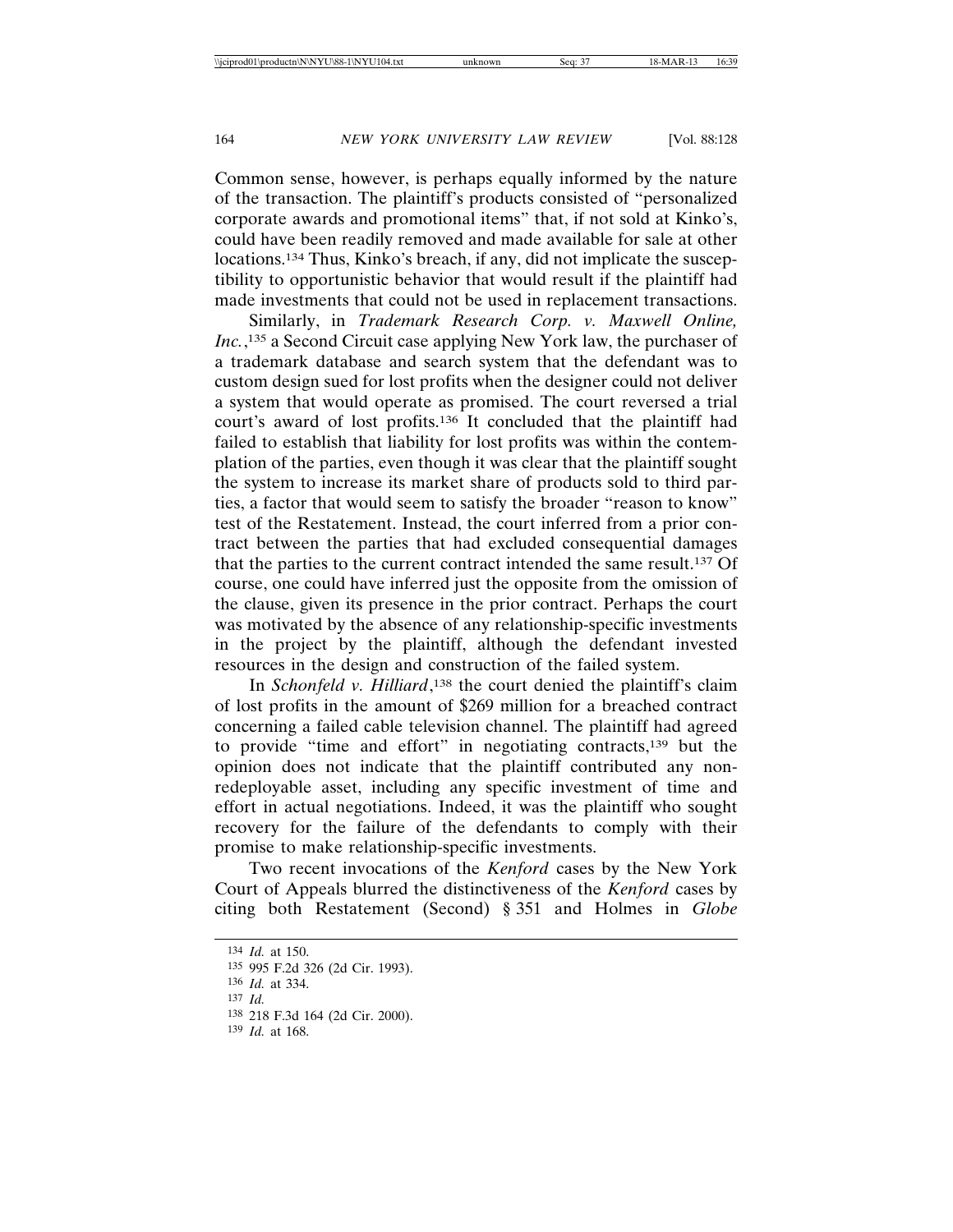Common sense, however, is perhaps equally informed by the nature of the transaction. The plaintiff's products consisted of "personalized corporate awards and promotional items" that, if not sold at Kinko's, could have been readily removed and made available for sale at other locations.134 Thus, Kinko's breach, if any, did not implicate the susceptibility to opportunistic behavior that would result if the plaintiff had made investments that could not be used in replacement transactions.

Similarly, in *Trademark Research Corp. v. Maxwell Online, Inc.*, 135 a Second Circuit case applying New York law, the purchaser of a trademark database and search system that the defendant was to custom design sued for lost profits when the designer could not deliver a system that would operate as promised. The court reversed a trial court's award of lost profits.136 It concluded that the plaintiff had failed to establish that liability for lost profits was within the contemplation of the parties, even though it was clear that the plaintiff sought the system to increase its market share of products sold to third parties, a factor that would seem to satisfy the broader "reason to know" test of the Restatement. Instead, the court inferred from a prior contract between the parties that had excluded consequential damages that the parties to the current contract intended the same result.137 Of course, one could have inferred just the opposite from the omission of the clause, given its presence in the prior contract. Perhaps the court was motivated by the absence of any relationship-specific investments in the project by the plaintiff, although the defendant invested resources in the design and construction of the failed system.

In *Schonfeld v. Hilliard*,<sup>138</sup> the court denied the plaintiff's claim of lost profits in the amount of \$269 million for a breached contract concerning a failed cable television channel. The plaintiff had agreed to provide "time and effort" in negotiating contracts,139 but the opinion does not indicate that the plaintiff contributed any nonredeployable asset, including any specific investment of time and effort in actual negotiations. Indeed, it was the plaintiff who sought recovery for the failure of the defendants to comply with their promise to make relationship-specific investments.

Two recent invocations of the *Kenford* cases by the New York Court of Appeals blurred the distinctiveness of the *Kenford* cases by citing both Restatement (Second) § 351 and Holmes in *Globe*

- 136 *Id.* at 334.
- 137 *Id.*

139 *Id.* at 168.

<sup>134</sup> *Id.* at 150.

<sup>135</sup> 995 F.2d 326 (2d Cir. 1993).

<sup>138</sup> 218 F.3d 164 (2d Cir. 2000).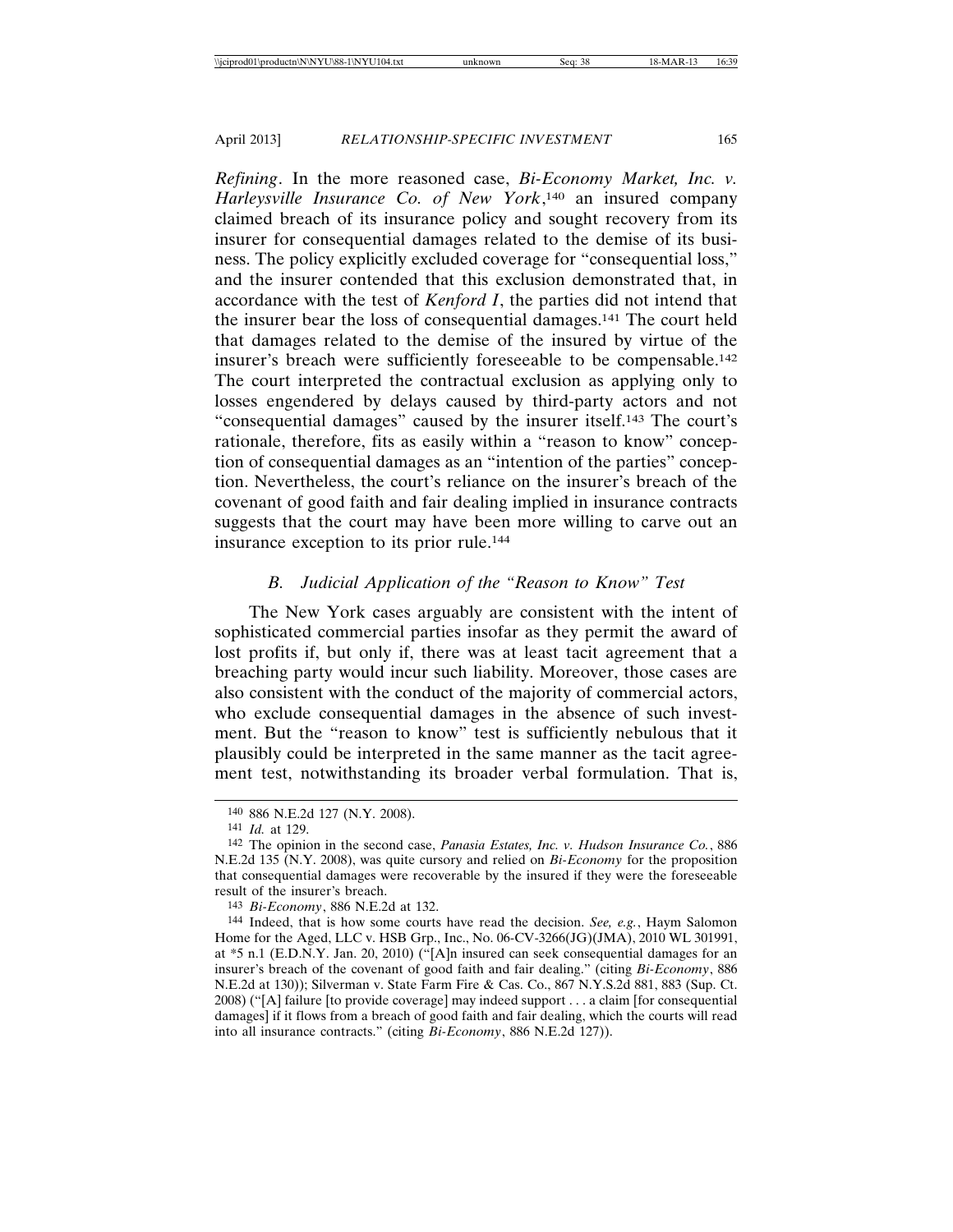*Refining*. In the more reasoned case, *Bi-Economy Market, Inc. v. Harleysville Insurance Co. of New York*, 140 an insured company claimed breach of its insurance policy and sought recovery from its insurer for consequential damages related to the demise of its business. The policy explicitly excluded coverage for "consequential loss," and the insurer contended that this exclusion demonstrated that, in accordance with the test of *Kenford I*, the parties did not intend that the insurer bear the loss of consequential damages.141 The court held that damages related to the demise of the insured by virtue of the insurer's breach were sufficiently foreseeable to be compensable.142 The court interpreted the contractual exclusion as applying only to losses engendered by delays caused by third-party actors and not "consequential damages" caused by the insurer itself.143 The court's rationale, therefore, fits as easily within a "reason to know" conception of consequential damages as an "intention of the parties" conception. Nevertheless, the court's reliance on the insurer's breach of the covenant of good faith and fair dealing implied in insurance contracts suggests that the court may have been more willing to carve out an insurance exception to its prior rule.144

## *B. Judicial Application of the "Reason to Know" Test*

The New York cases arguably are consistent with the intent of sophisticated commercial parties insofar as they permit the award of lost profits if, but only if, there was at least tacit agreement that a breaching party would incur such liability. Moreover, those cases are also consistent with the conduct of the majority of commercial actors, who exclude consequential damages in the absence of such investment. But the "reason to know" test is sufficiently nebulous that it plausibly could be interpreted in the same manner as the tacit agreement test, notwithstanding its broader verbal formulation. That is,

143 *Bi-Economy*, 886 N.E.2d at 132.

<sup>140</sup> 886 N.E.2d 127 (N.Y. 2008).

<sup>141</sup> *Id.* at 129.

<sup>142</sup> The opinion in the second case, *Panasia Estates, Inc. v. Hudson Insurance Co.*, 886 N.E.2d 135 (N.Y. 2008), was quite cursory and relied on *Bi-Economy* for the proposition that consequential damages were recoverable by the insured if they were the foreseeable result of the insurer's breach.

<sup>144</sup> Indeed, that is how some courts have read the decision. *See, e.g.*, Haym Salomon Home for the Aged, LLC v. HSB Grp., Inc., No. 06-CV-3266(JG)(JMA), 2010 WL 301991, at \*5 n.1 (E.D.N.Y. Jan. 20, 2010) ("[A]n insured can seek consequential damages for an insurer's breach of the covenant of good faith and fair dealing." (citing *Bi-Economy*, 886 N.E.2d at 130)); Silverman v. State Farm Fire & Cas. Co., 867 N.Y.S.2d 881, 883 (Sup. Ct. 2008) ("[A] failure [to provide coverage] may indeed support . . . a claim [for consequential damages] if it flows from a breach of good faith and fair dealing, which the courts will read into all insurance contracts." (citing *Bi-Economy*, 886 N.E.2d 127)).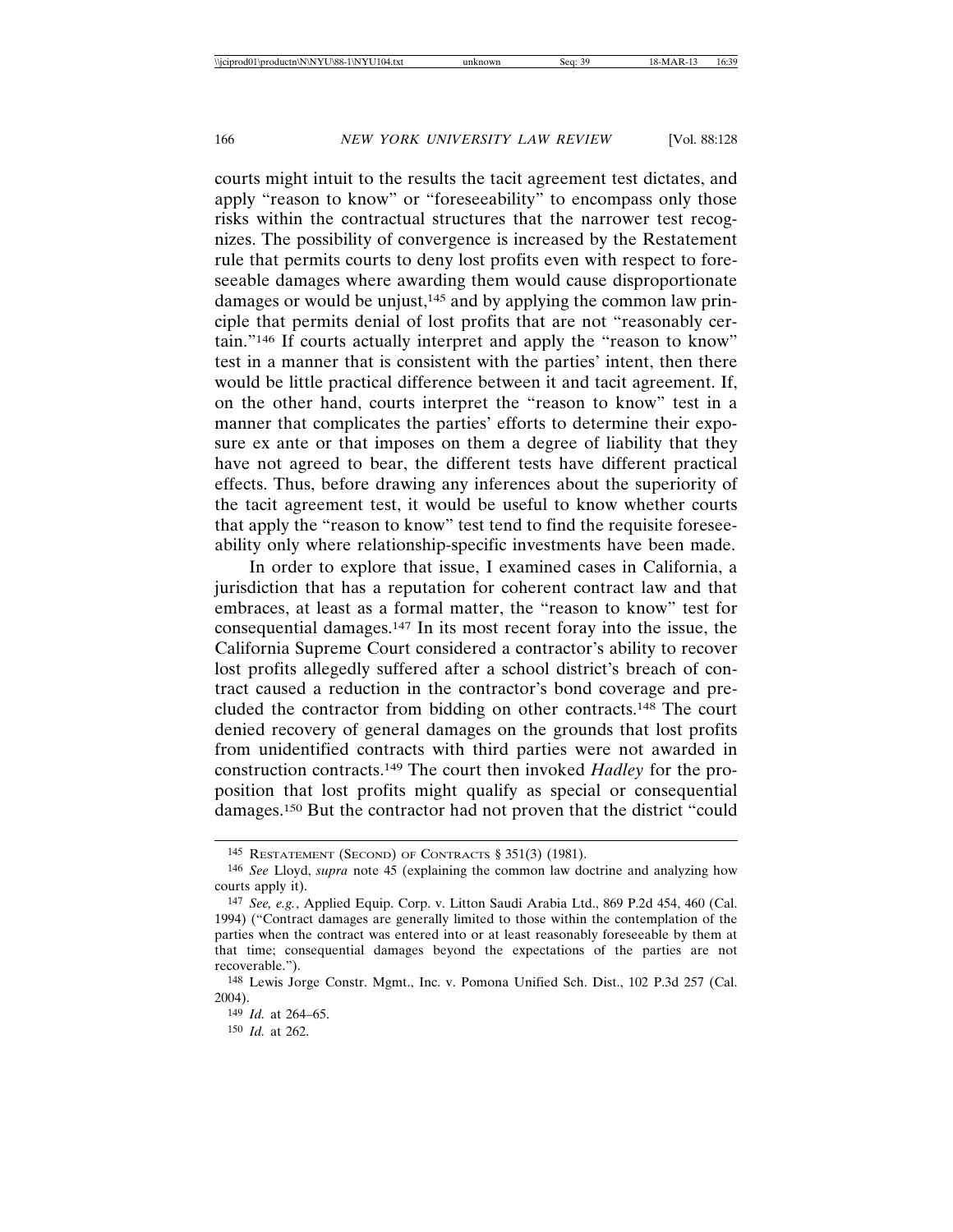courts might intuit to the results the tacit agreement test dictates, and apply "reason to know" or "foreseeability" to encompass only those risks within the contractual structures that the narrower test recognizes. The possibility of convergence is increased by the Restatement rule that permits courts to deny lost profits even with respect to foreseeable damages where awarding them would cause disproportionate damages or would be unjust,<sup>145</sup> and by applying the common law principle that permits denial of lost profits that are not "reasonably certain."146 If courts actually interpret and apply the "reason to know" test in a manner that is consistent with the parties' intent, then there would be little practical difference between it and tacit agreement. If, on the other hand, courts interpret the "reason to know" test in a manner that complicates the parties' efforts to determine their exposure ex ante or that imposes on them a degree of liability that they have not agreed to bear, the different tests have different practical effects. Thus, before drawing any inferences about the superiority of the tacit agreement test, it would be useful to know whether courts that apply the "reason to know" test tend to find the requisite foreseeability only where relationship-specific investments have been made.

In order to explore that issue, I examined cases in California, a jurisdiction that has a reputation for coherent contract law and that embraces, at least as a formal matter, the "reason to know" test for consequential damages.147 In its most recent foray into the issue, the California Supreme Court considered a contractor's ability to recover lost profits allegedly suffered after a school district's breach of contract caused a reduction in the contractor's bond coverage and precluded the contractor from bidding on other contracts.148 The court denied recovery of general damages on the grounds that lost profits from unidentified contracts with third parties were not awarded in construction contracts.149 The court then invoked *Hadley* for the proposition that lost profits might qualify as special or consequential damages.150 But the contractor had not proven that the district "could

<sup>145</sup> RESTATEMENT (SECOND) OF CONTRACTS § 351(3) (1981).

<sup>146</sup> *See* Lloyd, *supra* note 45 (explaining the common law doctrine and analyzing how courts apply it).

<sup>147</sup> *See, e.g.*, Applied Equip. Corp. v. Litton Saudi Arabia Ltd., 869 P.2d 454, 460 (Cal. 1994) ("Contract damages are generally limited to those within the contemplation of the parties when the contract was entered into or at least reasonably foreseeable by them at that time; consequential damages beyond the expectations of the parties are not recoverable.").

<sup>148</sup> Lewis Jorge Constr. Mgmt., Inc. v. Pomona Unified Sch. Dist., 102 P.3d 257 (Cal. 2004).

<sup>149</sup> *Id.* at 264–65.

<sup>150</sup> *Id.* at 262.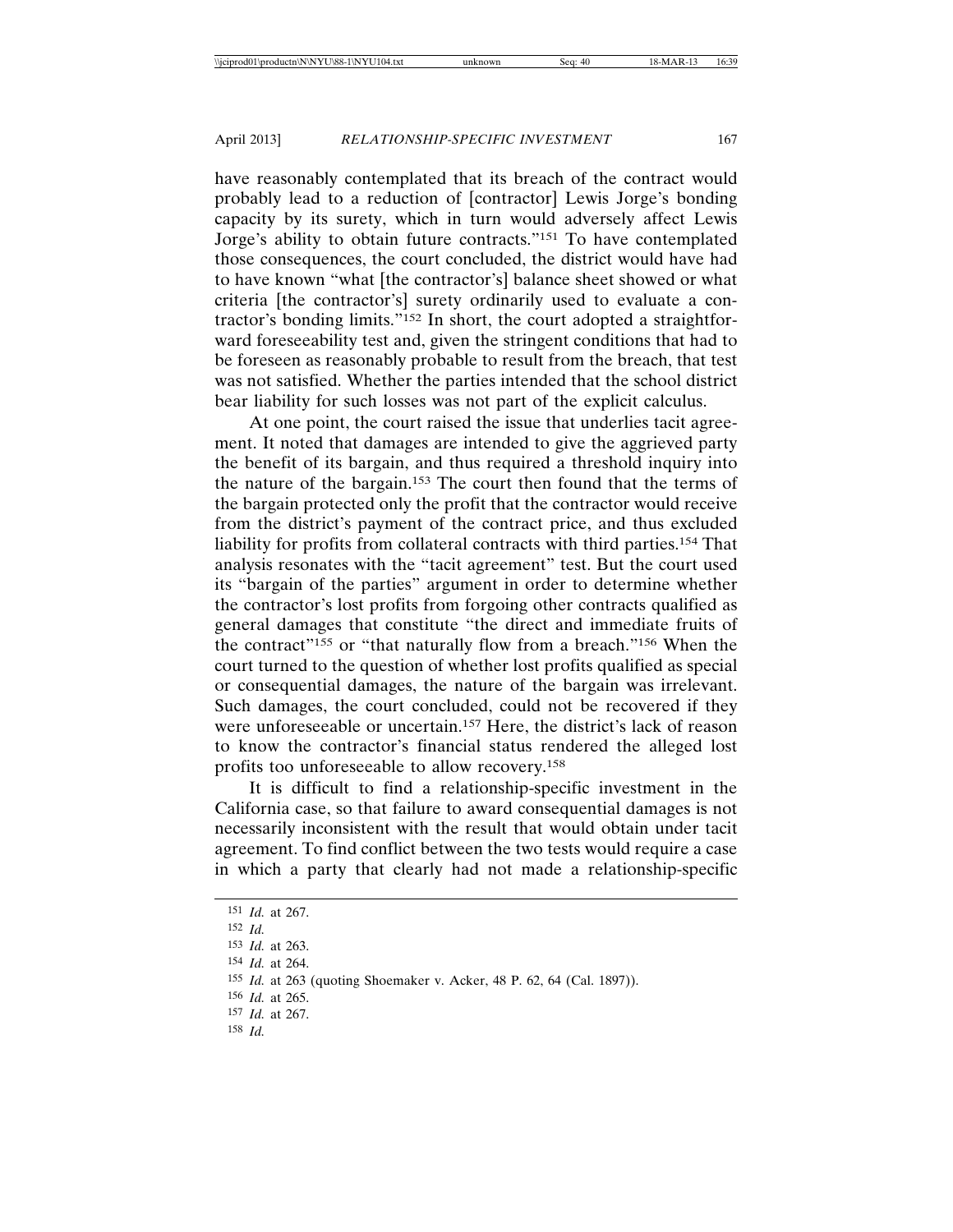have reasonably contemplated that its breach of the contract would probably lead to a reduction of [contractor] Lewis Jorge's bonding capacity by its surety, which in turn would adversely affect Lewis Jorge's ability to obtain future contracts."151 To have contemplated those consequences, the court concluded, the district would have had to have known "what [the contractor's] balance sheet showed or what criteria [the contractor's] surety ordinarily used to evaluate a contractor's bonding limits."152 In short, the court adopted a straightforward foreseeability test and, given the stringent conditions that had to be foreseen as reasonably probable to result from the breach, that test was not satisfied. Whether the parties intended that the school district bear liability for such losses was not part of the explicit calculus.

At one point, the court raised the issue that underlies tacit agreement. It noted that damages are intended to give the aggrieved party the benefit of its bargain, and thus required a threshold inquiry into the nature of the bargain.153 The court then found that the terms of the bargain protected only the profit that the contractor would receive from the district's payment of the contract price, and thus excluded liability for profits from collateral contracts with third parties.154 That analysis resonates with the "tacit agreement" test. But the court used its "bargain of the parties" argument in order to determine whether the contractor's lost profits from forgoing other contracts qualified as general damages that constitute "the direct and immediate fruits of the contract"155 or "that naturally flow from a breach."156 When the court turned to the question of whether lost profits qualified as special or consequential damages, the nature of the bargain was irrelevant. Such damages, the court concluded, could not be recovered if they were unforeseeable or uncertain.<sup>157</sup> Here, the district's lack of reason to know the contractor's financial status rendered the alleged lost profits too unforeseeable to allow recovery.158

It is difficult to find a relationship-specific investment in the California case, so that failure to award consequential damages is not necessarily inconsistent with the result that would obtain under tacit agreement. To find conflict between the two tests would require a case in which a party that clearly had not made a relationship-specific

158 *Id.*

<sup>151</sup> *Id.* at 267.

<sup>152</sup> *Id.*

<sup>153</sup> *Id.* at 263.

<sup>154</sup> *Id.* at 264.

<sup>155</sup> *Id.* at 263 (quoting Shoemaker v. Acker, 48 P. 62, 64 (Cal. 1897)).

<sup>156</sup> *Id.* at 265.

<sup>157</sup> *Id.* at 267.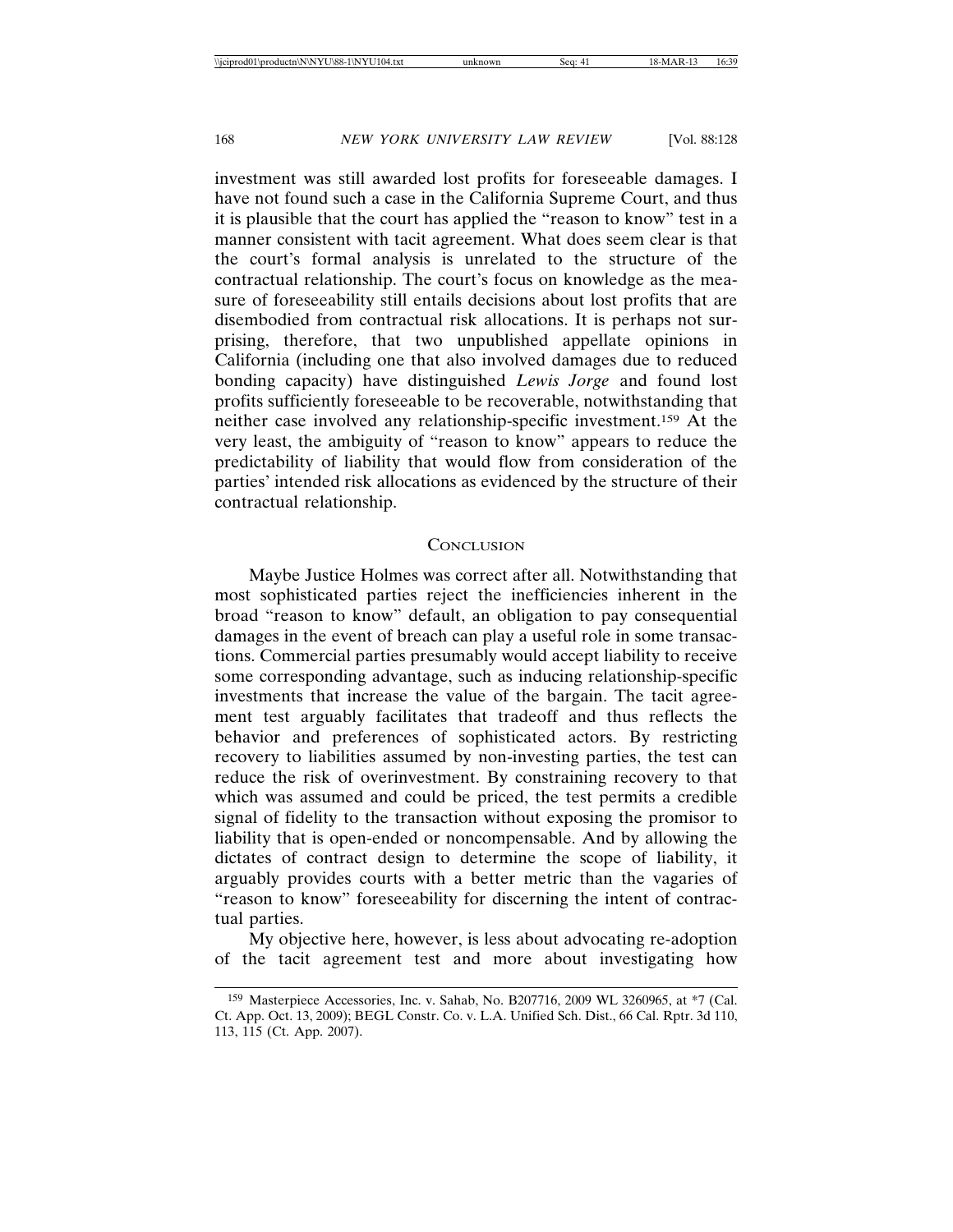investment was still awarded lost profits for foreseeable damages. I have not found such a case in the California Supreme Court, and thus it is plausible that the court has applied the "reason to know" test in a manner consistent with tacit agreement. What does seem clear is that the court's formal analysis is unrelated to the structure of the contractual relationship. The court's focus on knowledge as the measure of foreseeability still entails decisions about lost profits that are disembodied from contractual risk allocations. It is perhaps not surprising, therefore, that two unpublished appellate opinions in California (including one that also involved damages due to reduced bonding capacity) have distinguished *Lewis Jorge* and found lost profits sufficiently foreseeable to be recoverable, notwithstanding that neither case involved any relationship-specific investment.159 At the very least, the ambiguity of "reason to know" appears to reduce the predictability of liability that would flow from consideration of the parties' intended risk allocations as evidenced by the structure of their contractual relationship.

#### **CONCLUSION**

Maybe Justice Holmes was correct after all. Notwithstanding that most sophisticated parties reject the inefficiencies inherent in the broad "reason to know" default, an obligation to pay consequential damages in the event of breach can play a useful role in some transactions. Commercial parties presumably would accept liability to receive some corresponding advantage, such as inducing relationship-specific investments that increase the value of the bargain. The tacit agreement test arguably facilitates that tradeoff and thus reflects the behavior and preferences of sophisticated actors. By restricting recovery to liabilities assumed by non-investing parties, the test can reduce the risk of overinvestment. By constraining recovery to that which was assumed and could be priced, the test permits a credible signal of fidelity to the transaction without exposing the promisor to liability that is open-ended or noncompensable. And by allowing the dictates of contract design to determine the scope of liability, it arguably provides courts with a better metric than the vagaries of "reason to know" foreseeability for discerning the intent of contractual parties.

My objective here, however, is less about advocating re-adoption of the tacit agreement test and more about investigating how

<sup>159</sup> Masterpiece Accessories, Inc. v. Sahab, No. B207716, 2009 WL 3260965, at \*7 (Cal. Ct. App. Oct. 13, 2009); BEGL Constr. Co. v. L.A. Unified Sch. Dist., 66 Cal. Rptr. 3d 110, 113, 115 (Ct. App. 2007).